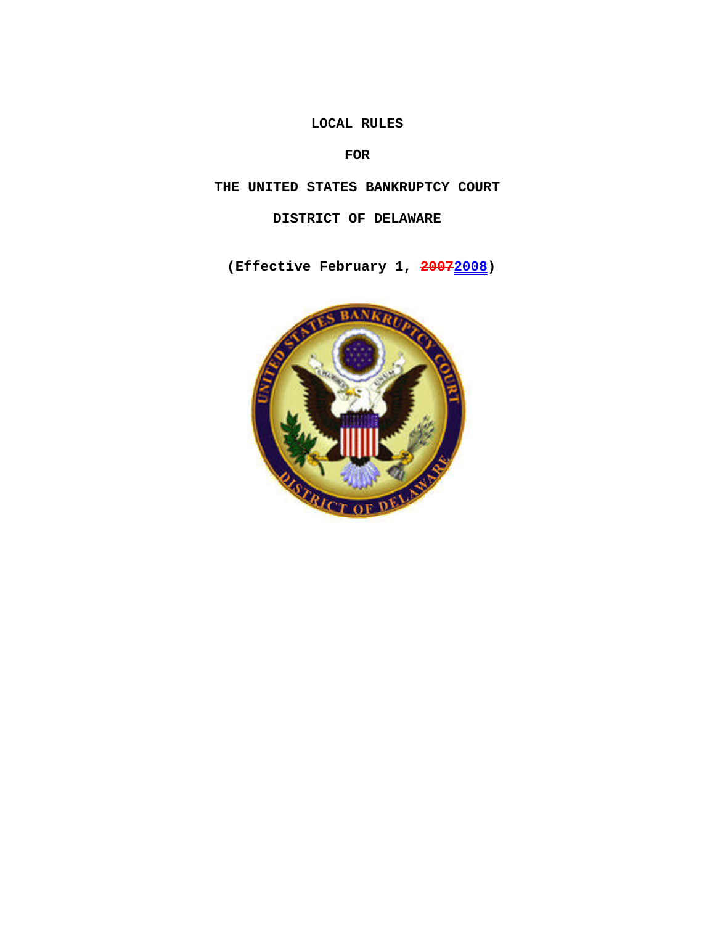**LOCAL RULES**

**FOR**

**THE UNITED STATES BANKRUPTCY COURT**

**DISTRICT OF DELAWARE**

**(Effective February 1, 20072008)**

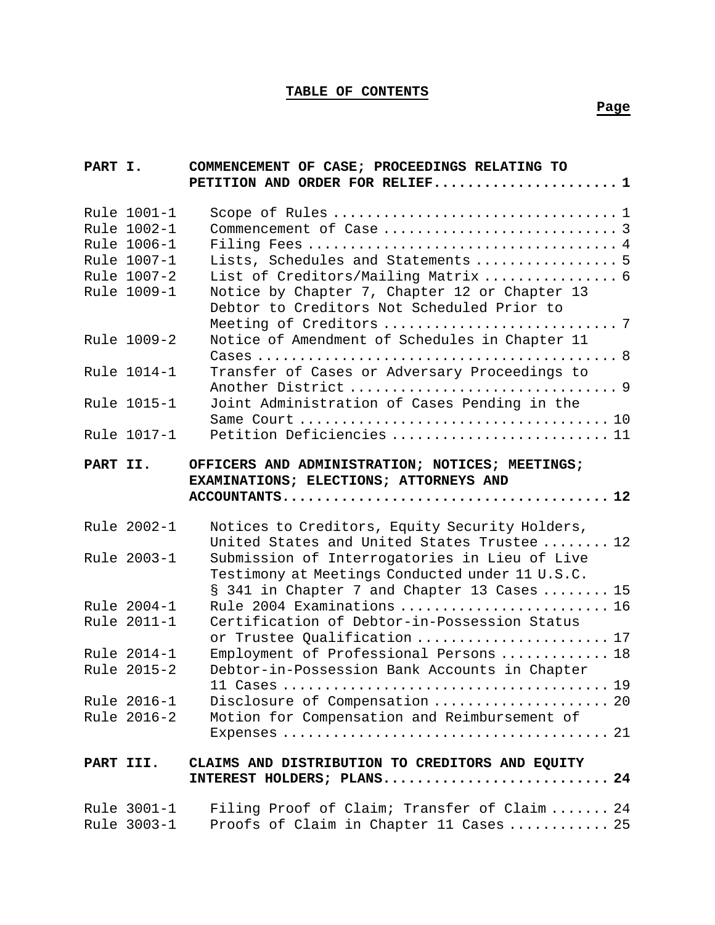# **TABLE OF CONTENTS**

#### **Page**

| PART I.   |                                                                                        | COMMENCEMENT OF CASE; PROCEEDINGS RELATING TO<br>PETITION AND ORDER FOR RELIEF 1                                                                                                                  |  |
|-----------|----------------------------------------------------------------------------------------|---------------------------------------------------------------------------------------------------------------------------------------------------------------------------------------------------|--|
|           | Rule 1001-1<br>Rule 1002-1<br>Rule 1006-1<br>Rule 1007-1<br>Rule 1007-2<br>Rule 1009-1 | Lists, Schedules and Statements  5<br>List of Creditors/Mailing Matrix  6<br>Notice by Chapter 7, Chapter 12 or Chapter 13<br>Debtor to Creditors Not Scheduled Prior to                          |  |
|           | Rule 1009-2                                                                            | Notice of Amendment of Schedules in Chapter 11                                                                                                                                                    |  |
|           | Rule 1014-1                                                                            | Transfer of Cases or Adversary Proceedings to                                                                                                                                                     |  |
|           | Rule 1015-1                                                                            | Joint Administration of Cases Pending in the                                                                                                                                                      |  |
|           | Rule 1017-1                                                                            | Petition Deficiencies  11                                                                                                                                                                         |  |
| PART II.  |                                                                                        | OFFICERS AND ADMINISTRATION; NOTICES; MEETINGS;<br>EXAMINATIONS; ELECTIONS; ATTORNEYS AND                                                                                                         |  |
|           | Rule 2002-1<br>Rule 2003-1                                                             | Notices to Creditors, Equity Security Holders,<br>United States and United States Trustee  12<br>Submission of Interrogatories in Lieu of Live<br>Testimony at Meetings Conducted under 11 U.S.C. |  |
|           | Rule 2004-1<br>Rule 2011-1                                                             | § 341 in Chapter 7 and Chapter 13 Cases  15<br>Rule 2004 Examinations  16<br>Certification of Debtor-in-Possession Status<br>or Trustee Qualification  17                                         |  |
|           | Rule 2014-1<br>Rule 2015-2                                                             | Employment of Professional Persons  18<br>Debtor-in-Possession Bank Accounts in Chapter                                                                                                           |  |
|           | Rule 2016-1<br>Rule 2016-2                                                             | Disclosure of Compensation  20<br>Motion for Compensation and Reimbursement of                                                                                                                    |  |
| PART III. |                                                                                        | CLAIMS AND DISTRIBUTION TO CREDITORS AND EQUITY<br>INTEREST HOLDERS; PLANS 24                                                                                                                     |  |
|           | Rule 3001-1<br>Rule 3003-1                                                             | Filing Proof of Claim; Transfer of Claim 24<br>Proofs of Claim in Chapter 11 Cases  25                                                                                                            |  |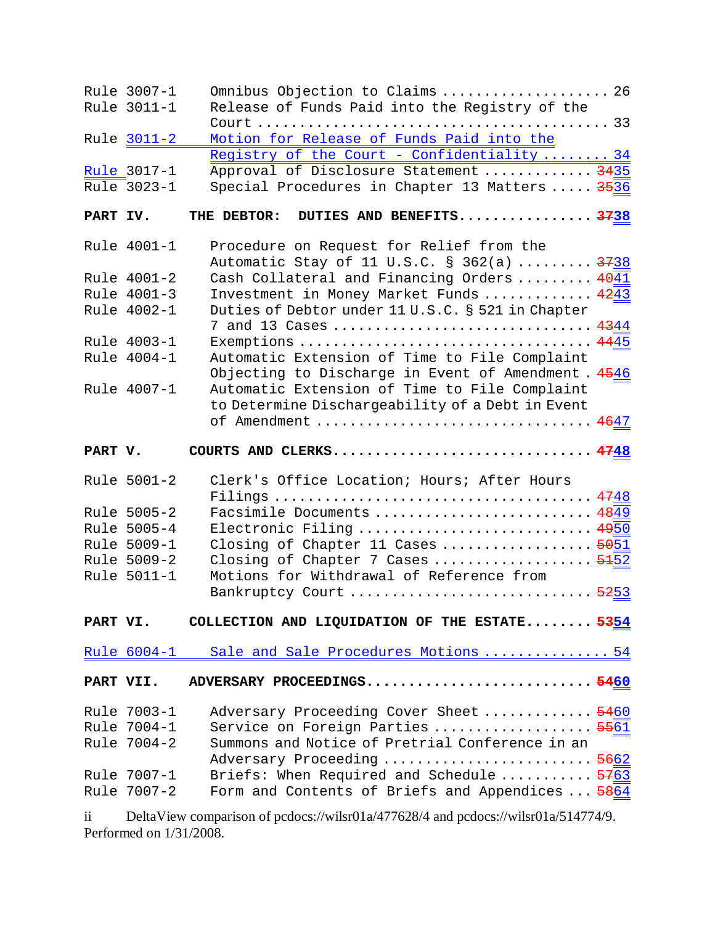|           | Rule 3007-1<br>Rule 3011-1        | Omnibus Objection to Claims  26<br>Release of Funds Paid into the Registry of the                                                       |
|-----------|-----------------------------------|-----------------------------------------------------------------------------------------------------------------------------------------|
|           | Rule 3011-2                       | Motion for Release of Funds Paid into the                                                                                               |
|           | <u>Rule</u> 3017-1<br>Rule 3023-1 | Registry of the Court - Confidentiality  34<br>Approval of Disclosure Statement  3435<br>Special Procedures in Chapter 13 Matters  3536 |
| PART IV.  |                                   | THE DEBTOR: DUTIES AND BENEFITS 3738                                                                                                    |
|           | Rule 4001-1                       | Procedure on Request for Relief from the<br>Automatic Stay of 11 U.S.C. § 362(a)  3738                                                  |
|           | Rule 4001-2                       | Cash Collateral and Financing Orders  4041                                                                                              |
|           | Rule 4001-3                       | Investment in Money Market Funds  4243                                                                                                  |
|           | Rule 4002-1                       | Duties of Debtor under 11 U.S.C. § 521 in Chapter<br>7 and 13 Cases  4344                                                               |
|           | Rule 4003-1                       |                                                                                                                                         |
|           | Rule 4004-1                       | Automatic Extension of Time to File Complaint<br>Objecting to Discharge in Event of Amendment. 4546                                     |
|           | Rule 4007-1                       | Automatic Extension of Time to File Complaint<br>to Determine Dischargeability of a Debt in Event<br>of Amendment  4647                 |
|           |                                   |                                                                                                                                         |
| PART V.   |                                   | COURTS AND CLERKS 4748                                                                                                                  |
|           | Rule 5001-2                       | Clerk's Office Location; Hours; After Hours                                                                                             |
|           |                                   |                                                                                                                                         |
|           | Rule 5005-2                       | Facsimile Documents  4849                                                                                                               |
|           | Rule 5005-4<br>Rule 5009-1        | Electronic Filing  4950                                                                                                                 |
|           | Rule 5009-2                       | Closing of Chapter 11 Cases  5051<br>Closing of Chapter 7 Cases  5152                                                                   |
|           | Rule 5011-1                       | Motions for Withdrawal of Reference from                                                                                                |
|           |                                   | Bankruptcy Court  5253                                                                                                                  |
| PART VI.  |                                   | COLLECTION AND LIQUIDATION OF THE ESTATE 5354                                                                                           |
|           |                                   | Rule 6004-1 Sale and Sale Procedures Motions  54                                                                                        |
| PART VII. |                                   | ADVERSARY PROCEEDINGS5460                                                                                                               |
|           | Rule 7003-1                       | Adversary Proceeding Cover Sheet  5460                                                                                                  |
|           | Rule 7004-1                       | Service on Foreign Parties  5561                                                                                                        |
|           | Rule 7004-2                       | Summons and Notice of Pretrial Conference in an                                                                                         |
|           | Rule 7007-1                       | Adversary Proceeding  5662<br>Briefs: When Required and Schedule  5763                                                                  |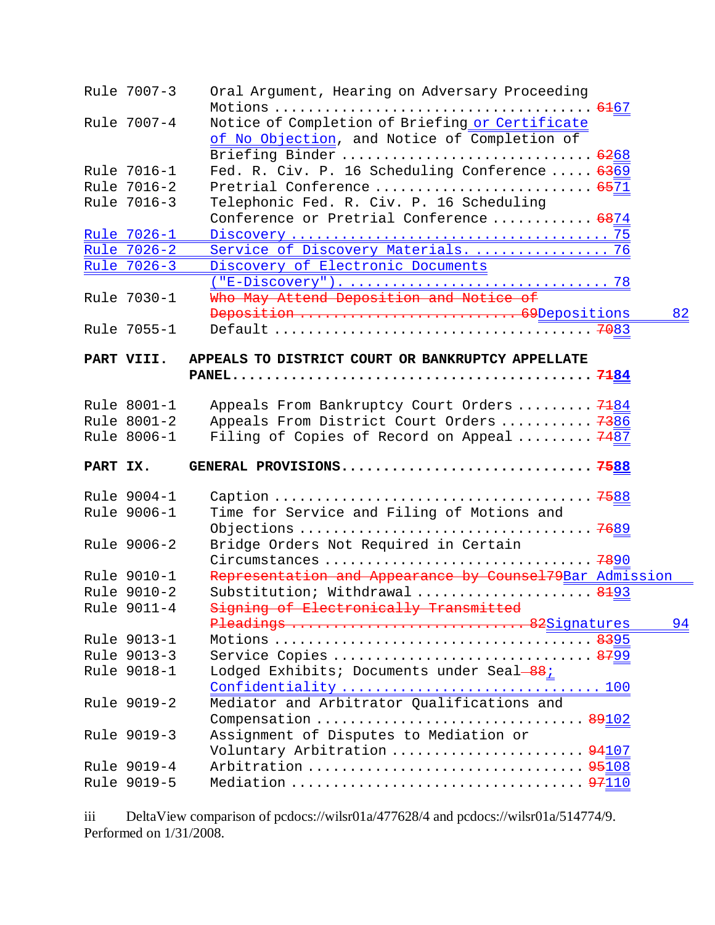|          | Rule 7007-3        | Oral Argument, Hearing on Adversary Proceeding                          |    |
|----------|--------------------|-------------------------------------------------------------------------|----|
|          | Rule 7007-4        | Notice of Completion of Briefing or Certificate                         |    |
|          |                    | of No Objection, and Notice of Completion of                            |    |
|          |                    |                                                                         |    |
|          | Rule 7016-1        | Briefing Binder  6268<br>Fed. R. Civ. P. 16 Scheduling Conference  6369 |    |
|          |                    |                                                                         |    |
|          | Rule 7016-2        | Pretrial Conference  6571                                               |    |
|          | Rule 7016-3        | Telephonic Fed. R. Civ. P. 16 Scheduling                                |    |
|          |                    | Conference or Pretrial Conference  6874                                 |    |
|          | Rule 7026-1        |                                                                         |    |
|          | Rule 7026-2        | Service of Discovery Materials.  76                                     |    |
|          | <u>Rule 7026-3</u> | Discovery of Electronic Documents                                       |    |
|          |                    |                                                                         |    |
|          | Rule 7030-1        | Who May Attend Deposition and Notice of                                 |    |
|          |                    | Deposition  69Depositions                                               | 82 |
|          | Rule 7055-1        |                                                                         |    |
|          |                    |                                                                         |    |
|          | PART VIII.         | APPEALS TO DISTRICT COURT OR BANKRUPTCY APPELLATE                       |    |
|          |                    |                                                                         |    |
|          | Rule 8001-1        | Appeals From Bankruptcy Court Orders  7184                              |    |
|          | Rule 8001-2        | Appeals From District Court Orders  7386                                |    |
|          | Rule 8006-1        | Filing of Copies of Record on Appeal  7487                              |    |
|          |                    |                                                                         |    |
| PART IX. |                    |                                                                         |    |
|          |                    |                                                                         |    |
|          | Rule 9004-1        |                                                                         |    |
|          | Rule 9006-1        | Time for Service and Filing of Motions and                              |    |
|          |                    |                                                                         |    |
|          | Rule 9006-2        | Bridge Orders Not Required in Certain                                   |    |
|          |                    |                                                                         |    |
|          | Rule 9010-1        | Representation and Appearance by Counsel79Bar Admission                 |    |
|          | Rule 9010-2        | Substitution; Withdrawal  8193                                          |    |
|          | Rule 9011-4        |                                                                         |    |
|          |                    | Signing of Electronically Transmitted                                   |    |
|          | Rule 9013-1        | Pleadings  82Signatures                                                 | 94 |
|          |                    |                                                                         |    |
|          | Rule 9013-3        | Service Copies  8799                                                    |    |
|          | Rule 9018-1        | Lodged Exhibits; Documents under Seal-88;                               |    |
|          | Rule 9019-2        | Confidentiality  100<br>Mediator and Arbitrator Qualifications and      |    |
|          |                    | Compensation 89102                                                      |    |
|          | Rule 9019-3        | Assignment of Disputes to Mediation or                                  |    |
|          |                    | Voluntary Arbitration  94107                                            |    |
|          | Rule 9019-4        | Arbitration  95108                                                      |    |
|          | Rule 9019-5        | Mediation  97110                                                        |    |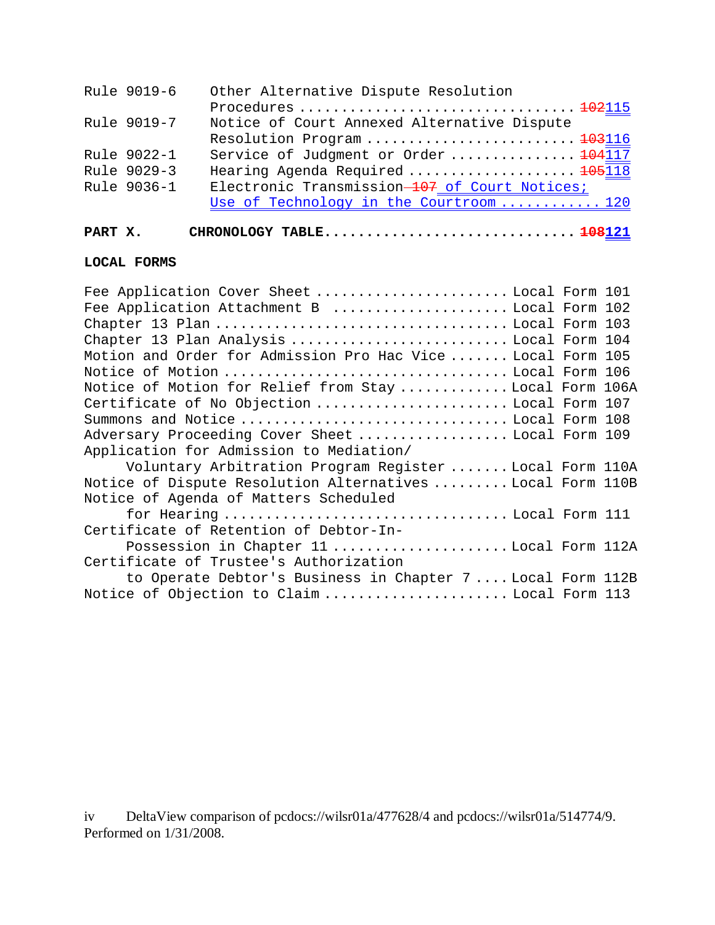| Rule 9019-6 | Other Alternative Dispute Resolution          |
|-------------|-----------------------------------------------|
|             |                                               |
| Rule 9019-7 | Notice of Court Annexed Alternative Dispute   |
|             | Resolution Program  103116                    |
| Rule 9022-1 | Service of Judgment or Order  104117          |
| Rule 9029-3 | Hearing Agenda Required  105118               |
| Rule 9036-1 | Electronic Transmission-107 of Court Notices; |
|             | Use of Technology in the Courtroom  120       |
|             |                                               |

# **PART X. CHRONOLOGY TABLE.............................. 108121**

### **LOCAL FORMS**

| Fee Application Cover Sheet Local Form 101                  |  |
|-------------------------------------------------------------|--|
| Fee Application Attachment B Local Form 102                 |  |
|                                                             |  |
| Chapter 13 Plan Analysis  Local Form 104                    |  |
| Motion and Order for Admission Pro Hac Vice  Local Form 105 |  |
| Notice of Motion  Local Form 106                            |  |
| Notice of Motion for Relief from Stay Local Form 106A       |  |
| Certificate of No Objection  Local Form 107                 |  |
| Summons and Notice  Local Form 108                          |  |
| Adversary Proceeding Cover Sheet  Local Form 109            |  |
| Application for Admission to Mediation/                     |  |
| Voluntary Arbitration Program Register  Local Form 110A     |  |
| Notice of Dispute Resolution Alternatives  Local Form 110B  |  |
| Notice of Agenda of Matters Scheduled                       |  |
| for Hearing  Local Form 111                                 |  |
| Certificate of Retention of Debtor-In-                      |  |
| Possession in Chapter 11 Local Form 112A                    |  |
| Certificate of Trustee's Authorization                      |  |
| to Operate Debtor's Business in Chapter 7 Local Form 112B   |  |
| Notice of Objection to Claim  Local Form 113                |  |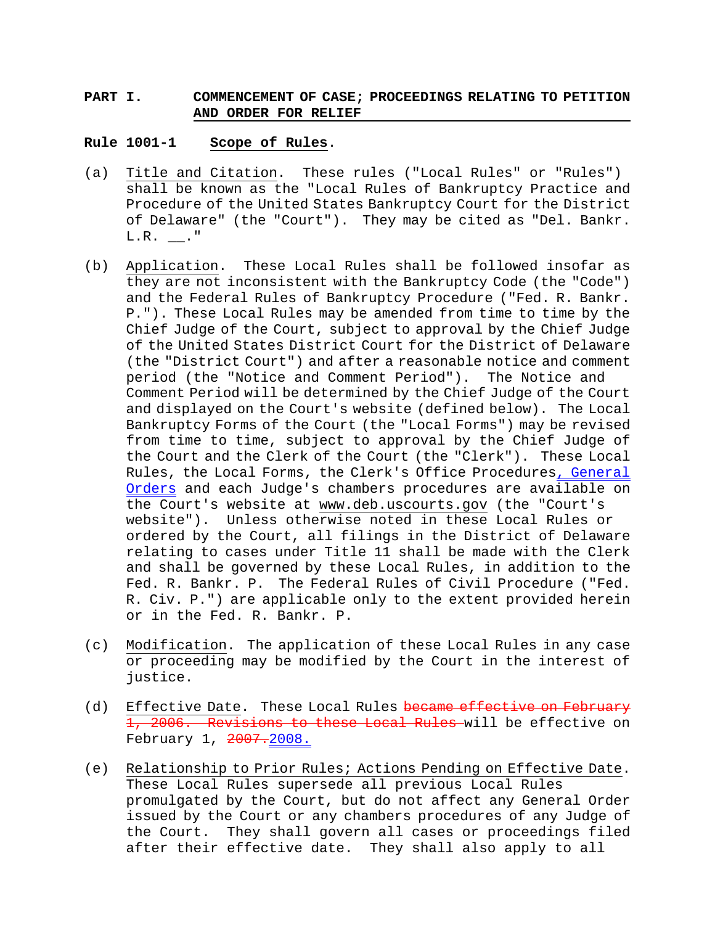### **PART I. COMMENCEMENT OF CASE; PROCEEDINGS RELATING TO PETITION AND ORDER FOR RELIEF**

#### **Rule 1001-1 Scope of Rules**.

- (a) Title and Citation. These rules ("Local Rules" or "Rules") shall be known as the "Local Rules of Bankruptcy Practice and Procedure of the United States Bankruptcy Court for the District of Delaware" (the "Court"). They may be cited as "Del. Bankr.  $L.R.$   $\_\_\_\_\$ ."
- (b) Application. These Local Rules shall be followed insofar as they are not inconsistent with the Bankruptcy Code (the "Code") and the Federal Rules of Bankruptcy Procedure ("Fed. R. Bankr. P."). These Local Rules may be amended from time to time by the Chief Judge of the Court, subject to approval by the Chief Judge of the United States District Court for the District of Delaware (the "District Court") and after a reasonable notice and comment period (the "Notice and Comment Period"). The Notice and Comment Period will be determined by the Chief Judge of the Court and displayed on the Court's website (defined below). The Local Bankruptcy Forms of the Court (the "Local Forms") may be revised from time to time, subject to approval by the Chief Judge of the Court and the Clerk of the Court (the "Clerk"). These Local Rules, the Local Forms, the Clerk's Office Procedures, General Orders and each Judge's chambers procedures are available on the Court's website at www.deb.uscourts.gov (the "Court's website"). Unless otherwise noted in these Local Rules or ordered by the Court, all filings in the District of Delaware relating to cases under Title 11 shall be made with the Clerk and shall be governed by these Local Rules, in addition to the Fed. R. Bankr. P. The Federal Rules of Civil Procedure ("Fed. R. Civ. P.") are applicable only to the extent provided herein or in the Fed. R. Bankr. P.
- (c) Modification. The application of these Local Rules in any case or proceeding may be modified by the Court in the interest of justice.
- (d) Effective Date. These Local Rules became effective on February 1, 2006. Revisions to these Local Rules will be effective on February 1, 2007.2008.
- (e) Relationship to Prior Rules; Actions Pending on Effective Date. These Local Rules supersede all previous Local Rules promulgated by the Court, but do not affect any General Order issued by the Court or any chambers procedures of any Judge of the Court. They shall govern all cases or proceedings filed after their effective date. They shall also apply to all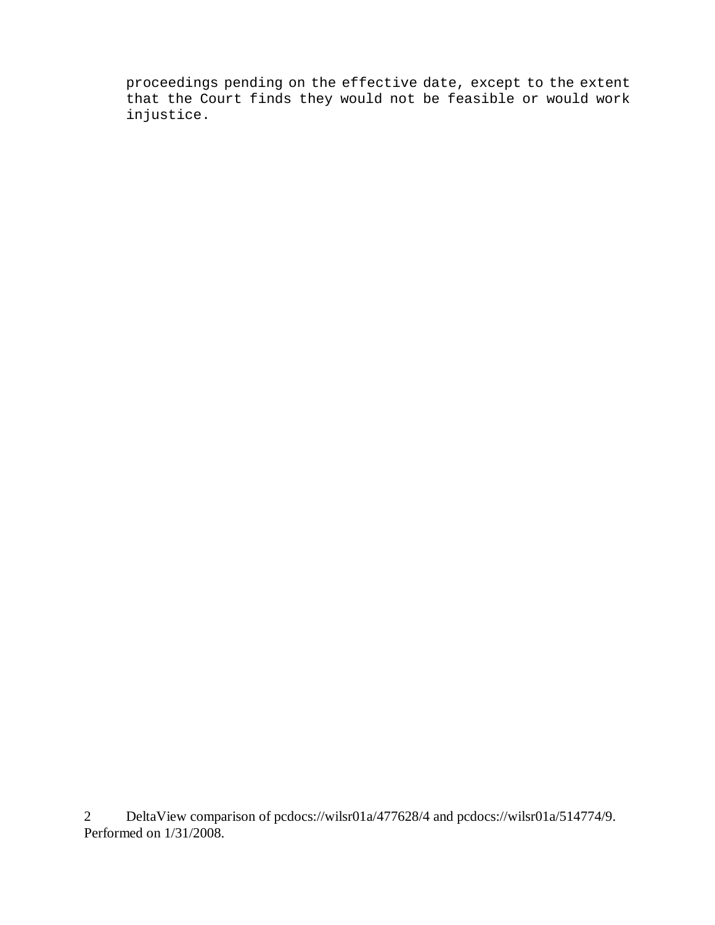proceedings pending on the effective date, except to the extent that the Court finds they would not be feasible or would work injustice.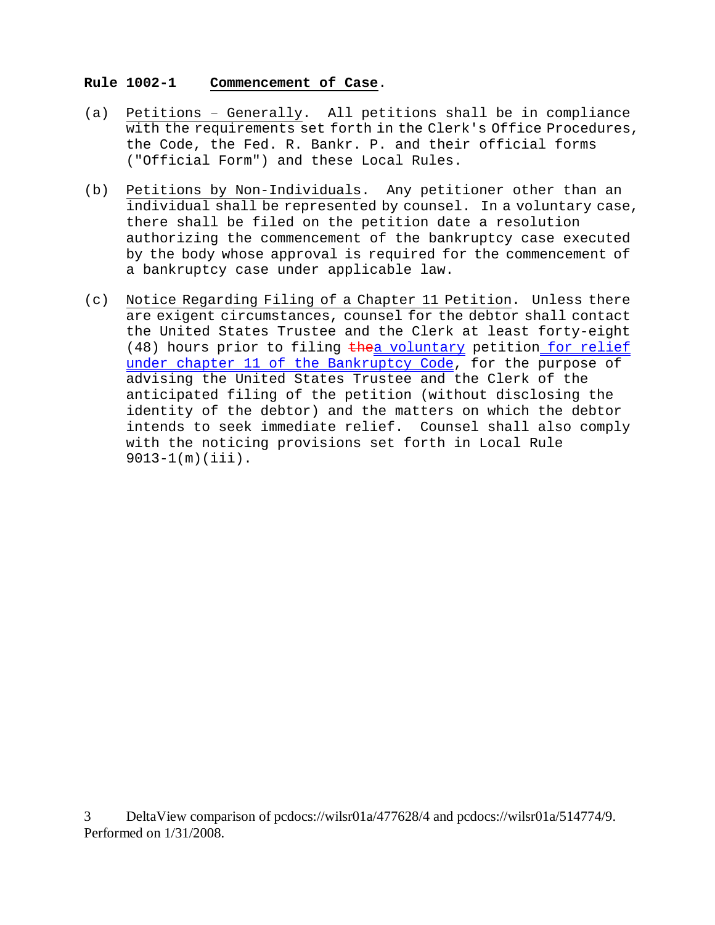#### **Rule 1002-1 Commencement of Case**.

- (a) Petitions Generally. All petitions shall be in compliance with the requirements set forth in the Clerk's Office Procedures, the Code, the Fed. R. Bankr. P. and their official forms ("Official Form") and these Local Rules.
- (b) Petitions by Non-Individuals. Any petitioner other than an individual shall be represented by counsel. In a voluntary case, there shall be filed on the petition date a resolution authorizing the commencement of the bankruptcy case executed by the body whose approval is required for the commencement of a bankruptcy case under applicable law.
- (c) Notice Regarding Filing of a Chapter 11 Petition. Unless there are exigent circumstances, counsel for the debtor shall contact the United States Trustee and the Clerk at least forty-eight (48) hours prior to filing thea voluntary petition for relief under chapter 11 of the Bankruptcy Code, for the purpose of advising the United States Trustee and the Clerk of the anticipated filing of the petition (without disclosing the identity of the debtor) and the matters on which the debtor intends to seek immediate relief. Counsel shall also comply with the noticing provisions set forth in Local Rule 9013-1(m)(iii).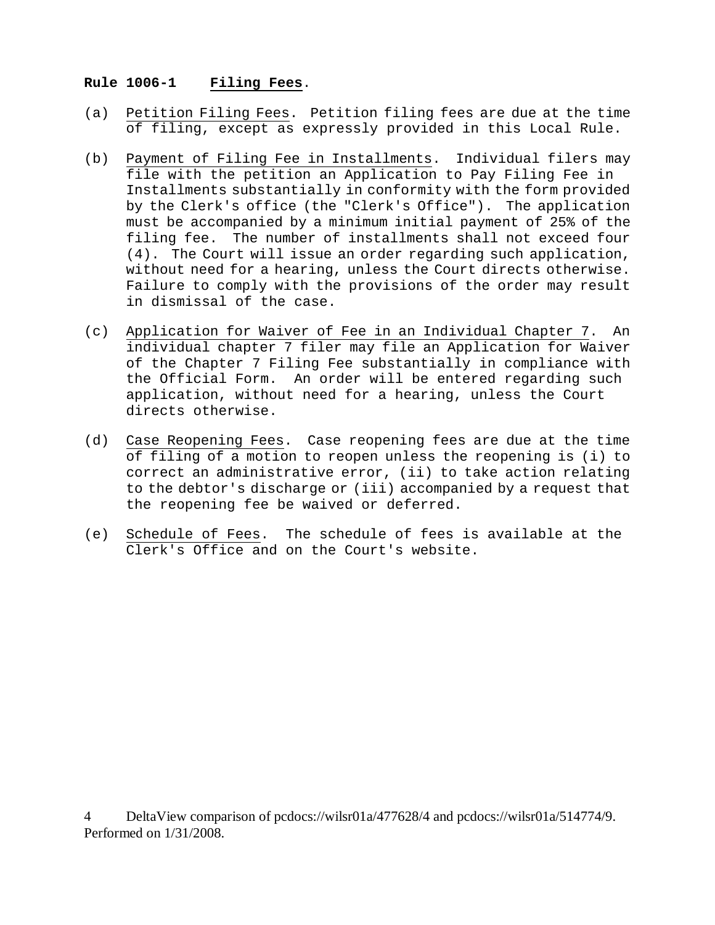### **Rule 1006-1 Filing Fees**.

- (a) Petition Filing Fees. Petition filing fees are due at the time of filing, except as expressly provided in this Local Rule.
- (b) Payment of Filing Fee in Installments. Individual filers may file with the petition an Application to Pay Filing Fee in Installments substantially in conformity with the form provided by the Clerk's office (the "Clerk's Office"). The application must be accompanied by a minimum initial payment of 25% of the filing fee. The number of installments shall not exceed four (4). The Court will issue an order regarding such application, without need for a hearing, unless the Court directs otherwise. Failure to comply with the provisions of the order may result in dismissal of the case.
- (c) Application for Waiver of Fee in an Individual Chapter 7. An individual chapter 7 filer may file an Application for Waiver of the Chapter 7 Filing Fee substantially in compliance with the Official Form. An order will be entered regarding such application, without need for a hearing, unless the Court directs otherwise.
- (d) Case Reopening Fees. Case reopening fees are due at the time of filing of a motion to reopen unless the reopening is (i) to correct an administrative error, (ii) to take action relating to the debtor's discharge or (iii) accompanied by a request that the reopening fee be waived or deferred.
- (e) Schedule of Fees. The schedule of fees is available at the Clerk's Office and on the Court's website.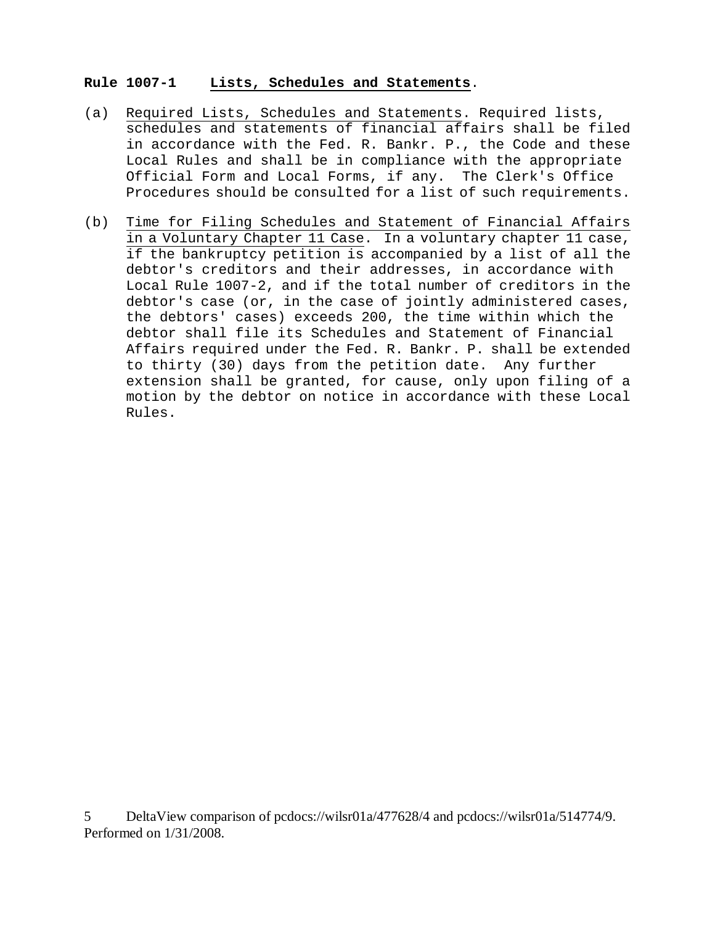### **Rule 1007-1 Lists, Schedules and Statements**.

- (a) Required Lists, Schedules and Statements. Required lists, schedules and statements of financial affairs shall be filed in accordance with the Fed. R. Bankr. P., the Code and these Local Rules and shall be in compliance with the appropriate Official Form and Local Forms, if any. The Clerk's Office Procedures should be consulted for a list of such requirements.
- (b) Time for Filing Schedules and Statement of Financial Affairs in a Voluntary Chapter 11 Case. In a voluntary chapter 11 case, if the bankruptcy petition is accompanied by a list of all the debtor's creditors and their addresses, in accordance with Local Rule 1007-2, and if the total number of creditors in the debtor's case (or, in the case of jointly administered cases, the debtors' cases) exceeds 200, the time within which the debtor shall file its Schedules and Statement of Financial Affairs required under the Fed. R. Bankr. P. shall be extended to thirty (30) days from the petition date. Any further extension shall be granted, for cause, only upon filing of a motion by the debtor on notice in accordance with these Local Rules.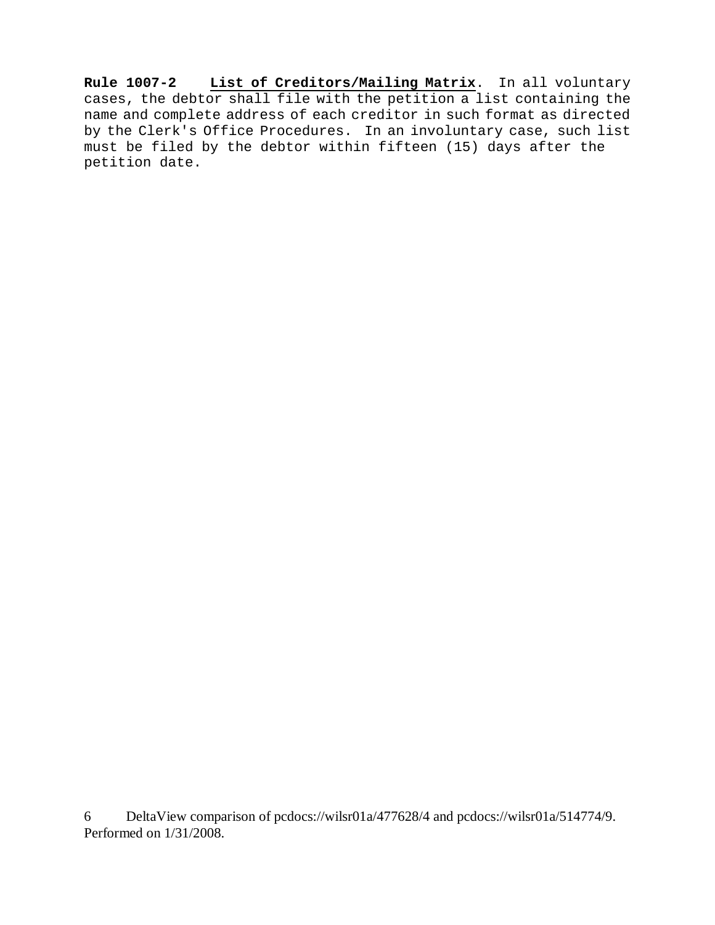**Rule 1007-2 List of Creditors/Mailing Matrix**. In all voluntary cases, the debtor shall file with the petition a list containing the name and complete address of each creditor in such format as directed by the Clerk's Office Procedures. In an involuntary case, such list must be filed by the debtor within fifteen (15) days after the petition date.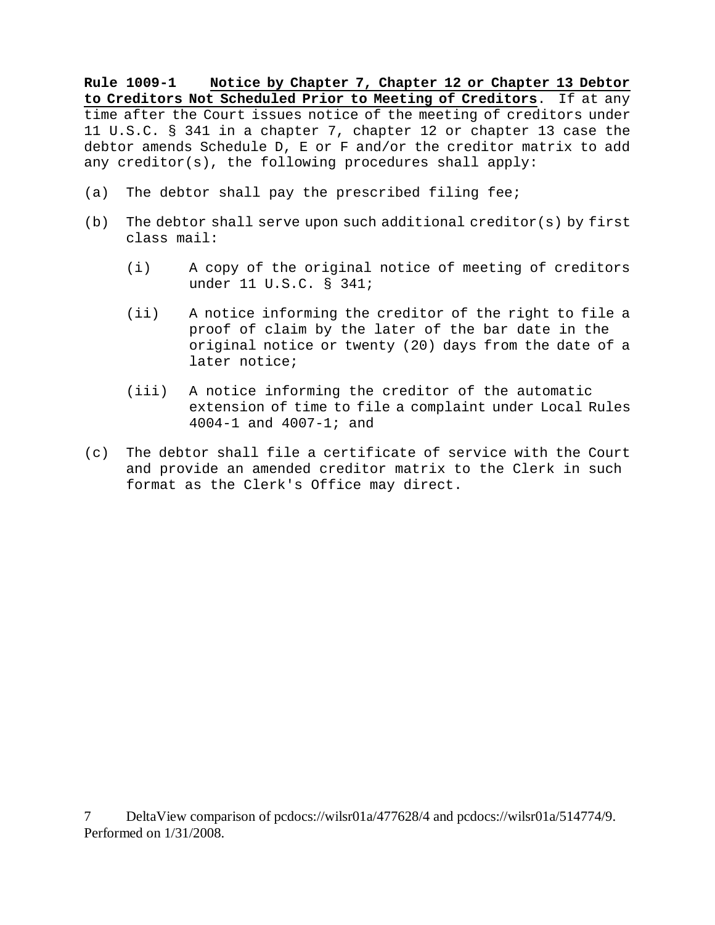**Rule 1009-1 Notice by Chapter 7, Chapter 12 or Chapter 13 Debtor to Creditors Not Scheduled Prior to Meeting of Creditors**. If at any time after the Court issues notice of the meeting of creditors under 11 U.S.C. § 341 in a chapter 7, chapter 12 or chapter 13 case the debtor amends Schedule D, E or F and/or the creditor matrix to add any creditor(s), the following procedures shall apply:

- (a) The debtor shall pay the prescribed filing fee;
- (b) The debtor shall serve upon such additional creditor(s) by first class mail:
	- (i) A copy of the original notice of meeting of creditors under 11 U.S.C. § 341;
	- (ii) A notice informing the creditor of the right to file a proof of claim by the later of the bar date in the original notice or twenty (20) days from the date of a later notice;
	- (iii) A notice informing the creditor of the automatic extension of time to file a complaint under Local Rules 4004-1 and 4007-1; and
- (c) The debtor shall file a certificate of service with the Court and provide an amended creditor matrix to the Clerk in such format as the Clerk's Office may direct.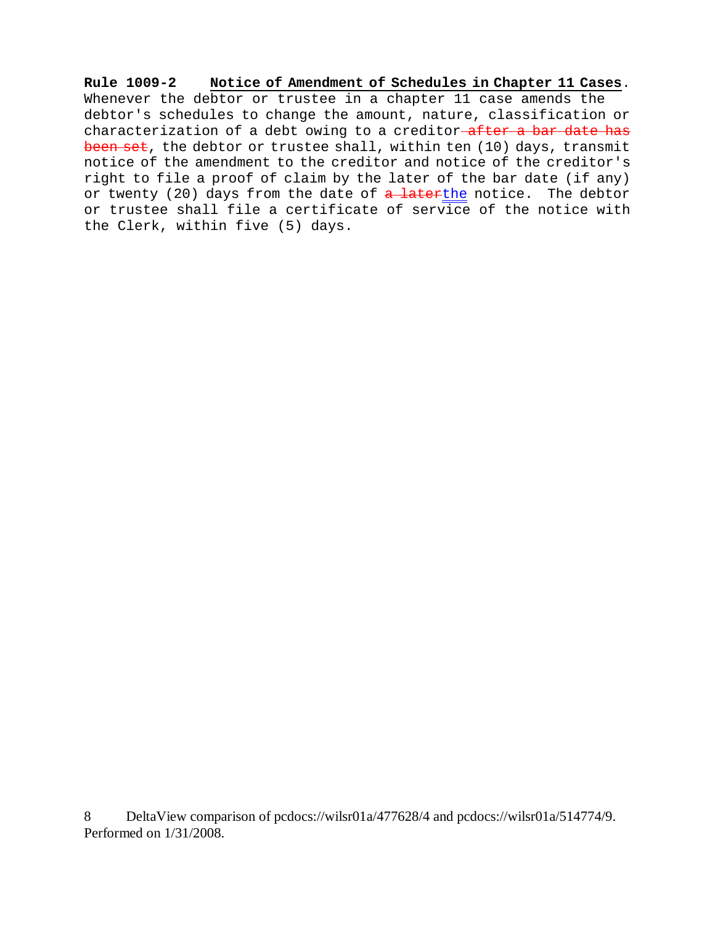**Rule 1009-2 Notice of Amendment of Schedules in Chapter 11 Cases**. Whenever the debtor or trustee in a chapter 11 case amends the debtor's schedules to change the amount, nature, classification or characterization of a debt owing to a creditor after a bar date has been set, the debtor or trustee shall, within ten (10) days, transmit notice of the amendment to the creditor and notice of the creditor's right to file a proof of claim by the later of the bar date (if any) or twenty (20) days from the date of a laterthe notice. The debtor or trustee shall file a certificate of service of the notice with the Clerk, within five (5) days.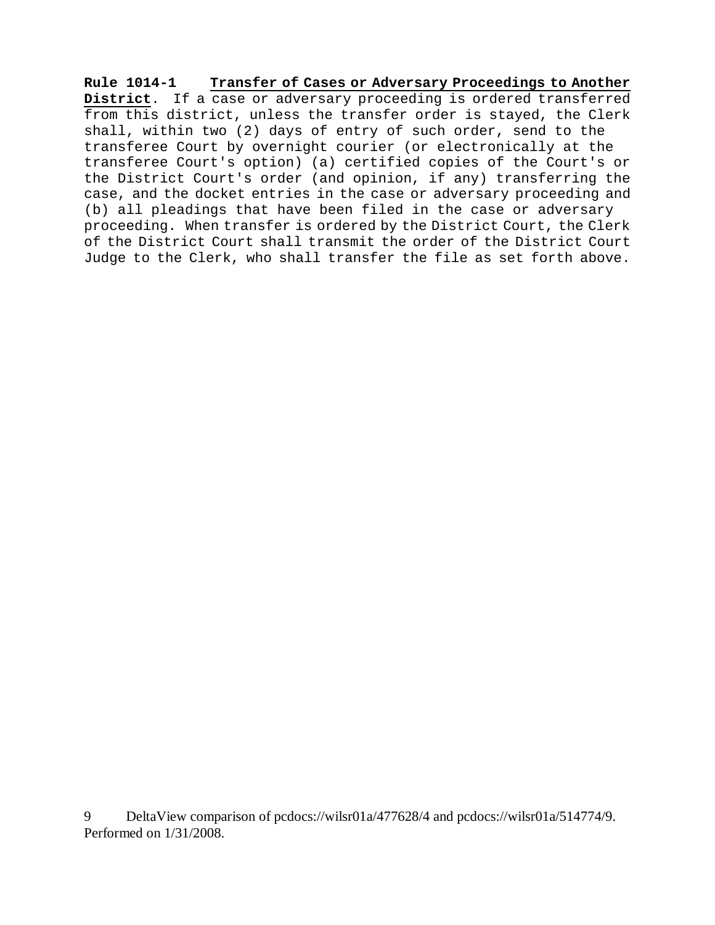**Rule 1014-1 Transfer of Cases or Adversary Proceedings to Another District**. If a case or adversary proceeding is ordered transferred from this district, unless the transfer order is stayed, the Clerk shall, within two (2) days of entry of such order, send to the transferee Court by overnight courier (or electronically at the transferee Court's option) (a) certified copies of the Court's or the District Court's order (and opinion, if any) transferring the case, and the docket entries in the case or adversary proceeding and (b) all pleadings that have been filed in the case or adversary proceeding. When transfer is ordered by the District Court, the Clerk of the District Court shall transmit the order of the District Court Judge to the Clerk, who shall transfer the file as set forth above.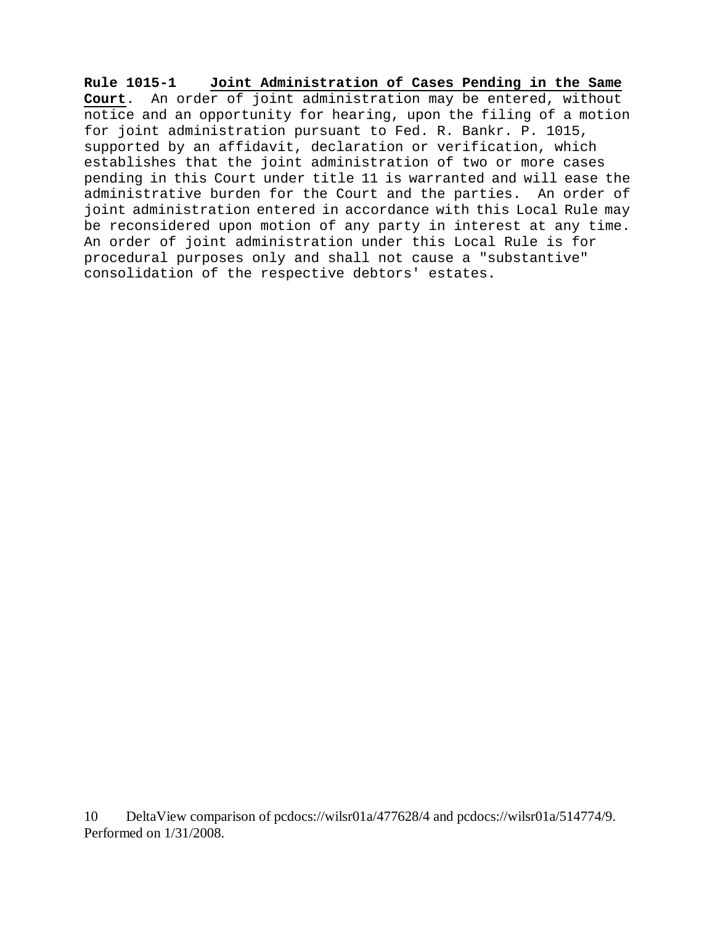**Rule 1015-1 Joint Administration of Cases Pending in the Same Court**. An order of joint administration may be entered, without notice and an opportunity for hearing, upon the filing of a motion for joint administration pursuant to Fed. R. Bankr. P. 1015, supported by an affidavit, declaration or verification, which establishes that the joint administration of two or more cases pending in this Court under title 11 is warranted and will ease the administrative burden for the Court and the parties. An order of joint administration entered in accordance with this Local Rule may be reconsidered upon motion of any party in interest at any time. An order of joint administration under this Local Rule is for procedural purposes only and shall not cause a "substantive" consolidation of the respective debtors' estates.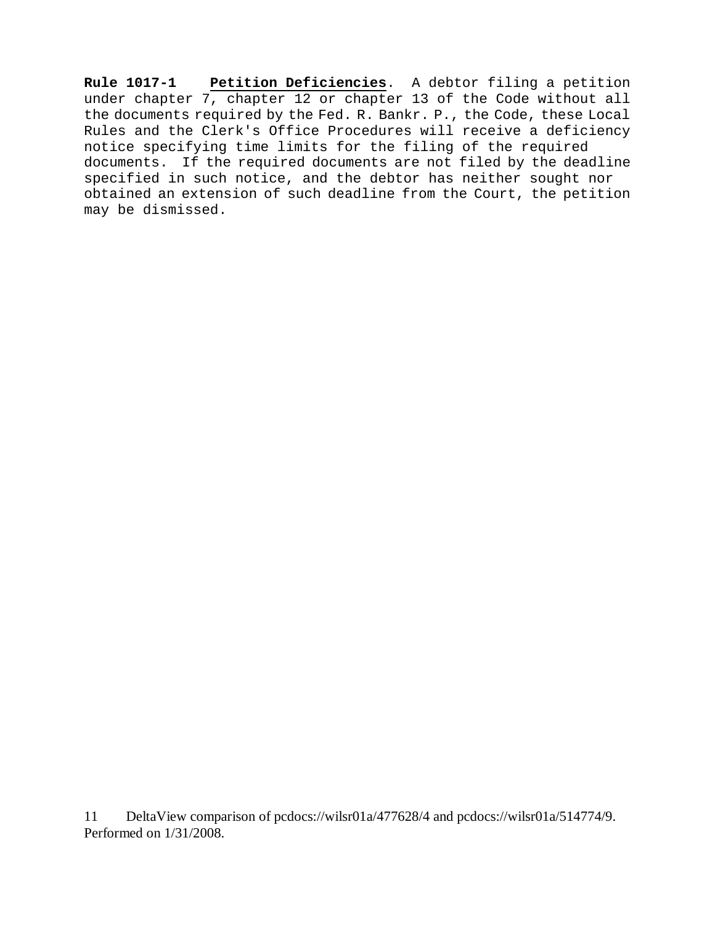**Rule 1017-1 Petition Deficiencies**. A debtor filing a petition under chapter 7, chapter 12 or chapter 13 of the Code without all the documents required by the Fed. R. Bankr. P., the Code, these Local Rules and the Clerk's Office Procedures will receive a deficiency notice specifying time limits for the filing of the required documents. If the required documents are not filed by the deadline specified in such notice, and the debtor has neither sought nor obtained an extension of such deadline from the Court, the petition may be dismissed.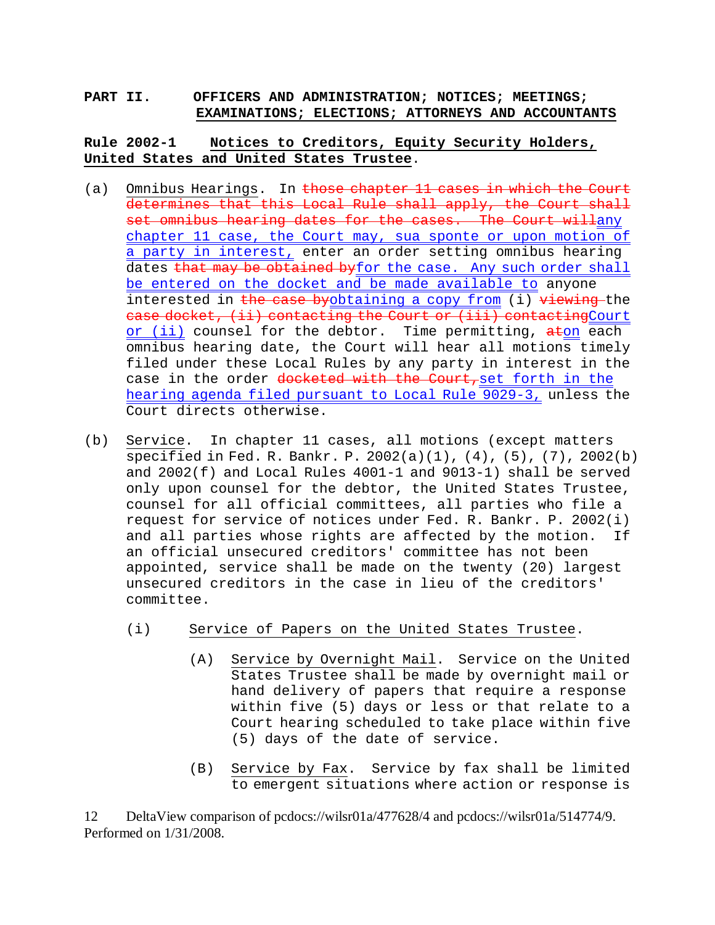### **PART II. OFFICERS AND ADMINISTRATION; NOTICES; MEETINGS; EXAMINATIONS; ELECTIONS; ATTORNEYS AND ACCOUNTANTS**

# **Rule 2002-1 Notices to Creditors, Equity Security Holders, United States and United States Trustee**.

- (a) Omnibus Hearings. In those chapter 11 cases in which the Court determines that this Local Rule shall apply, the Court shall set omnibus hearing dates for the cases. The Court willany chapter 11 case, the Court may, sua sponte or upon motion of a party in interest, enter an order setting omnibus hearing dates that may be obtained byfor the case. Any such order shall be entered on the docket and be made available to anyone interested in the case byobtaining a copy from (i) viewing the case docket, (ii) contacting the Court or (iii) contactingCourt or (ii) counsel for the debtor. Time permitting, aton each omnibus hearing date, the Court will hear all motions timely filed under these Local Rules by any party in interest in the case in the order docketed with the Court, set forth in the hearing agenda filed pursuant to Local Rule 9029-3, unless the Court directs otherwise.
- (b) Service. In chapter 11 cases, all motions (except matters specified in Fed. R. Bankr. P. 2002(a)(1), (4), (5), (7), 2002(b) and 2002(f) and Local Rules 4001-1 and 9013-1) shall be served only upon counsel for the debtor, the United States Trustee, counsel for all official committees, all parties who file a request for service of notices under Fed. R. Bankr. P. 2002(i) and all parties whose rights are affected by the motion. If an official unsecured creditors' committee has not been appointed, service shall be made on the twenty (20) largest unsecured creditors in the case in lieu of the creditors' committee.
	- (i) Service of Papers on the United States Trustee.
		- (A) Service by Overnight Mail. Service on the United States Trustee shall be made by overnight mail or hand delivery of papers that require a response within five (5) days or less or that relate to a Court hearing scheduled to take place within five (5) days of the date of service.
		- (B) Service by Fax. Service by fax shall be limited to emergent situations where action or response is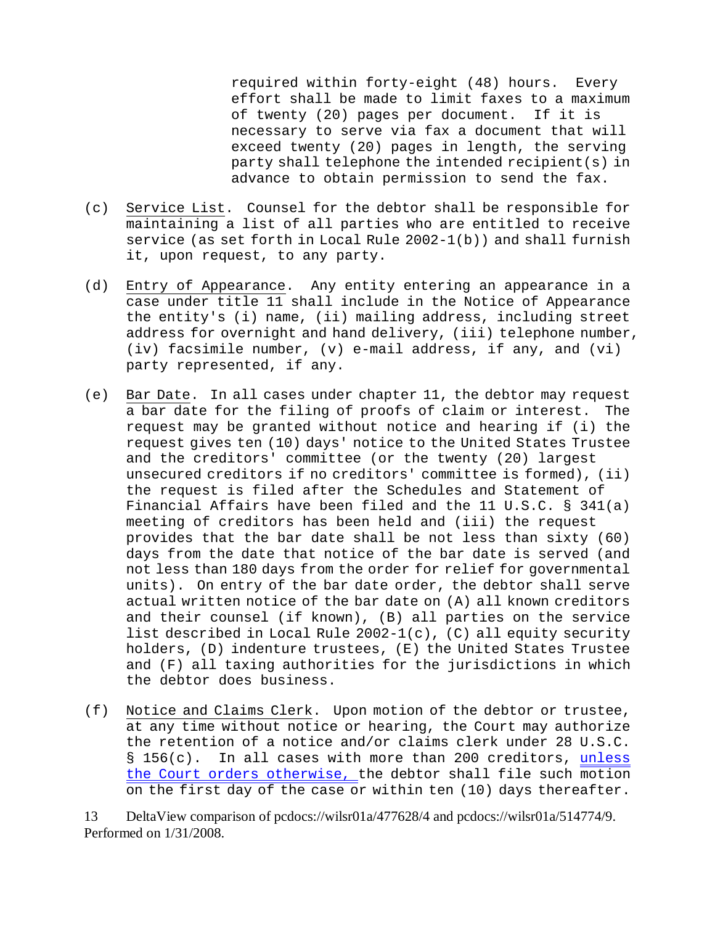required within forty-eight (48) hours. Every effort shall be made to limit faxes to a maximum of twenty (20) pages per document. If it is necessary to serve via fax a document that will exceed twenty (20) pages in length, the serving party shall telephone the intended recipient(s) in advance to obtain permission to send the fax.

- (c) Service List. Counsel for the debtor shall be responsible for maintaining a list of all parties who are entitled to receive service (as set forth in Local Rule 2002-1(b)) and shall furnish it, upon request, to any party.
- (d) Entry of Appearance. Any entity entering an appearance in a case under title 11 shall include in the Notice of Appearance the entity's (i) name, (ii) mailing address, including street address for overnight and hand delivery, (iii) telephone number, (iv) facsimile number, (v) e-mail address, if any, and (vi) party represented, if any.
- (e) Bar Date. In all cases under chapter 11, the debtor may request a bar date for the filing of proofs of claim or interest. The request may be granted without notice and hearing if (i) the request gives ten (10) days' notice to the United States Trustee and the creditors' committee (or the twenty (20) largest unsecured creditors if no creditors' committee is formed), (ii) the request is filed after the Schedules and Statement of Financial Affairs have been filed and the 11 U.S.C. § 341(a) meeting of creditors has been held and (iii) the request provides that the bar date shall be not less than sixty (60) days from the date that notice of the bar date is served (and not less than 180 days from the order for relief for governmental units). On entry of the bar date order, the debtor shall serve actual written notice of the bar date on (A) all known creditors and their counsel (if known), (B) all parties on the service list described in Local Rule 2002-1(c), (C) all equity security holders, (D) indenture trustees, (E) the United States Trustee and (F) all taxing authorities for the jurisdictions in which the debtor does business.
- (f) Notice and Claims Clerk. Upon motion of the debtor or trustee, at any time without notice or hearing, the Court may authorize the retention of a notice and/or claims clerk under 28 U.S.C. § 156(c). In all cases with more than 200 creditors, unless the Court orders otherwise, the debtor shall file such motion on the first day of the case or within ten (10) days thereafter.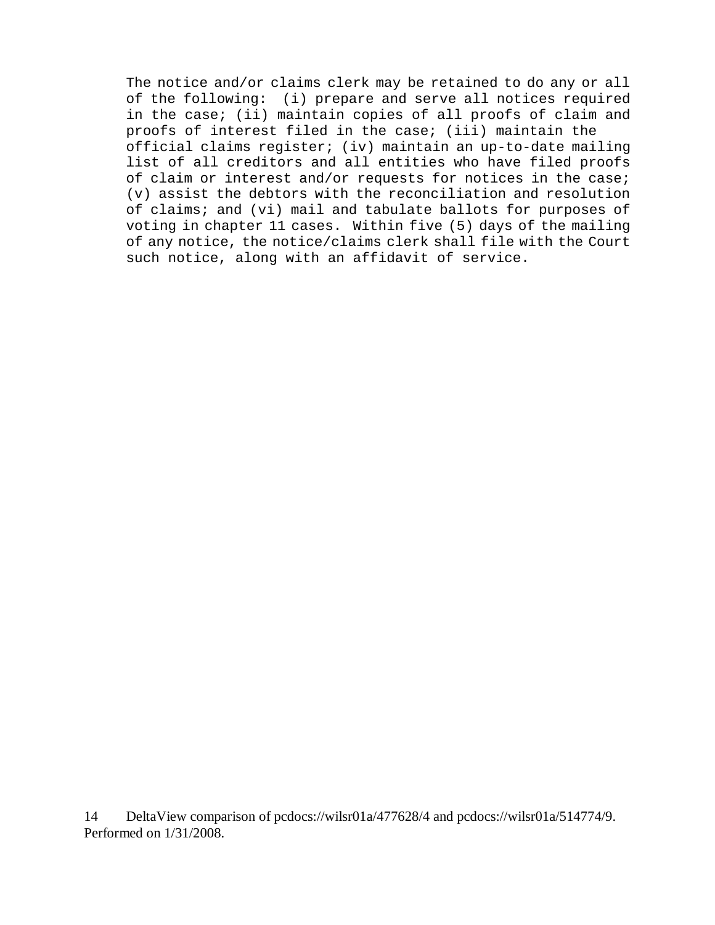The notice and/or claims clerk may be retained to do any or all of the following: (i) prepare and serve all notices required in the case; (ii) maintain copies of all proofs of claim and proofs of interest filed in the case; (iii) maintain the official claims register; (iv) maintain an up-to-date mailing list of all creditors and all entities who have filed proofs of claim or interest and/or requests for notices in the case; (v) assist the debtors with the reconciliation and resolution of claims; and (vi) mail and tabulate ballots for purposes of voting in chapter 11 cases. Within five (5) days of the mailing of any notice, the notice/claims clerk shall file with the Court such notice, along with an affidavit of service.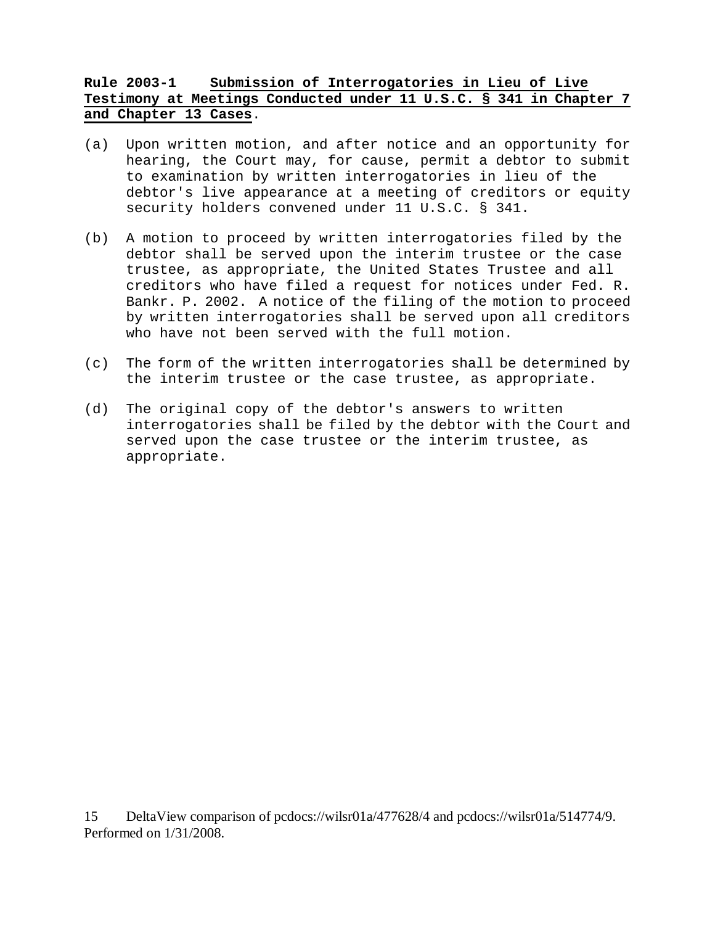# **Rule 2003-1 Submission of Interrogatories in Lieu of Live Testimony at Meetings Conducted under 11 U.S.C. § 341 in Chapter 7 and Chapter 13 Cases**.

- (a) Upon written motion, and after notice and an opportunity for hearing, the Court may, for cause, permit a debtor to submit to examination by written interrogatories in lieu of the debtor's live appearance at a meeting of creditors or equity security holders convened under 11 U.S.C. § 341.
- (b) A motion to proceed by written interrogatories filed by the debtor shall be served upon the interim trustee or the case trustee, as appropriate, the United States Trustee and all creditors who have filed a request for notices under Fed. R. Bankr. P. 2002. A notice of the filing of the motion to proceed by written interrogatories shall be served upon all creditors who have not been served with the full motion.
- (c) The form of the written interrogatories shall be determined by the interim trustee or the case trustee, as appropriate.
- (d) The original copy of the debtor's answers to written interrogatories shall be filed by the debtor with the Court and served upon the case trustee or the interim trustee, as appropriate.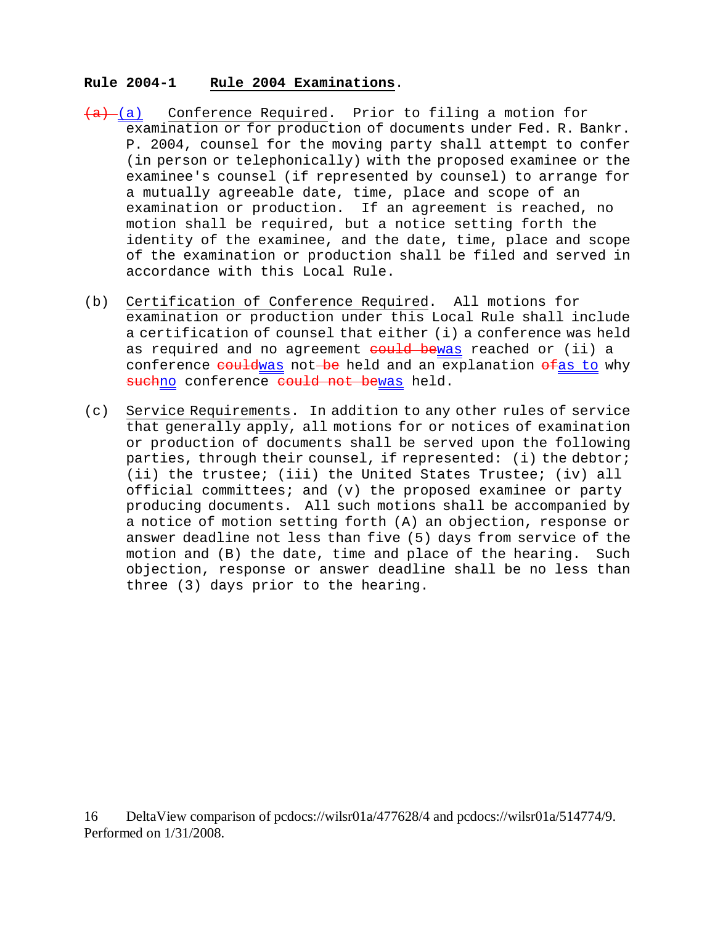#### **Rule 2004-1 Rule 2004 Examinations**.

- $(a)$  (a) Conference Required. Prior to filing a motion for examination or for production of documents under Fed. R. Bankr. P. 2004, counsel for the moving party shall attempt to confer (in person or telephonically) with the proposed examinee or the examinee's counsel (if represented by counsel) to arrange for a mutually agreeable date, time, place and scope of an examination or production. If an agreement is reached, no motion shall be required, but a notice setting forth the identity of the examinee, and the date, time, place and scope of the examination or production shall be filed and served in accordance with this Local Rule.
- (b) Certification of Conference Required. All motions for examination or production under this Local Rule shall include a certification of counsel that either (i) a conference was held as required and no agreement could bewas reached or (ii) a conference couldwas not be held and an explanation ofas to why suchno conference could not bewas held.
- (c) Service Requirements. In addition to any other rules of service that generally apply, all motions for or notices of examination or production of documents shall be served upon the following parties, through their counsel, if represented: (i) the debtor; (ii) the trustee; (iii) the United States Trustee; (iv) all official committees; and (v) the proposed examinee or party producing documents. All such motions shall be accompanied by a notice of motion setting forth (A) an objection, response or answer deadline not less than five (5) days from service of the motion and (B) the date, time and place of the hearing. Such objection, response or answer deadline shall be no less than three (3) days prior to the hearing.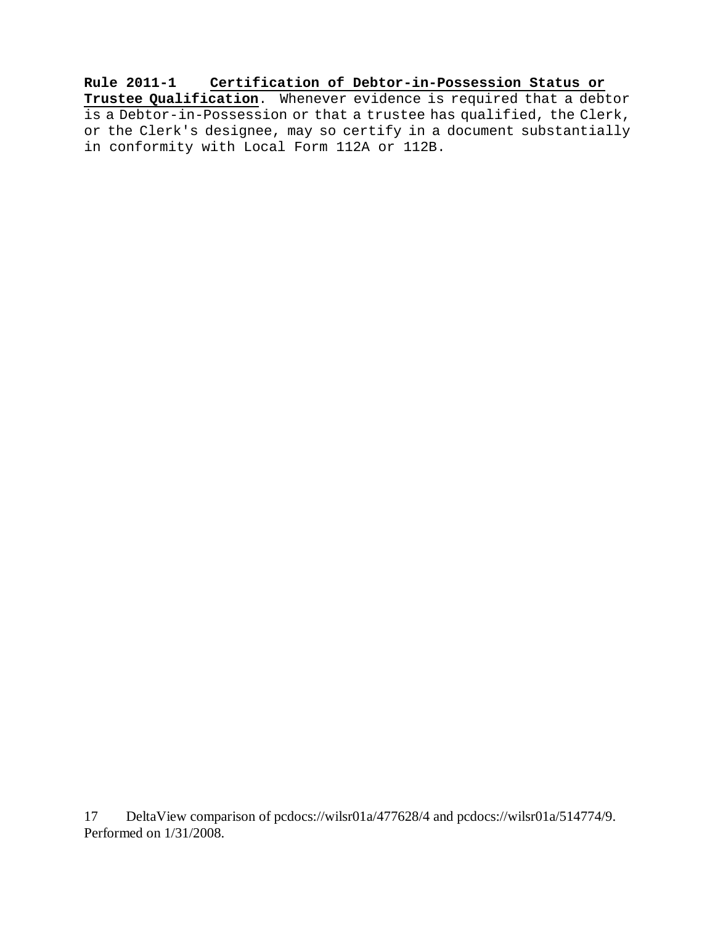**Rule 2011-1 Certification of Debtor-in-Possession Status or Trustee Qualification**. Whenever evidence is required that a debtor is a Debtor-in-Possession or that a trustee has qualified, the Clerk, or the Clerk's designee, may so certify in a document substantially in conformity with Local Form 112A or 112B.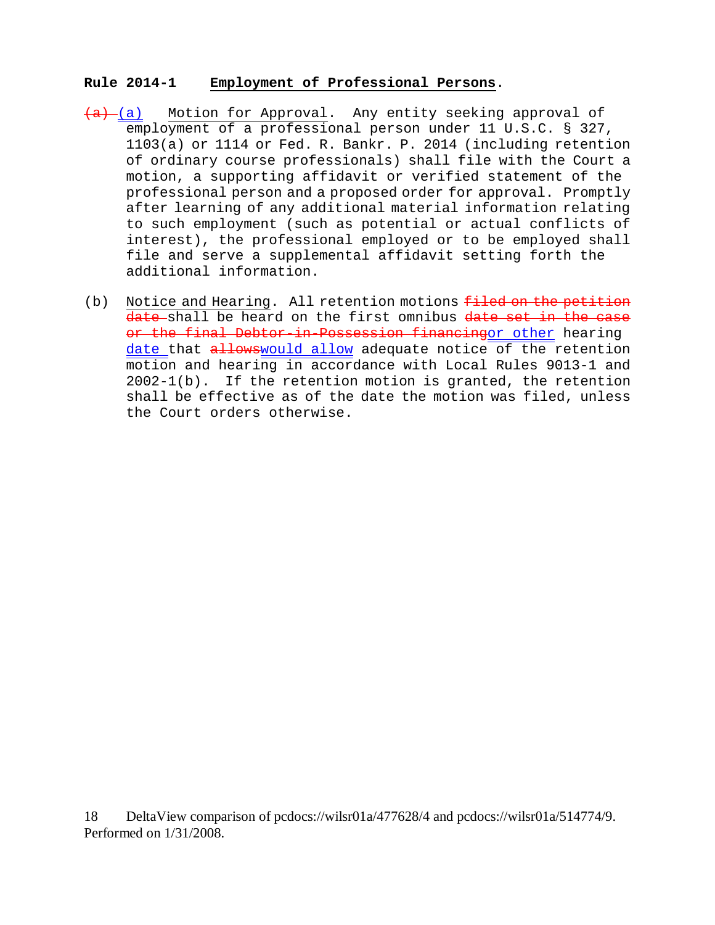### **Rule 2014-1 Employment of Professional Persons**.

- $(a)$  (a) Motion for Approval. Any entity seeking approval of employment of a professional person under 11 U.S.C. § 327, 1103(a) or 1114 or Fed. R. Bankr. P. 2014 (including retention of ordinary course professionals) shall file with the Court a motion, a supporting affidavit or verified statement of the professional person and a proposed order for approval. Promptly after learning of any additional material information relating to such employment (such as potential or actual conflicts of interest), the professional employed or to be employed shall file and serve a supplemental affidavit setting forth the additional information.
- (b) Notice and Hearing. All retention motions  $f$ iled on the petition date shall be heard on the first omnibus date set in the case or the final Debtor-in-Possession financingor other hearing date that allowswould allow adequate notice of the retention motion and hearing in accordance with Local Rules 9013-1 and 2002-1(b). If the retention motion is granted, the retention shall be effective as of the date the motion was filed, unless the Court orders otherwise.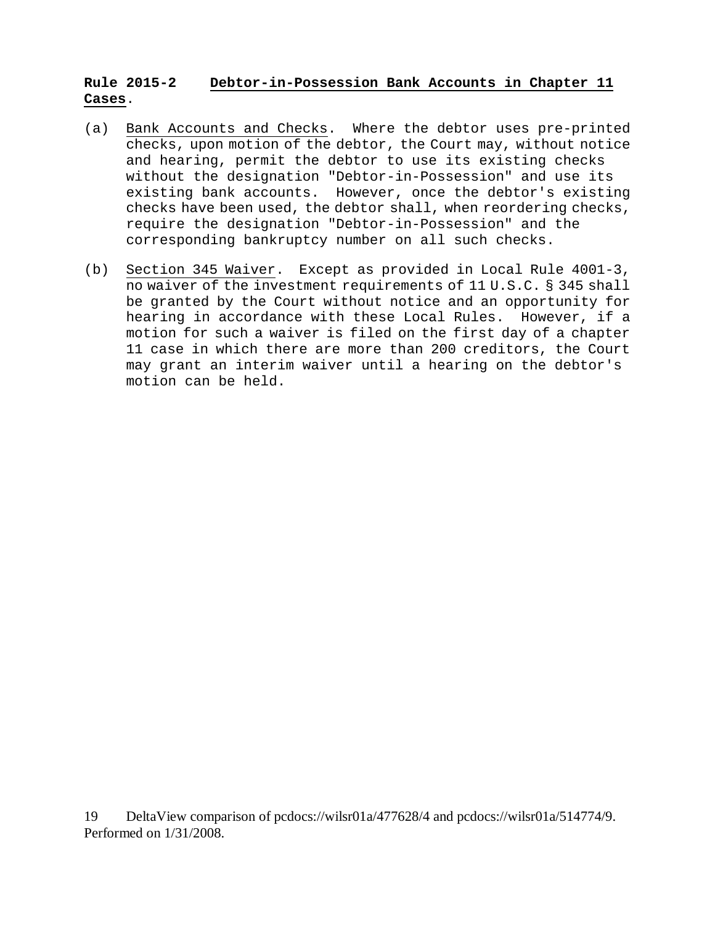# **Rule 2015-2 Debtor-in-Possession Bank Accounts in Chapter 11 Cases**.

- (a) Bank Accounts and Checks. Where the debtor uses pre-printed checks, upon motion of the debtor, the Court may, without notice and hearing, permit the debtor to use its existing checks without the designation "Debtor-in-Possession" and use its existing bank accounts. However, once the debtor's existing checks have been used, the debtor shall, when reordering checks, require the designation "Debtor-in-Possession" and the corresponding bankruptcy number on all such checks.
- (b) Section 345 Waiver. Except as provided in Local Rule 4001-3, no waiver of the investment requirements of 11 U.S.C. § 345 shall be granted by the Court without notice and an opportunity for hearing in accordance with these Local Rules. However, if a motion for such a waiver is filed on the first day of a chapter 11 case in which there are more than 200 creditors, the Court may grant an interim waiver until a hearing on the debtor's motion can be held.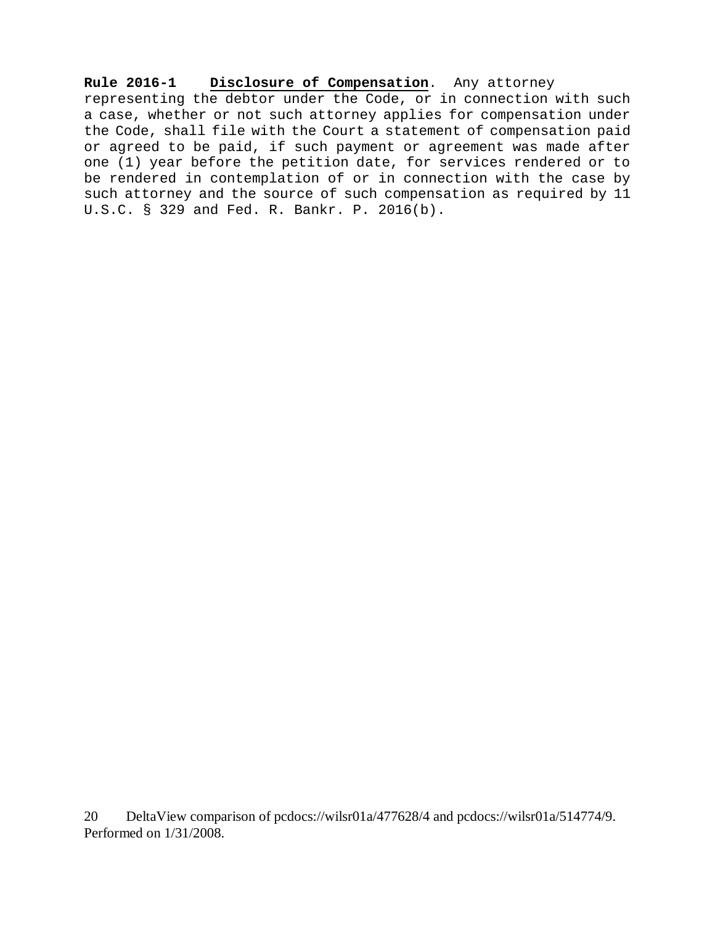**Rule 2016-1 Disclosure of Compensation**. Any attorney representing the debtor under the Code, or in connection with such a case, whether or not such attorney applies for compensation under the Code, shall file with the Court a statement of compensation paid or agreed to be paid, if such payment or agreement was made after one (1) year before the petition date, for services rendered or to be rendered in contemplation of or in connection with the case by such attorney and the source of such compensation as required by 11 U.S.C. § 329 and Fed. R. Bankr. P. 2016(b).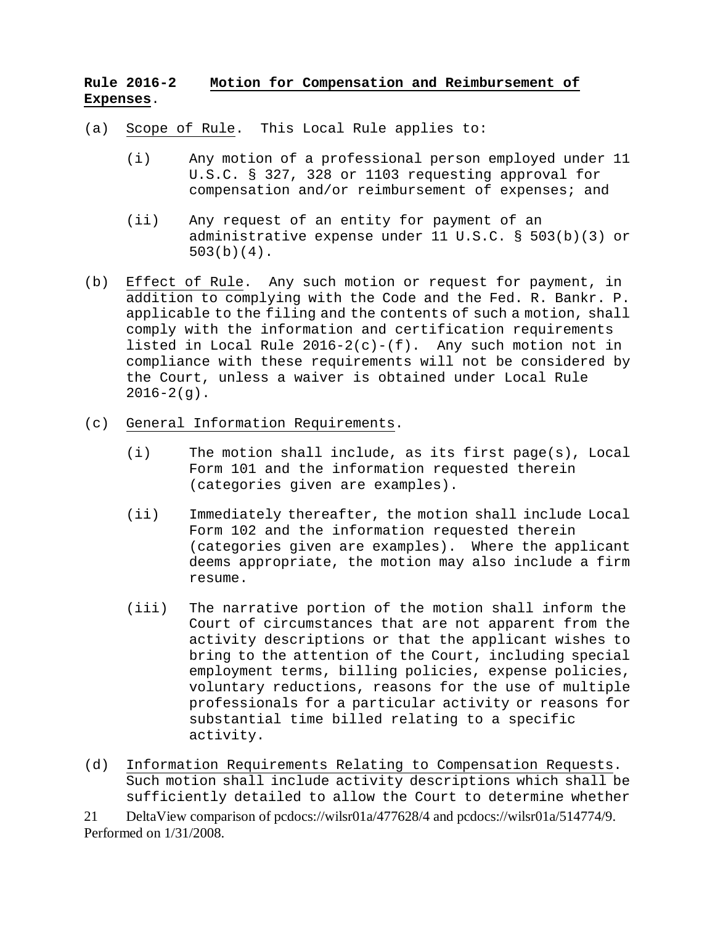# **Rule 2016-2 Motion for Compensation and Reimbursement of Expenses**.

- (a) Scope of Rule. This Local Rule applies to:
	- (i) Any motion of a professional person employed under 11 U.S.C. § 327, 328 or 1103 requesting approval for compensation and/or reimbursement of expenses; and
	- (ii) Any request of an entity for payment of an administrative expense under 11 U.S.C. § 503(b)(3) or 503(b)(4).
- (b) Effect of Rule. Any such motion or request for payment, in addition to complying with the Code and the Fed. R. Bankr. P. applicable to the filing and the contents of such a motion, shall comply with the information and certification requirements listed in Local Rule  $2016-2(c)-(f)$ . Any such motion not in compliance with these requirements will not be considered by the Court, unless a waiver is obtained under Local Rule  $2016-2(q)$ .
- (c) General Information Requirements.
	- (i) The motion shall include, as its first page(s), Local Form 101 and the information requested therein (categories given are examples).
	- (ii) Immediately thereafter, the motion shall include Local Form 102 and the information requested therein (categories given are examples). Where the applicant deems appropriate, the motion may also include a firm resume.
	- (iii) The narrative portion of the motion shall inform the Court of circumstances that are not apparent from the activity descriptions or that the applicant wishes to bring to the attention of the Court, including special employment terms, billing policies, expense policies, voluntary reductions, reasons for the use of multiple professionals for a particular activity or reasons for substantial time billed relating to a specific activity.
- (d) Information Requirements Relating to Compensation Requests. Such motion shall include activity descriptions which shall be sufficiently detailed to allow the Court to determine whether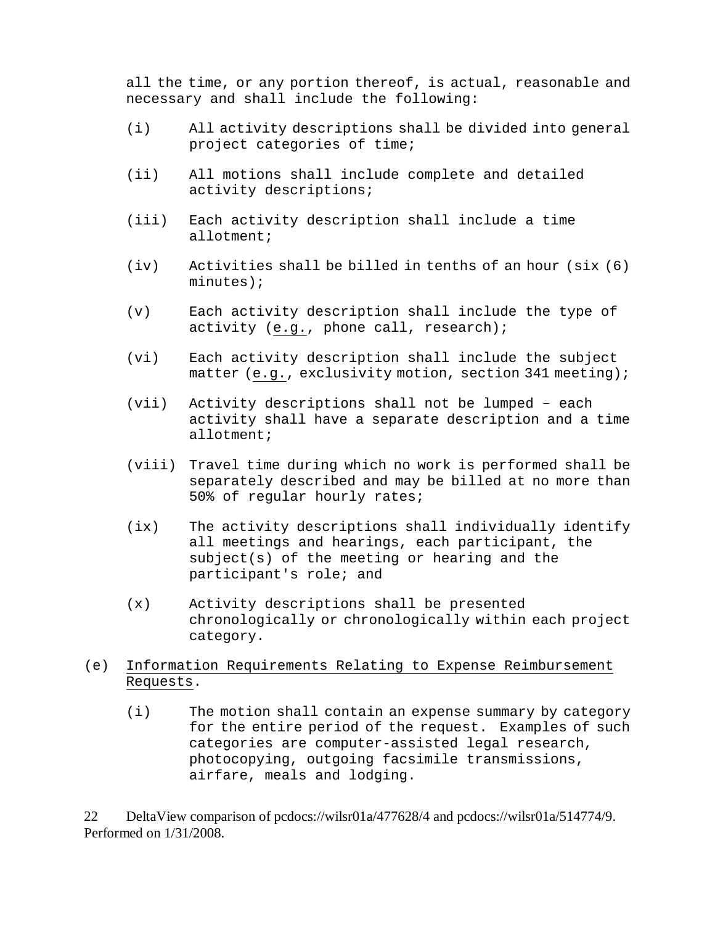all the time, or any portion thereof, is actual, reasonable and necessary and shall include the following:

- (i) All activity descriptions shall be divided into general project categories of time;
- (ii) All motions shall include complete and detailed activity descriptions;
- (iii) Each activity description shall include a time allotment;
- (iv) Activities shall be billed in tenths of an hour (six (6) minutes);
- (v) Each activity description shall include the type of activity (e.g., phone call, research);
- (vi) Each activity description shall include the subject matter (e.g., exclusivity motion, section 341 meeting);
- (vii) Activity descriptions shall not be lumped each activity shall have a separate description and a time allotment;
- (viii) Travel time during which no work is performed shall be separately described and may be billed at no more than 50% of regular hourly rates;
- (ix) The activity descriptions shall individually identify all meetings and hearings, each participant, the subject(s) of the meeting or hearing and the participant's role; and
- (x) Activity descriptions shall be presented chronologically or chronologically within each project category.
- (e) Information Requirements Relating to Expense Reimbursement Requests.
	- (i) The motion shall contain an expense summary by category for the entire period of the request. Examples of such categories are computer-assisted legal research, photocopying, outgoing facsimile transmissions, airfare, meals and lodging.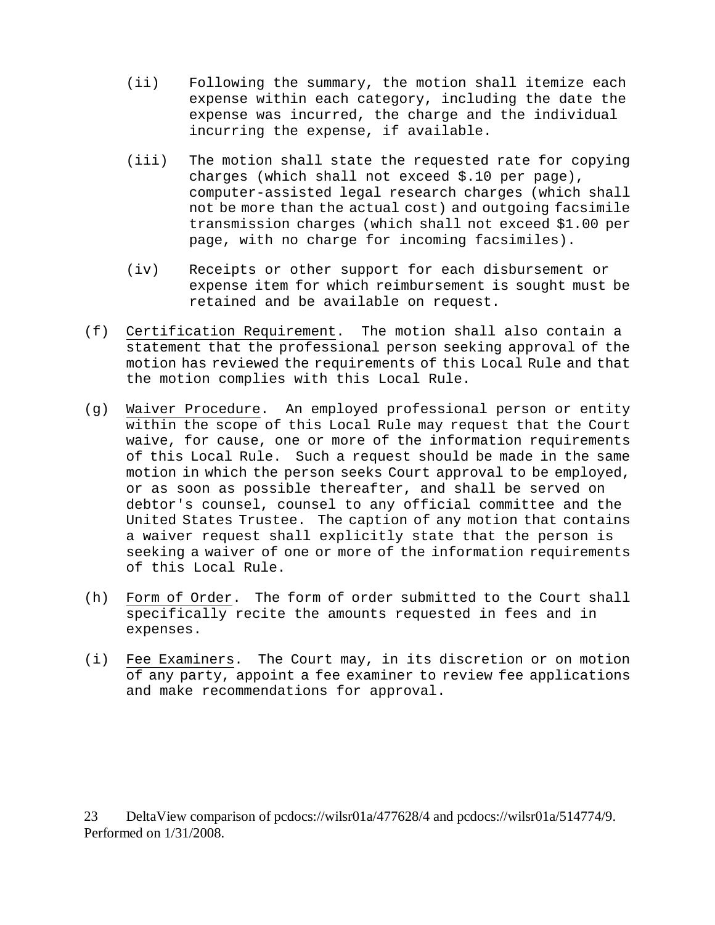- (ii) Following the summary, the motion shall itemize each expense within each category, including the date the expense was incurred, the charge and the individual incurring the expense, if available.
- (iii) The motion shall state the requested rate for copying charges (which shall not exceed \$.10 per page), computer-assisted legal research charges (which shall not be more than the actual cost) and outgoing facsimile transmission charges (which shall not exceed \$1.00 per page, with no charge for incoming facsimiles).
- (iv) Receipts or other support for each disbursement or expense item for which reimbursement is sought must be retained and be available on request.
- (f) Certification Requirement. The motion shall also contain a statement that the professional person seeking approval of the motion has reviewed the requirements of this Local Rule and that the motion complies with this Local Rule.
- (g) Waiver Procedure. An employed professional person or entity within the scope of this Local Rule may request that the Court waive, for cause, one or more of the information requirements of this Local Rule. Such a request should be made in the same motion in which the person seeks Court approval to be employed, or as soon as possible thereafter, and shall be served on debtor's counsel, counsel to any official committee and the United States Trustee. The caption of any motion that contains a waiver request shall explicitly state that the person is seeking a waiver of one or more of the information requirements of this Local Rule.
- (h) Form of Order. The form of order submitted to the Court shall specifically recite the amounts requested in fees and in expenses.
- (i) Fee Examiners. The Court may, in its discretion or on motion of any party, appoint a fee examiner to review fee applications and make recommendations for approval.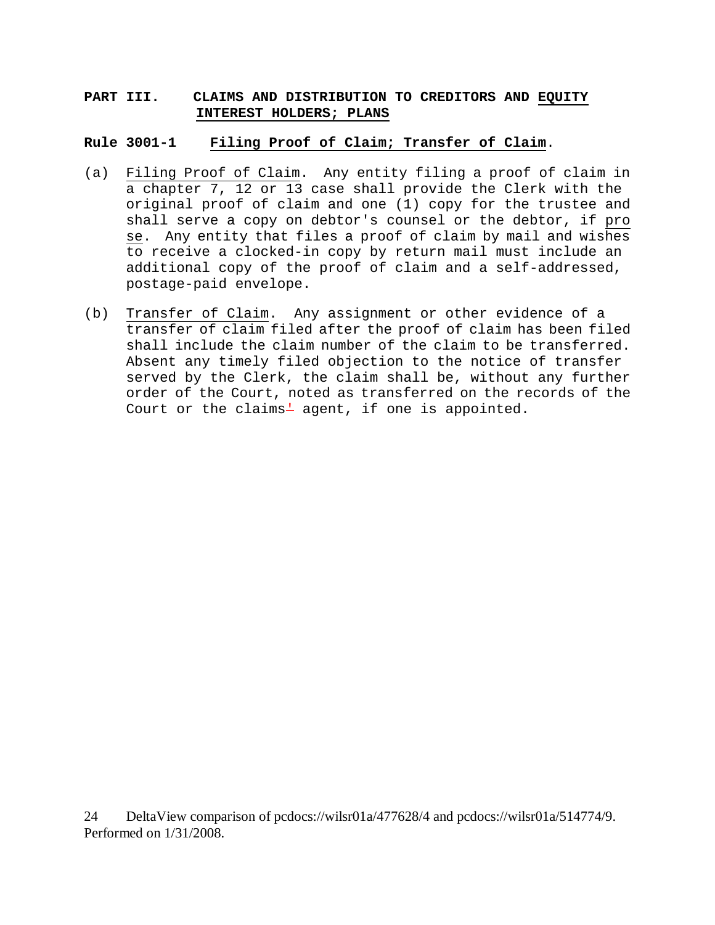### **PART III. CLAIMS AND DISTRIBUTION TO CREDITORS AND EQUITY INTEREST HOLDERS; PLANS**

#### **Rule 3001-1 Filing Proof of Claim; Transfer of Claim**.

- (a) Filing Proof of Claim. Any entity filing a proof of claim in a chapter 7, 12 or 13 case shall provide the Clerk with the original proof of claim and one (1) copy for the trustee and shall serve a copy on debtor's counsel or the debtor, if pro se. Any entity that files a proof of claim by mail and wishes to receive a clocked-in copy by return mail must include an additional copy of the proof of claim and a self-addressed, postage-paid envelope.
- (b) Transfer of Claim. Any assignment or other evidence of a transfer of claim filed after the proof of claim has been filed shall include the claim number of the claim to be transferred. Absent any timely filed objection to the notice of transfer served by the Clerk, the claim shall be, without any further order of the Court, noted as transferred on the records of the Court or the claims $+$  agent, if one is appointed.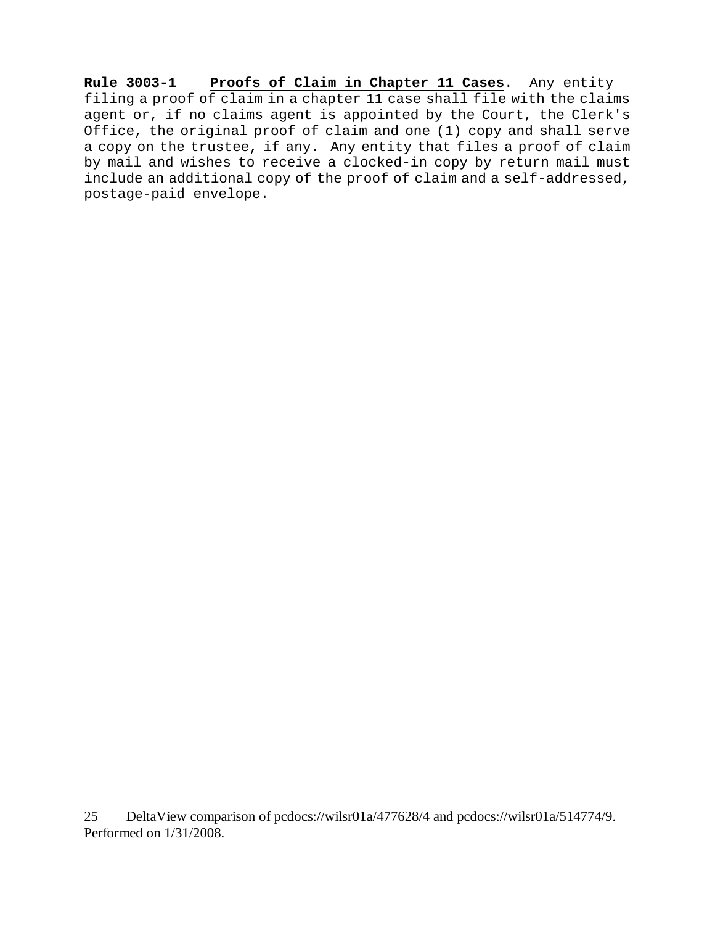**Rule 3003-1 Proofs of Claim in Chapter 11 Cases**. Any entity filing a proof of claim in a chapter 11 case shall file with the claims agent or, if no claims agent is appointed by the Court, the Clerk's Office, the original proof of claim and one (1) copy and shall serve a copy on the trustee, if any. Any entity that files a proof of claim by mail and wishes to receive a clocked-in copy by return mail must include an additional copy of the proof of claim and a self-addressed, postage-paid envelope.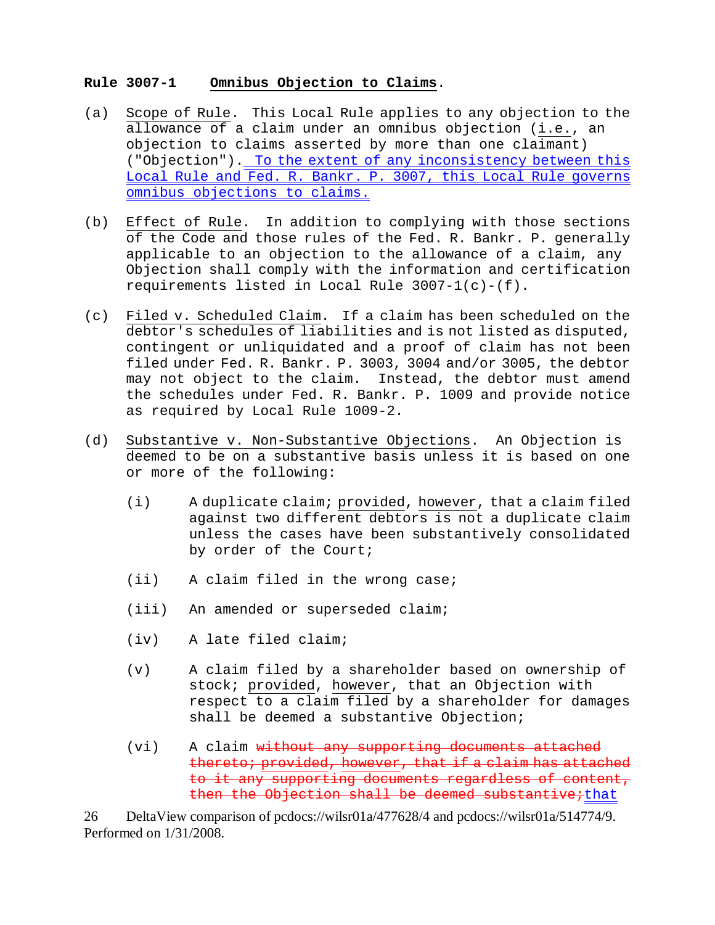### **Rule 3007-1 Omnibus Objection to Claims**.

- (a) Scope of Rule. This Local Rule applies to any objection to the allowance of a claim under an omnibus objection (i.e., an objection to claims asserted by more than one claimant) ("Objection"). To the extent of any inconsistency between this Local Rule and Fed. R. Bankr. P. 3007, this Local Rule governs omnibus objections to claims.
- (b) Effect of Rule. In addition to complying with those sections of the Code and those rules of the Fed. R. Bankr. P. generally applicable to an objection to the allowance of a claim, any Objection shall comply with the information and certification requirements listed in Local Rule 3007-1(c)-(f).
- (c) Filed v. Scheduled Claim. If a claim has been scheduled on the debtor's schedules of liabilities and is not listed as disputed, contingent or unliquidated and a proof of claim has not been filed under Fed. R. Bankr. P. 3003, 3004 and/or 3005, the debtor may not object to the claim. Instead, the debtor must amend the schedules under Fed. R. Bankr. P. 1009 and provide notice as required by Local Rule 1009-2.
- (d) Substantive v. Non-Substantive Objections. An Objection is deemed to be on a substantive basis unless it is based on one or more of the following:
	- (i) A duplicate claim; provided, however, that a claim filed against two different debtors is not a duplicate claim unless the cases have been substantively consolidated by order of the Court;
	- (ii) A claim filed in the wrong case;
	- (iii) An amended or superseded claim;
	- (iv) A late filed claim;
	- (v) A claim filed by a shareholder based on ownership of stock; provided, however, that an Objection with respect to a claim filed by a shareholder for damages shall be deemed a substantive Objection;
	- (vi) A claim without any supporting documents attached thereto; provided, however, that if a claim has attached to it any supporting documents regardless of content, then the Objection shall be deemed substantive; that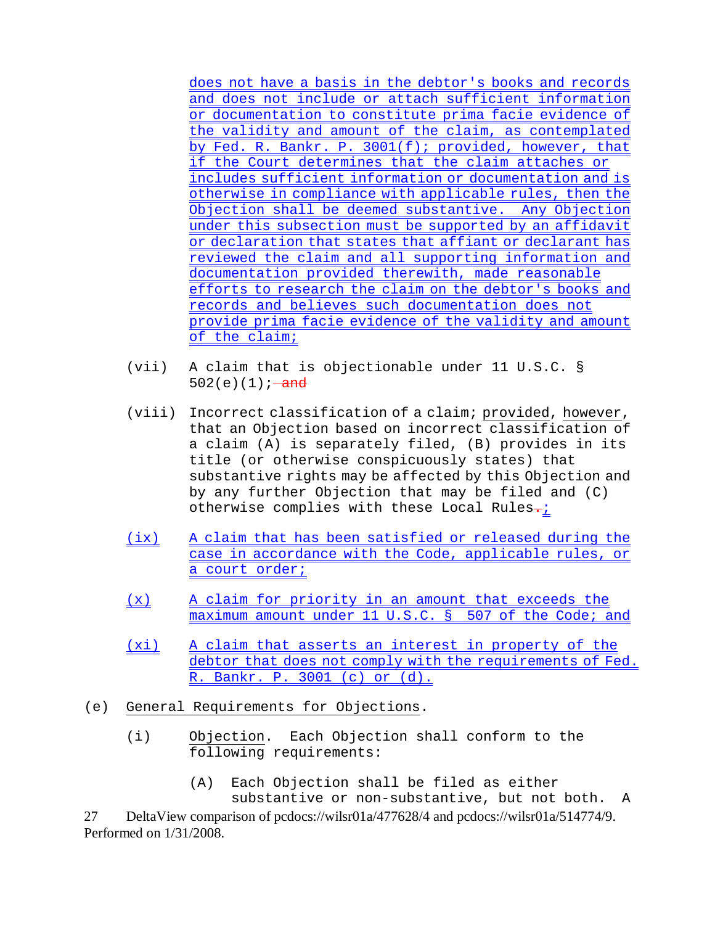does not have a basis in the debtor's books and records and does not include or attach sufficient information or documentation to constitute prima facie evidence of the validity and amount of the claim, as contemplated by Fed. R. Bankr. P. 3001(f); provided, however, that if the Court determines that the claim attaches or includes sufficient information or documentation and is otherwise in compliance with applicable rules, then the Objection shall be deemed substantive. Any Objection under this subsection must be supported by an affidavit or declaration that states that affiant or declarant has reviewed the claim and all supporting information and documentation provided therewith, made reasonable efforts to research the claim on the debtor's books and records and believes such documentation does not provide prima facie evidence of the validity and amount of the claim;

- (vii) A claim that is objectionable under 11 U.S.C. § 502(e)(1);  $-\text{and}$
- (viii) Incorrect classification of a claim; provided, however, that an Objection based on incorrect classification of a claim (A) is separately filed, (B) provides in its title (or otherwise conspicuously states) that substantive rights may be affected by this Objection and by any further Objection that may be filed and (C) otherwise complies with these Local Rules-;
- (ix) A claim that has been satisfied or released during the case in accordance with the Code, applicable rules, or a court order;
- (x) A claim for priority in an amount that exceeds the maximum amount under 11 U.S.C. § 507 of the Code; and
- (xi) A claim that asserts an interest in property of the debtor that does not comply with the requirements of Fed. R. Bankr. P. 3001 (c) or (d).
- (e) General Requirements for Objections.
	- (i) Objection. Each Objection shall conform to the following requirements:
		- (A) Each Objection shall be filed as either substantive or non-substantive, but not both. A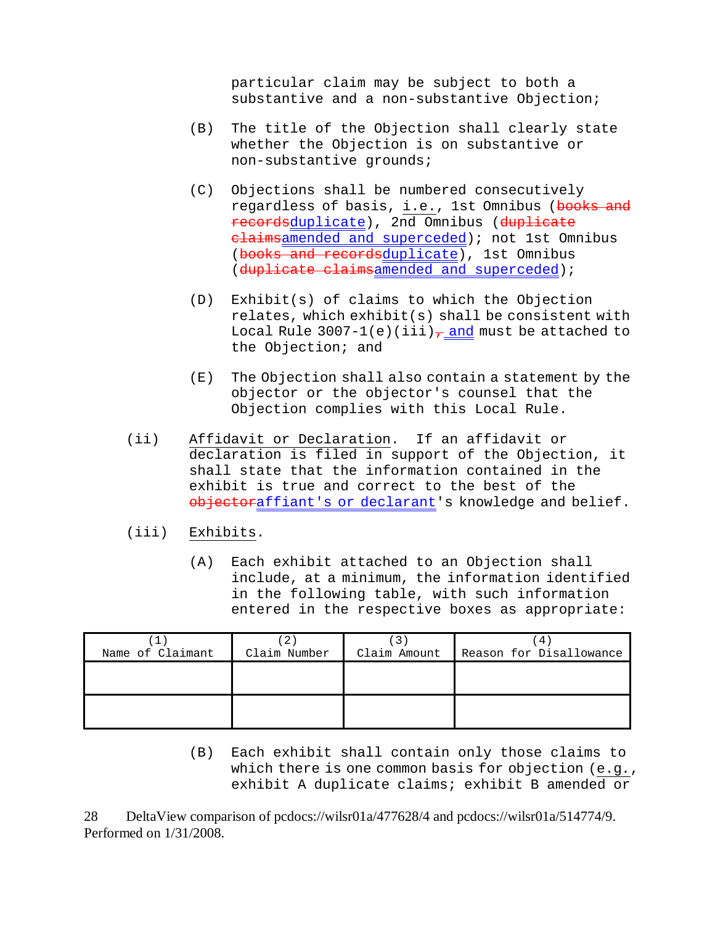particular claim may be subject to both a substantive and a non-substantive Objection;

- (B) The title of the Objection shall clearly state whether the Objection is on substantive or non-substantive grounds;
- (C) Objections shall be numbered consecutively regardless of basis, i.e., 1st Omnibus (books and recordsduplicate), 2nd Omnibus (duplicate elaimsamended and superceded); not 1st Omnibus (books and recordsduplicate), 1st Omnibus (duplicate claimsamended and superceded);
- (D) Exhibit(s) of claims to which the Objection relates, which exhibit(s) shall be consistent with Local Rule 3007-1(e)(iii) $\frac{1}{f}$  and must be attached to the Objection; and
- (E) The Objection shall also contain a statement by the objector or the objector's counsel that the Objection complies with this Local Rule.
- (ii) Affidavit or Declaration. If an affidavit or declaration is filed in support of the Objection, it shall state that the information contained in the exhibit is true and correct to the best of the objectoraffiant's or declarant's knowledge and belief.
- (iii) Exhibits.
	- (A) Each exhibit attached to an Objection shall include, at a minimum, the information identified in the following table, with such information entered in the respective boxes as appropriate:

|                  |              |              | 4                       |
|------------------|--------------|--------------|-------------------------|
| Name of Claimant | Claim Number | Claim Amount | Reason for Disallowance |
|                  |              |              |                         |
|                  |              |              |                         |
|                  |              |              |                         |
|                  |              |              |                         |
|                  |              |              |                         |

(B) Each exhibit shall contain only those claims to which there is one common basis for objection (e.g*.*, exhibit A duplicate claims; exhibit B amended or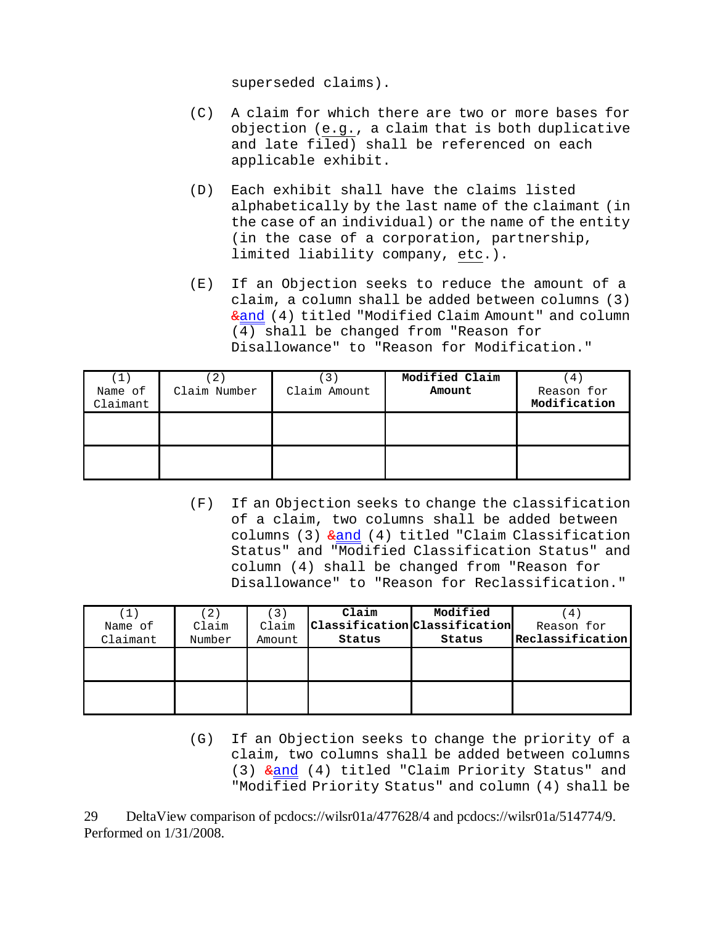superseded claims).

- (C) A claim for which there are two or more bases for objection (e.g., a claim that is both duplicative and late filed) shall be referenced on each applicable exhibit.
- (D) Each exhibit shall have the claims listed alphabetically by the last name of the claimant (in the case of an individual) or the name of the entity (in the case of a corporation, partnership, limited liability company, etc.).
- (E) If an Objection seeks to reduce the amount of a claim, a column shall be added between columns (3) &and (4) titled "Modified Claim Amount" and column (4) shall be changed from "Reason for Disallowance" to "Reason for Modification."

| $\left( \mathbf{1}\right)$<br>Name of | 2<br>Claim Number | Claim Amount | Modified Claim<br>Amount | $4 \,$<br>Reason for |
|---------------------------------------|-------------------|--------------|--------------------------|----------------------|
| Claimant                              |                   |              |                          | Modification         |
|                                       |                   |              |                          |                      |

(F) If an Objection seeks to change the classification of a claim, two columns shall be added between columns (3)  $\frac{1}{2}$  and (4) titled "Claim Classification Status" and "Modified Classification Status" and column (4) shall be changed from "Reason for Disallowance" to "Reason for Reclassification."

|          | 2)     | 【3】    | Claim                         | Modified | 4                |
|----------|--------|--------|-------------------------------|----------|------------------|
| Name of  | Claim  | Claim  | Classification Classification |          | Reason for       |
| Claimant | Number | Amount | Status                        | Status   | Reclassification |
|          |        |        |                               |          |                  |
|          |        |        |                               |          |                  |
|          |        |        |                               |          |                  |
|          |        |        |                               |          |                  |

(G) If an Objection seeks to change the priority of a claim, two columns shall be added between columns (3)  $\frac{1}{2}$  (4) titled "Claim Priority Status" and "Modified Priority Status" and column (4) shall be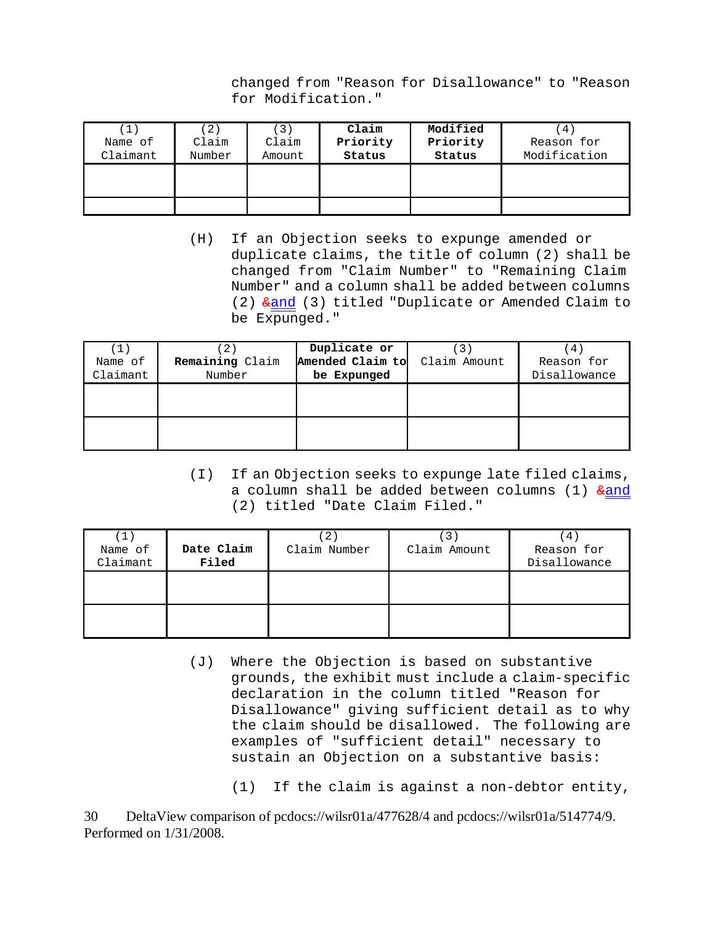changed from "Reason for Disallowance" to "Reason for Modification."

| $\left(\,1\,\right)$ | 2)     | $\lceil 3 \rceil$ | Claim    | Modified | 4)           |
|----------------------|--------|-------------------|----------|----------|--------------|
| Name of              | Claim  | Claim             | Priority | Priority | Reason for   |
| Claimant             | Number | Amount            | Status   | Status   | Modification |
|                      |        |                   |          |          |              |
|                      |        |                   |          |          |              |
|                      |        |                   |          |          |              |
|                      |        |                   |          |          |              |

(H) If an Objection seeks to expunge amended or duplicate claims, the title of column (2) shall be changed from "Claim Number" to "Remaining Claim Number" and a column shall be added between columns (2) &and (3) titled "Duplicate or Amended Claim to be Expunged."

| 1<br>Name of<br>Claimant | Remaining Claim<br>Number | Duplicate or<br>Amended Claim to<br>be Expunged | Claim Amount | 4<br>Reason for<br>Disallowance |
|--------------------------|---------------------------|-------------------------------------------------|--------------|---------------------------------|
|                          |                           |                                                 |              |                                 |
|                          |                           |                                                 |              |                                 |

(I) If an Objection seeks to expunge late filed claims, a column shall be added between columns (1)  $\frac{1}{2}$ (2) titled "Date Claim Filed."

| (1)<br>Name of<br>Claimant | Date Claim<br>Filed | $2^{\circ}$<br>Claim Number | $\mathbf{3}^{\circ}$<br>Claim Amount | $4^{\circ}$<br>Reason for<br>Disallowance |
|----------------------------|---------------------|-----------------------------|--------------------------------------|-------------------------------------------|
|                            |                     |                             |                                      |                                           |
|                            |                     |                             |                                      |                                           |

- (J) Where the Objection is based on substantive grounds, the exhibit must include a claim-specific declaration in the column titled "Reason for Disallowance" giving sufficient detail as to why the claim should be disallowed. The following are examples of "sufficient detail" necessary to sustain an Objection on a substantive basis:
	- (1) If the claim is against a non-debtor entity,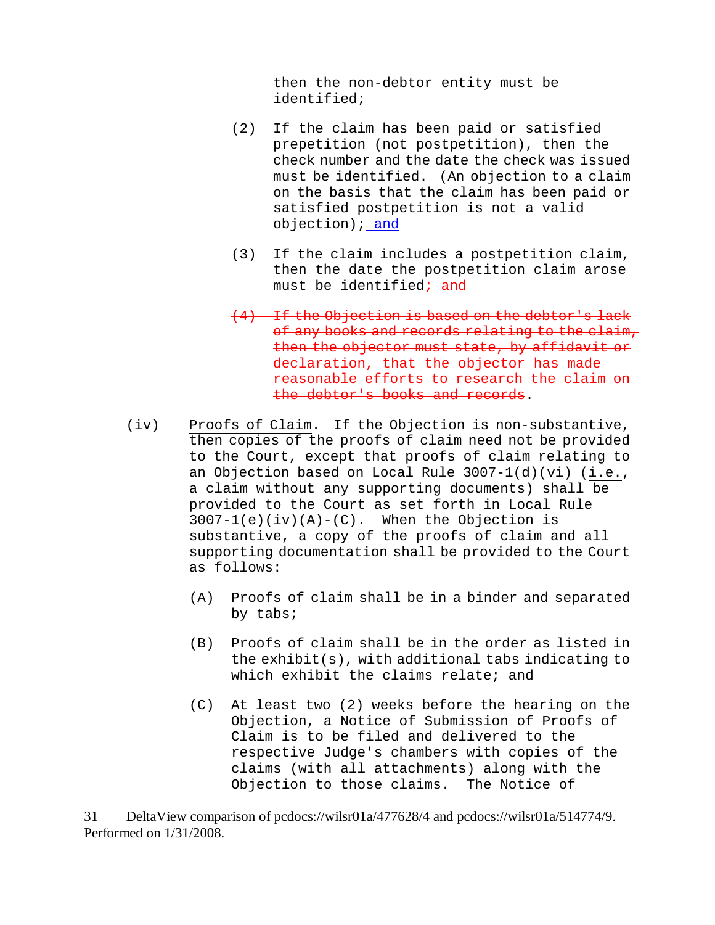then the non-debtor entity must be identified;

- (2) If the claim has been paid or satisfied prepetition (not postpetition), then the check number and the date the check was issued must be identified. (An objection to a claim on the basis that the claim has been paid or satisfied postpetition is not a valid objection) *i* and
- (3) If the claim includes a postpetition claim, then the date the postpetition claim arose must be identified<del>; and</del>
- (4) If the Objection is based on the debtor's lack of any books and records relating to the claim, then the objector must state, by affidavit or declaration, that the objector has made reasonable efforts to research the claim on the debtor's books and records.
- (iv) Proofs of Claim. If the Objection is non-substantive, then copies of the proofs of claim need not be provided to the Court, except that proofs of claim relating to an Objection based on Local Rule 3007-1(d)(vi) (i.e., a claim without any supporting documents) shall be provided to the Court as set forth in Local Rule  $3007-1(e)(iv)(A)-(C)$ . When the Objection is substantive, a copy of the proofs of claim and all supporting documentation shall be provided to the Court as follows:
	- (A) Proofs of claim shall be in a binder and separated by tabs;
	- (B) Proofs of claim shall be in the order as listed in the exhibit(s), with additional tabs indicating to which exhibit the claims relate; and
	- (C) At least two (2) weeks before the hearing on the Objection, a Notice of Submission of Proofs of Claim is to be filed and delivered to the respective Judge's chambers with copies of the claims (with all attachments) along with the Objection to those claims. The Notice of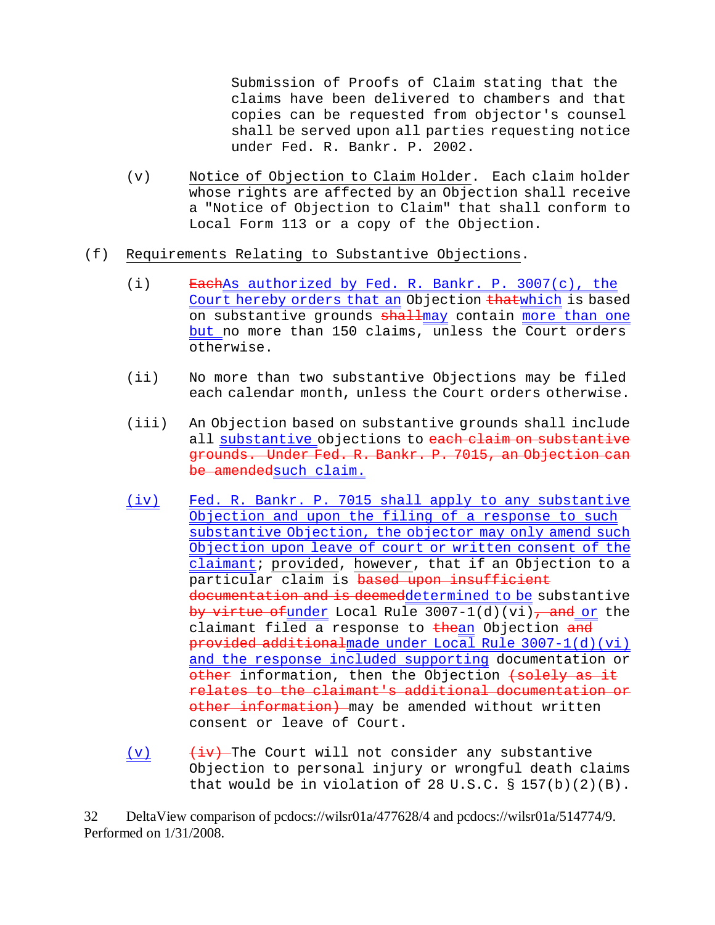Submission of Proofs of Claim stating that the claims have been delivered to chambers and that copies can be requested from objector's counsel shall be served upon all parties requesting notice under Fed. R. Bankr. P. 2002.

- (v) Notice of Objection to Claim Holder. Each claim holder whose rights are affected by an Objection shall receive a "Notice of Objection to Claim" that shall conform to Local Form 113 or a copy of the Objection.
- (f) Requirements Relating to Substantive Objections.
	- (i)  $\overline{\text{Each}}$ As authorized by Fed. R. Bankr. P. 3007(c), the Court hereby orders that an Objection thatwhich is based on substantive grounds shallmay contain more than one but no more than 150 claims, unless the Court orders otherwise.
	- (ii) No more than two substantive Objections may be filed each calendar month, unless the Court orders otherwise.
	- (iii) An Objection based on substantive grounds shall include all substantive objections to each claim on substantive grounds. Under Fed. R. Bankr. P. 7015, an Objection can be amendedsuch claim.
	- (iv) Fed. R. Bankr. P. 7015 shall apply to any substantive Objection and upon the filing of a response to such substantive Objection, the objector may only amend such Objection upon leave of court or written consent of the claimant; provided, however, that if an Objection to a particular claim is based upon insufficient documentation and is deemeddetermined to be substantive by virtue of under Local Rule  $3007-1(d)(vi)$ , and or the claimant filed a response to thean Objection and provided additionalmade under Local Rule 3007-1(d)(vi) and the response included supporting documentation or other information, then the Objection (solely as it relates to the claimant's additional documentation or other information) may be amended without written consent or leave of Court.
	- (v)  $\frac{div}{div}$  The Court will not consider any substantive Objection to personal injury or wrongful death claims that would be in violation of 28 U.S.C.  $\S$  157(b)(2)(B).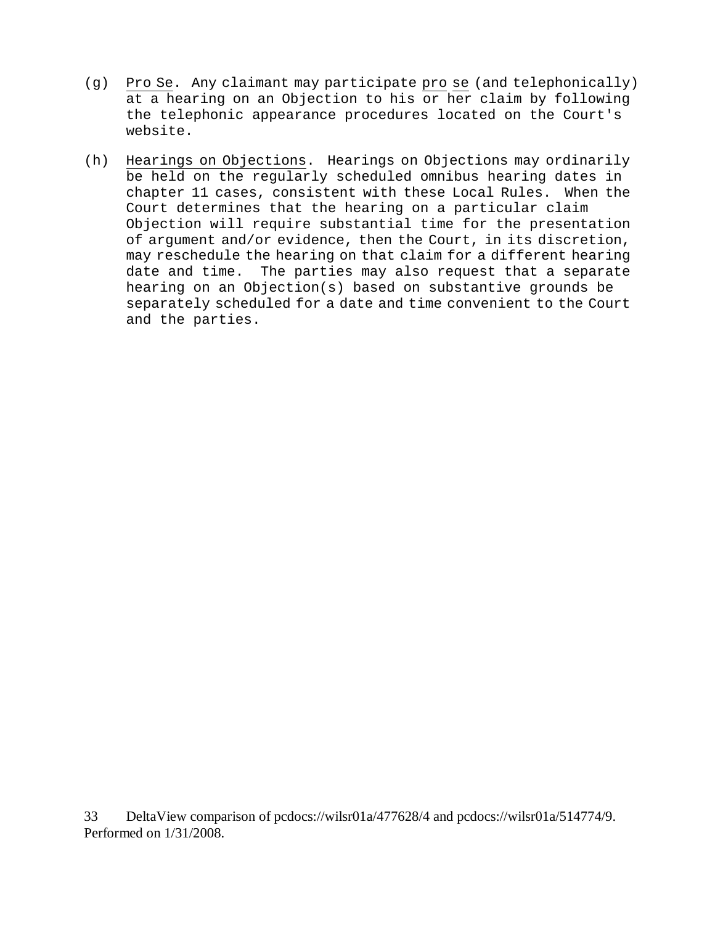- (g) Pro Se. Any claimant may participate pro se (and telephonically) at a hearing on an Objection to his or her claim by following the telephonic appearance procedures located on the Court's website.
- (h) Hearings on Objections. Hearings on Objections may ordinarily be held on the regularly scheduled omnibus hearing dates in chapter 11 cases, consistent with these Local Rules. When the Court determines that the hearing on a particular claim Objection will require substantial time for the presentation of argument and/or evidence, then the Court, in its discretion, may reschedule the hearing on that claim for a different hearing date and time. The parties may also request that a separate hearing on an Objection(s) based on substantive grounds be separately scheduled for a date and time convenient to the Court and the parties.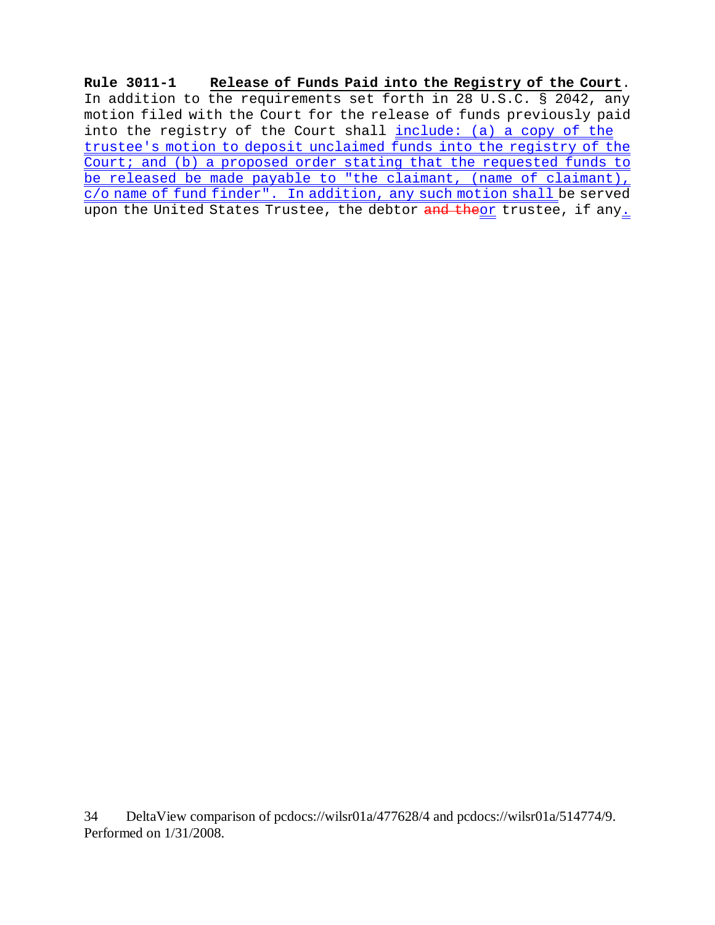**Rule 3011-1 Release of Funds Paid into the Registry of the Court**. In addition to the requirements set forth in 28 U.S.C. § 2042, any motion filed with the Court for the release of funds previously paid into the registry of the Court shall include: (a) a copy of the trustee's motion to deposit unclaimed funds into the registry of the Court; and (b) a proposed order stating that the requested funds to be released be made payable to "the claimant, (name of claimant), c/o name of fund finder". In addition, any such motion shall be served upon the United States Trustee, the debtor and theor trustee, if any.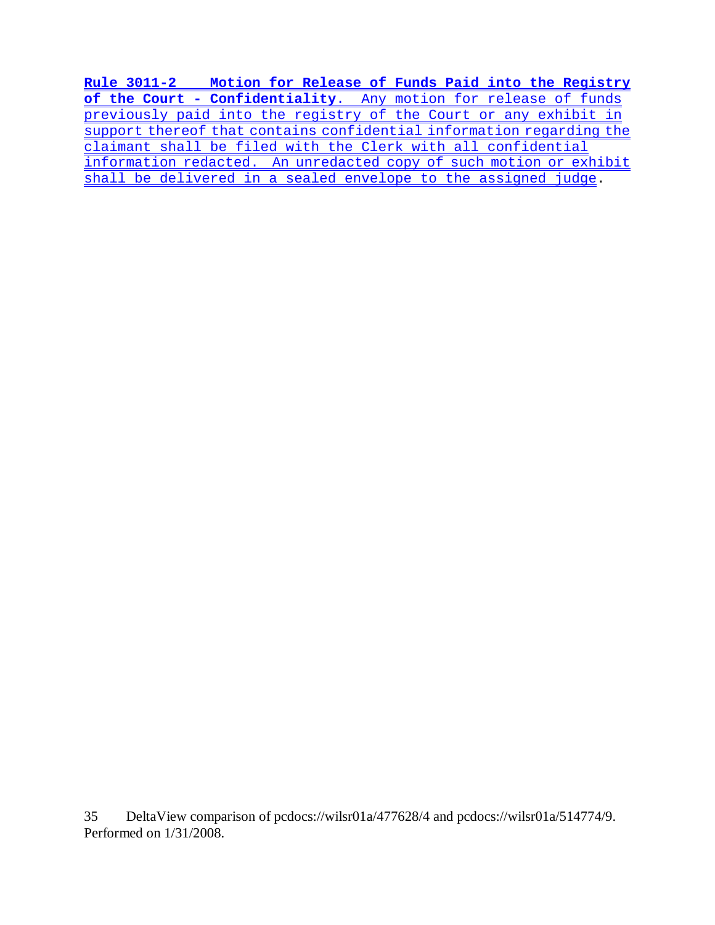**Rule 3011-2 Motion for Release of Funds Paid into the Registry of the Court - Confidentiality**. Any motion for release of funds previously paid into the registry of the Court or any exhibit in support thereof that contains confidential information regarding the claimant shall be filed with the Clerk with all confidential information redacted. An unredacted copy of such motion or exhibit shall be delivered in a sealed envelope to the assigned judge.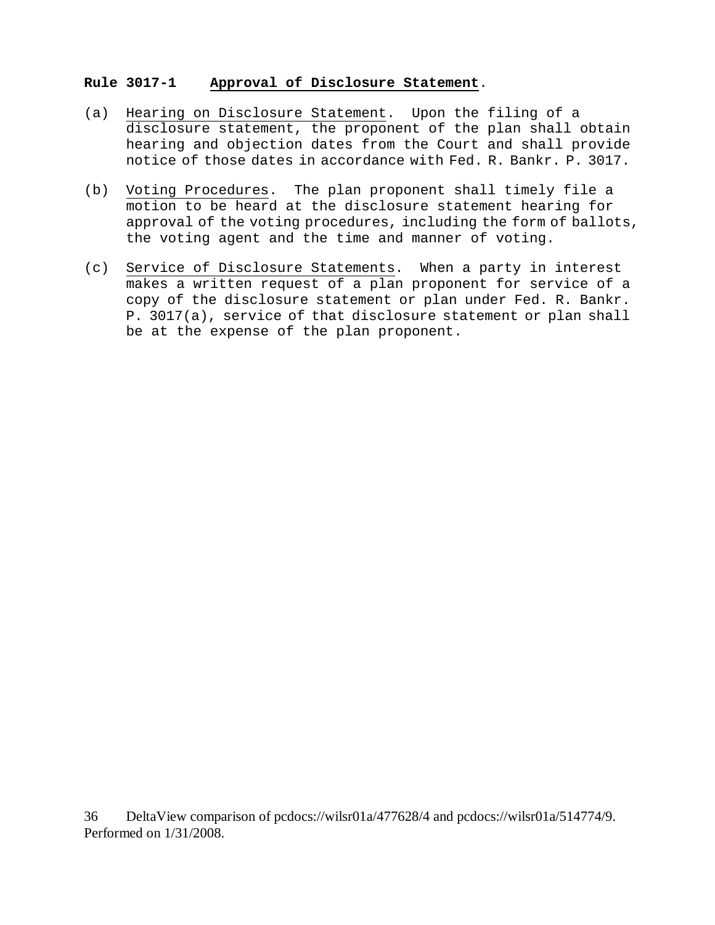# **Rule 3017-1 Approval of Disclosure Statement**.

- (a) Hearing on Disclosure Statement. Upon the filing of a disclosure statement, the proponent of the plan shall obtain hearing and objection dates from the Court and shall provide notice of those dates in accordance with Fed. R. Bankr. P. 3017.
- (b) Voting Procedures. The plan proponent shall timely file a motion to be heard at the disclosure statement hearing for approval of the voting procedures, including the form of ballots, the voting agent and the time and manner of voting.
- (c) Service of Disclosure Statements. When a party in interest makes a written request of a plan proponent for service of a copy of the disclosure statement or plan under Fed. R. Bankr. P. 3017(a), service of that disclosure statement or plan shall be at the expense of the plan proponent.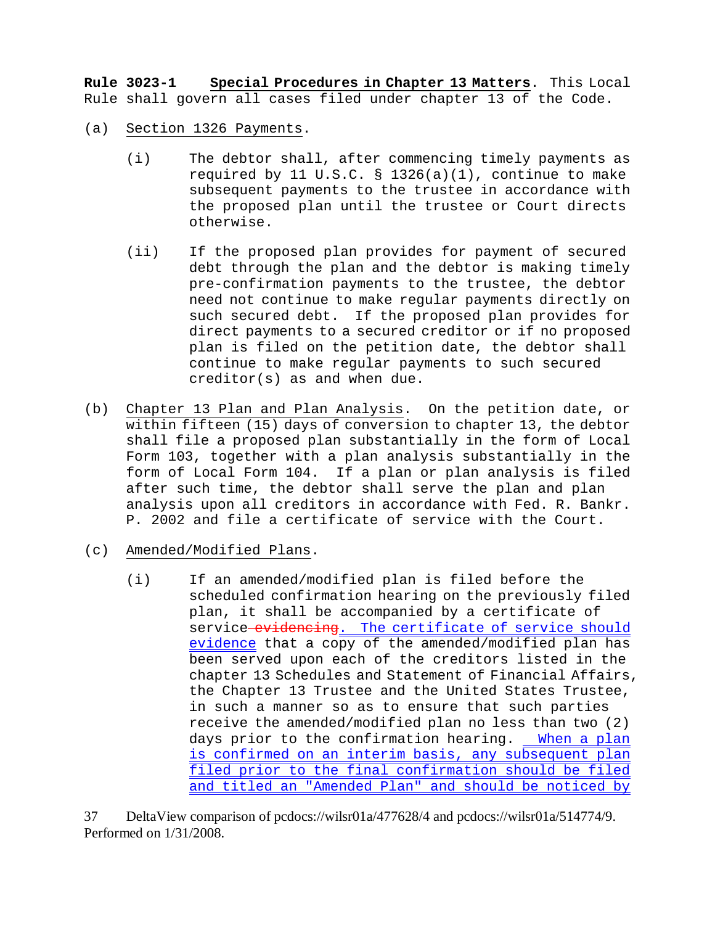**Rule 3023-1 Special Procedures in Chapter 13 Matters**. This Local Rule shall govern all cases filed under chapter 13 of the Code.

- (a) Section 1326 Payments.
	- (i) The debtor shall, after commencing timely payments as required by 11 U.S.C. § 1326(a)(1), continue to make subsequent payments to the trustee in accordance with the proposed plan until the trustee or Court directs otherwise.
	- (ii) If the proposed plan provides for payment of secured debt through the plan and the debtor is making timely pre-confirmation payments to the trustee, the debtor need not continue to make regular payments directly on such secured debt. If the proposed plan provides for direct payments to a secured creditor or if no proposed plan is filed on the petition date, the debtor shall continue to make regular payments to such secured creditor(s) as and when due.
- (b) Chapter 13 Plan and Plan Analysis. On the petition date, or within fifteen (15) days of conversion to chapter 13, the debtor shall file a proposed plan substantially in the form of Local Form 103, together with a plan analysis substantially in the form of Local Form 104. If a plan or plan analysis is filed after such time, the debtor shall serve the plan and plan analysis upon all creditors in accordance with Fed. R. Bankr. P. 2002 and file a certificate of service with the Court.
- (c) Amended/Modified Plans.
	- (i) If an amended/modified plan is filed before the scheduled confirmation hearing on the previously filed plan, it shall be accompanied by a certificate of service evidencing. The certificate of service should evidence that a copy of the amended/modified plan has been served upon each of the creditors listed in the chapter 13 Schedules and Statement of Financial Affairs, the Chapter 13 Trustee and the United States Trustee, in such a manner so as to ensure that such parties receive the amended/modified plan no less than two (2) days prior to the confirmation hearing. When a plan is confirmed on an interim basis, any subsequent plan filed prior to the final confirmation should be filed and titled an "Amended Plan" and should be noticed by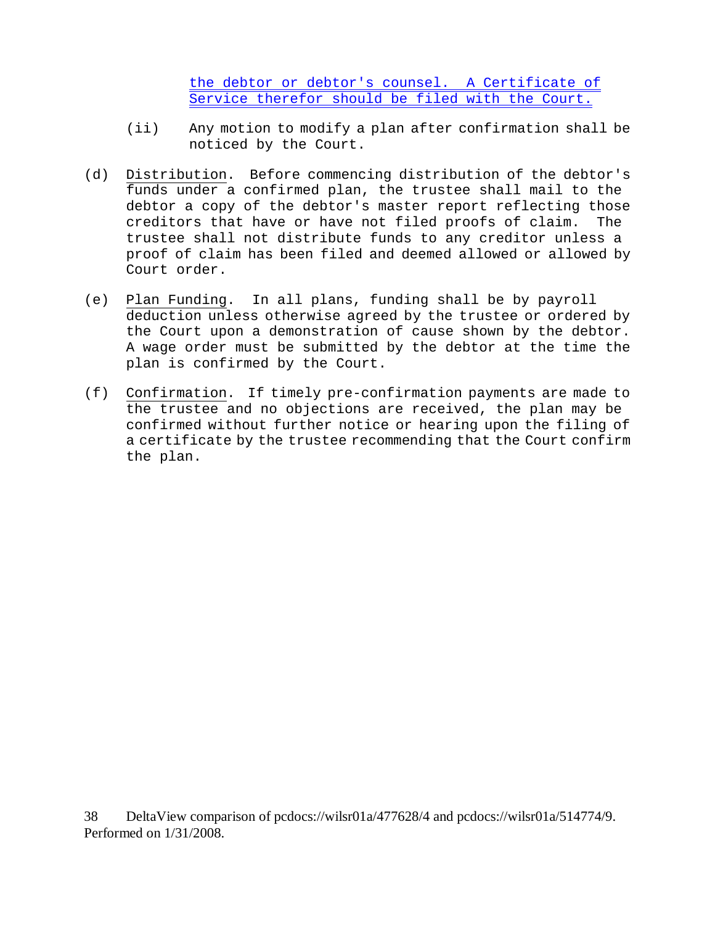the debtor or debtor's counsel. A Certificate of Service therefor should be filed with the Court.

- (ii) Any motion to modify a plan after confirmation shall be noticed by the Court.
- (d) Distribution. Before commencing distribution of the debtor's funds under a confirmed plan, the trustee shall mail to the debtor a copy of the debtor's master report reflecting those creditors that have or have not filed proofs of claim. The trustee shall not distribute funds to any creditor unless a proof of claim has been filed and deemed allowed or allowed by Court order.
- (e) Plan Funding. In all plans, funding shall be by payroll deduction unless otherwise agreed by the trustee or ordered by the Court upon a demonstration of cause shown by the debtor. A wage order must be submitted by the debtor at the time the plan is confirmed by the Court.
- (f) Confirmation. If timely pre-confirmation payments are made to the trustee and no objections are received, the plan may be confirmed without further notice or hearing upon the filing of a certificate by the trustee recommending that the Court confirm the plan.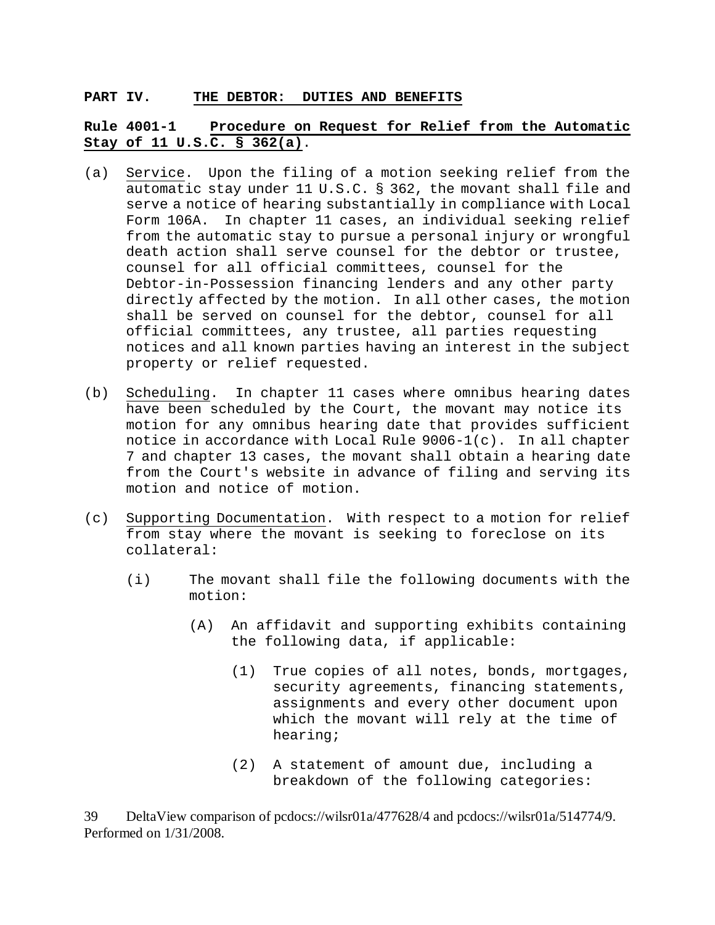#### **PART IV. THE DEBTOR: DUTIES AND BENEFITS**

# **Rule 4001-1 Procedure on Request for Relief from the Automatic Stay of 11 U.S.C. § 362(a)**.

- (a) Service. Upon the filing of a motion seeking relief from the automatic stay under 11 U.S.C. § 362, the movant shall file and serve a notice of hearing substantially in compliance with Local Form 106A. In chapter 11 cases, an individual seeking relief from the automatic stay to pursue a personal injury or wrongful death action shall serve counsel for the debtor or trustee, counsel for all official committees, counsel for the Debtor-in-Possession financing lenders and any other party directly affected by the motion. In all other cases, the motion shall be served on counsel for the debtor, counsel for all official committees, any trustee, all parties requesting notices and all known parties having an interest in the subject property or relief requested.
- (b) Scheduling. In chapter 11 cases where omnibus hearing dates have been scheduled by the Court, the movant may notice its motion for any omnibus hearing date that provides sufficient notice in accordance with Local Rule 9006-1(c). In all chapter 7 and chapter 13 cases, the movant shall obtain a hearing date from the Court's website in advance of filing and serving its motion and notice of motion.
- (c) Supporting Documentation. With respect to a motion for relief from stay where the movant is seeking to foreclose on its collateral:
	- (i) The movant shall file the following documents with the motion:
		- (A) An affidavit and supporting exhibits containing the following data, if applicable:
			- (1) True copies of all notes, bonds, mortgages, security agreements, financing statements, assignments and every other document upon which the movant will rely at the time of hearing;
			- (2) A statement of amount due, including a breakdown of the following categories: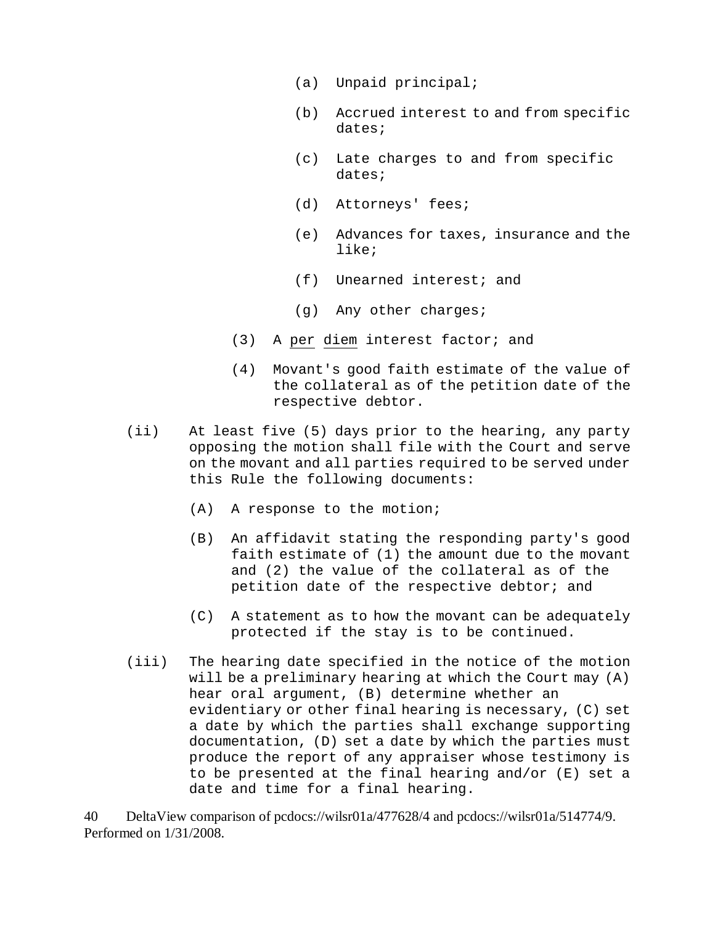- (a) Unpaid principal;
- (b) Accrued interest to and from specific dates;
- (c) Late charges to and from specific dates;
- (d) Attorneys' fees;
- (e) Advances for taxes, insurance and the like;
- (f) Unearned interest; and
- (g) Any other charges;
- (3) A per diem interest factor; and
- (4) Movant's good faith estimate of the value of the collateral as of the petition date of the respective debtor.
- (ii) At least five (5) days prior to the hearing, any party opposing the motion shall file with the Court and serve on the movant and all parties required to be served under this Rule the following documents:
	- (A) A response to the motion;
	- (B) An affidavit stating the responding party's good faith estimate of (1) the amount due to the movant and (2) the value of the collateral as of the petition date of the respective debtor; and
	- (C) A statement as to how the movant can be adequately protected if the stay is to be continued.
- (iii) The hearing date specified in the notice of the motion will be a preliminary hearing at which the Court may (A) hear oral argument, (B) determine whether an evidentiary or other final hearing is necessary, (C) set a date by which the parties shall exchange supporting documentation, (D) set a date by which the parties must produce the report of any appraiser whose testimony is to be presented at the final hearing and/or (E) set a date and time for a final hearing.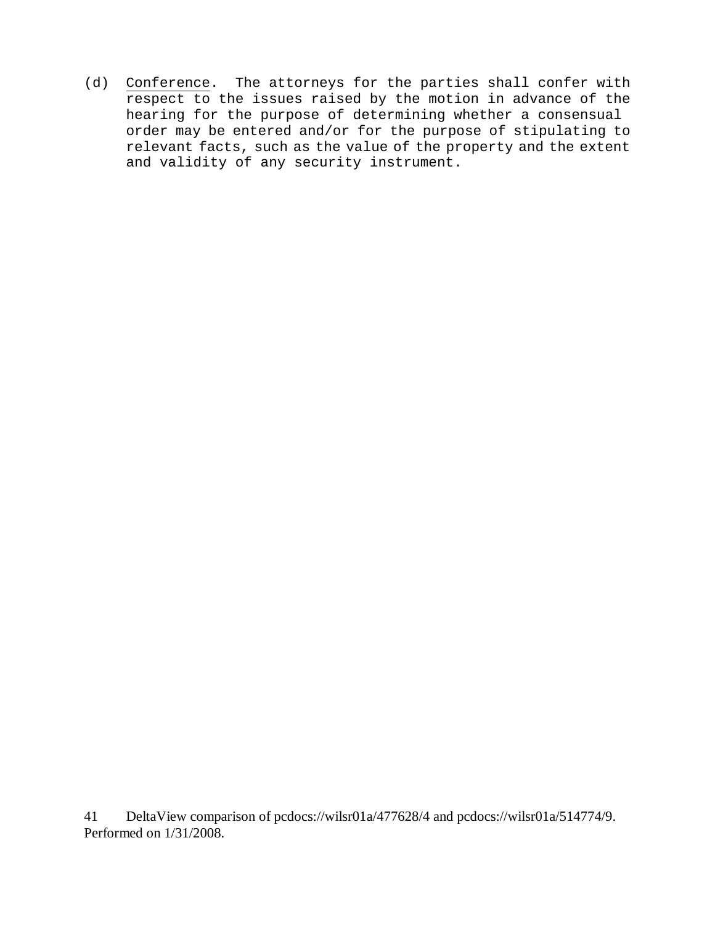(d) Conference. The attorneys for the parties shall confer with respect to the issues raised by the motion in advance of the hearing for the purpose of determining whether a consensual order may be entered and/or for the purpose of stipulating to relevant facts, such as the value of the property and the extent and validity of any security instrument.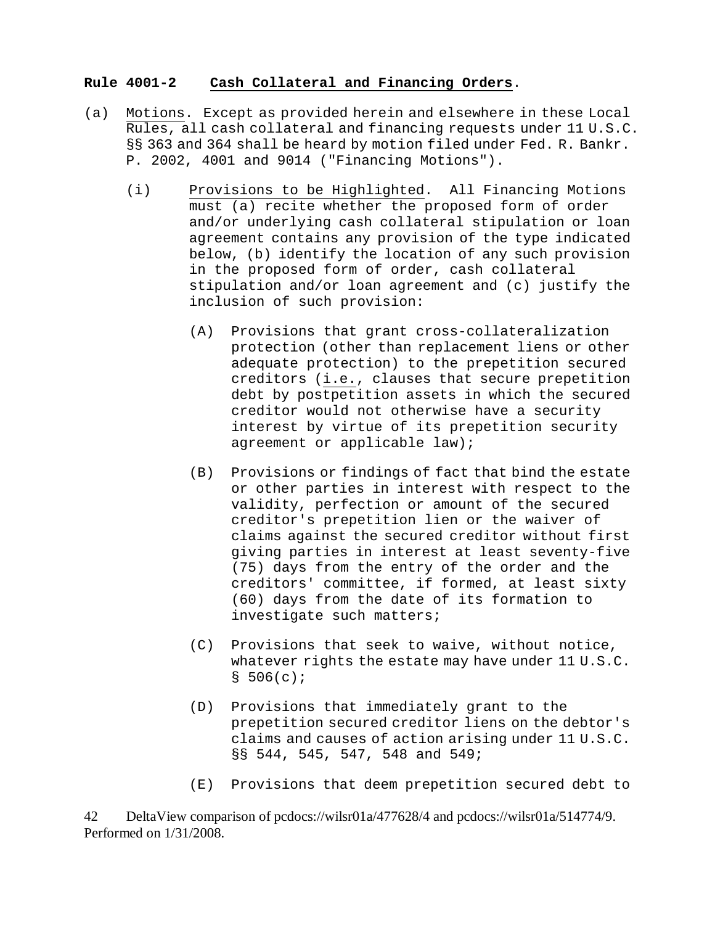# **Rule 4001-2 Cash Collateral and Financing Orders**.

- (a) Motions. Except as provided herein and elsewhere in these Local Rules, all cash collateral and financing requests under 11 U.S.C. §§ 363 and 364 shall be heard by motion filed under Fed. R. Bankr. P. 2002, 4001 and 9014 ("Financing Motions").
	- (i) Provisions to be Highlighted. All Financing Motions must (a) recite whether the proposed form of order and/or underlying cash collateral stipulation or loan agreement contains any provision of the type indicated below, (b) identify the location of any such provision in the proposed form of order, cash collateral stipulation and/or loan agreement and (c) justify the inclusion of such provision:
		- (A) Provisions that grant cross-collateralization protection (other than replacement liens or other adequate protection) to the prepetition secured creditors (i.e., clauses that secure prepetition debt by postpetition assets in which the secured creditor would not otherwise have a security interest by virtue of its prepetition security agreement or applicable law);
		- (B) Provisions or findings of fact that bind the estate or other parties in interest with respect to the validity, perfection or amount of the secured creditor's prepetition lien or the waiver of claims against the secured creditor without first giving parties in interest at least seventy-five (75) days from the entry of the order and the creditors' committee, if formed, at least sixty (60) days from the date of its formation to investigate such matters;
		- (C) Provisions that seek to waive, without notice, whatever rights the estate may have under 11 U.S.C.  $$506(c);$
		- (D) Provisions that immediately grant to the prepetition secured creditor liens on the debtor's claims and causes of action arising under 11 U.S.C. §§ 544, 545, 547, 548 and 549;
		- (E) Provisions that deem prepetition secured debt to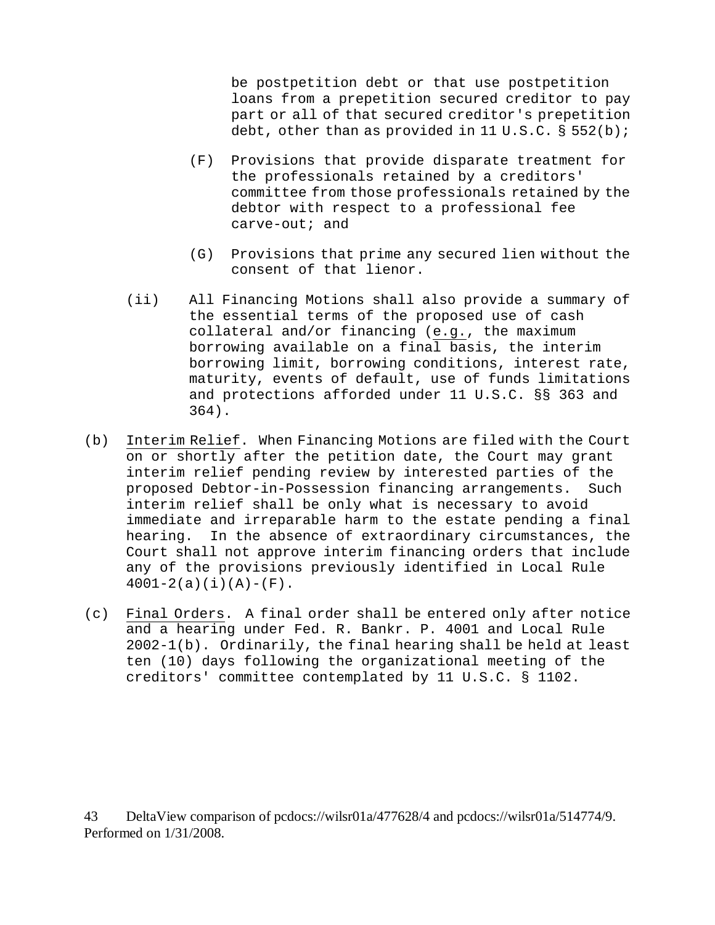be postpetition debt or that use postpetition loans from a prepetition secured creditor to pay part or all of that secured creditor's prepetition debt, other than as provided in 11  $U.S.C.$  § 552(b);

- (F) Provisions that provide disparate treatment for the professionals retained by a creditors' committee from those professionals retained by the debtor with respect to a professional fee carve-out; and
- (G) Provisions that prime any secured lien without the consent of that lienor.
- (ii) All Financing Motions shall also provide a summary of the essential terms of the proposed use of cash collateral and/or financing (e.g., the maximum borrowing available on a final basis, the interim borrowing limit, borrowing conditions, interest rate, maturity, events of default, use of funds limitations and protections afforded under 11 U.S.C. §§ 363 and 364).
- (b) Interim Relief. When Financing Motions are filed with the Court on or shortly after the petition date, the Court may grant interim relief pending review by interested parties of the proposed Debtor-in-Possession financing arrangements. Such interim relief shall be only what is necessary to avoid immediate and irreparable harm to the estate pending a final hearing. In the absence of extraordinary circumstances, the Court shall not approve interim financing orders that include any of the provisions previously identified in Local Rule  $4001-2(a)(i)(A)-(F)$ .
- (c) Final Orders. A final order shall be entered only after notice and a hearing under Fed. R. Bankr. P. 4001 and Local Rule 2002-1(b). Ordinarily, the final hearing shall be held at least ten (10) days following the organizational meeting of the creditors' committee contemplated by 11 U.S.C. § 1102.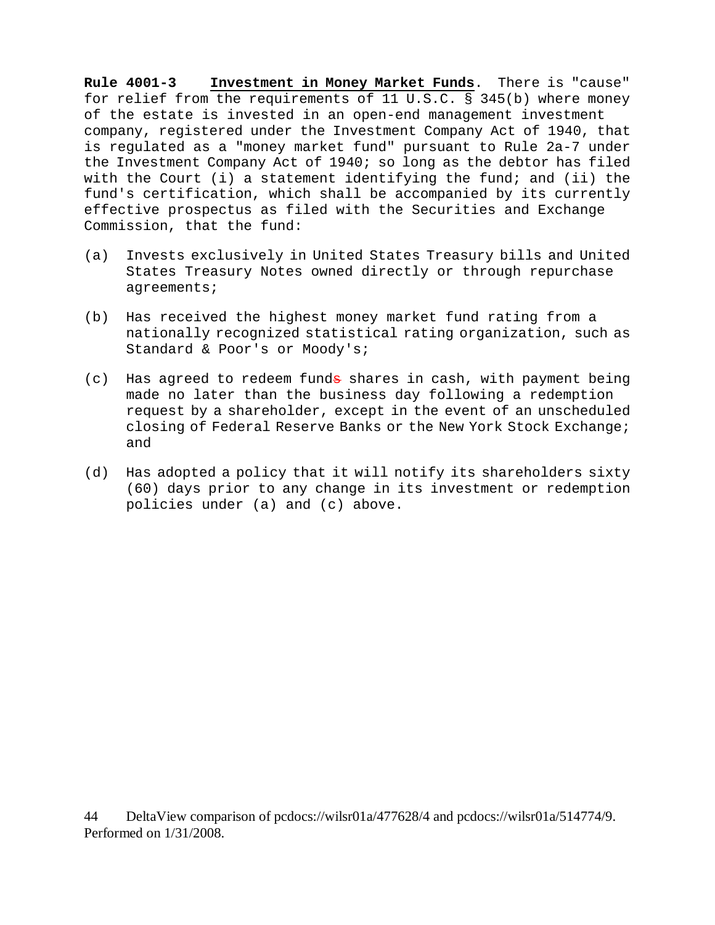**Rule 4001-3 Investment in Money Market Funds**. There is "cause" for relief from the requirements of 11 U.S.C. § 345(b) where money of the estate is invested in an open-end management investment company, registered under the Investment Company Act of 1940, that is regulated as a "money market fund" pursuant to Rule 2a-7 under the Investment Company Act of 1940; so long as the debtor has filed with the Court (i) a statement identifying the fund; and (ii) the fund's certification, which shall be accompanied by its currently effective prospectus as filed with the Securities and Exchange Commission, that the fund:

- (a) Invests exclusively in United States Treasury bills and United States Treasury Notes owned directly or through repurchase agreements;
- (b) Has received the highest money market fund rating from a nationally recognized statistical rating organization, such as Standard & Poor's or Moody's;
- (c) Has agreed to redeem funda shares in cash, with payment being made no later than the business day following a redemption request by a shareholder, except in the event of an unscheduled closing of Federal Reserve Banks or the New York Stock Exchange; and
- (d) Has adopted a policy that it will notify its shareholders sixty (60) days prior to any change in its investment or redemption policies under (a) and (c) above.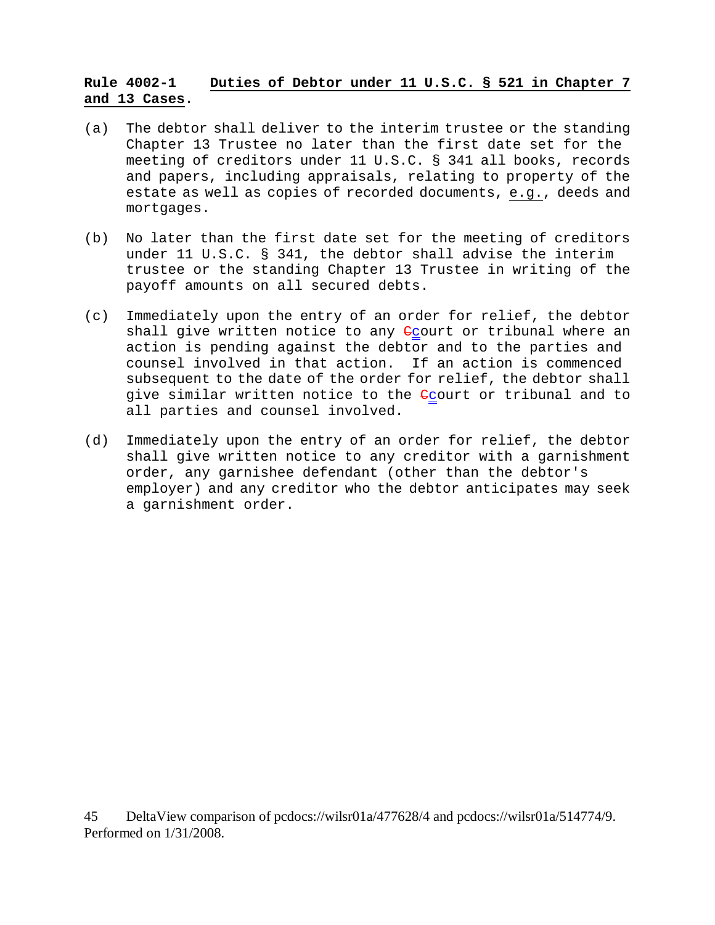# **Rule 4002-1 Duties of Debtor under 11 U.S.C. § 521 in Chapter 7 and 13 Cases**.

- (a) The debtor shall deliver to the interim trustee or the standing Chapter 13 Trustee no later than the first date set for the meeting of creditors under 11 U.S.C. § 341 all books, records and papers, including appraisals, relating to property of the estate as well as copies of recorded documents, e.g., deeds and mortgages.
- (b) No later than the first date set for the meeting of creditors under 11 U.S.C. § 341, the debtor shall advise the interim trustee or the standing Chapter 13 Trustee in writing of the payoff amounts on all secured debts.
- (c) Immediately upon the entry of an order for relief, the debtor shall give written notice to any  $C_{\text{C}}$ ourt or tribunal where an action is pending against the debtor and to the parties and counsel involved in that action. If an action is commenced subsequent to the date of the order for relief, the debtor shall give similar written notice to the <del>C</del>court or tribunal and to all parties and counsel involved.
- (d) Immediately upon the entry of an order for relief, the debtor shall give written notice to any creditor with a garnishment order, any garnishee defendant (other than the debtor's employer) and any creditor who the debtor anticipates may seek a garnishment order.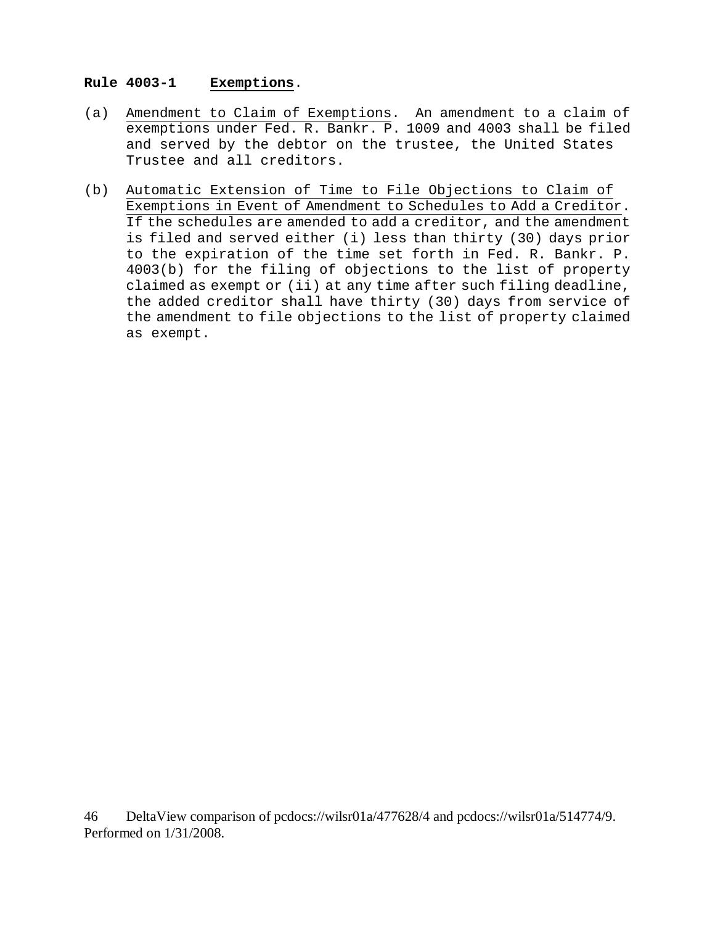# **Rule 4003-1 Exemptions**.

- (a) Amendment to Claim of Exemptions. An amendment to a claim of exemptions under Fed. R. Bankr. P. 1009 and 4003 shall be filed and served by the debtor on the trustee, the United States Trustee and all creditors.
- (b) Automatic Extension of Time to File Objections to Claim of Exemptions in Event of Amendment to Schedules to Add a Creditor. If the schedules are amended to add a creditor, and the amendment is filed and served either (i) less than thirty (30) days prior to the expiration of the time set forth in Fed. R. Bankr. P. 4003(b) for the filing of objections to the list of property claimed as exempt or (ii) at any time after such filing deadline, the added creditor shall have thirty (30) days from service of the amendment to file objections to the list of property claimed as exempt.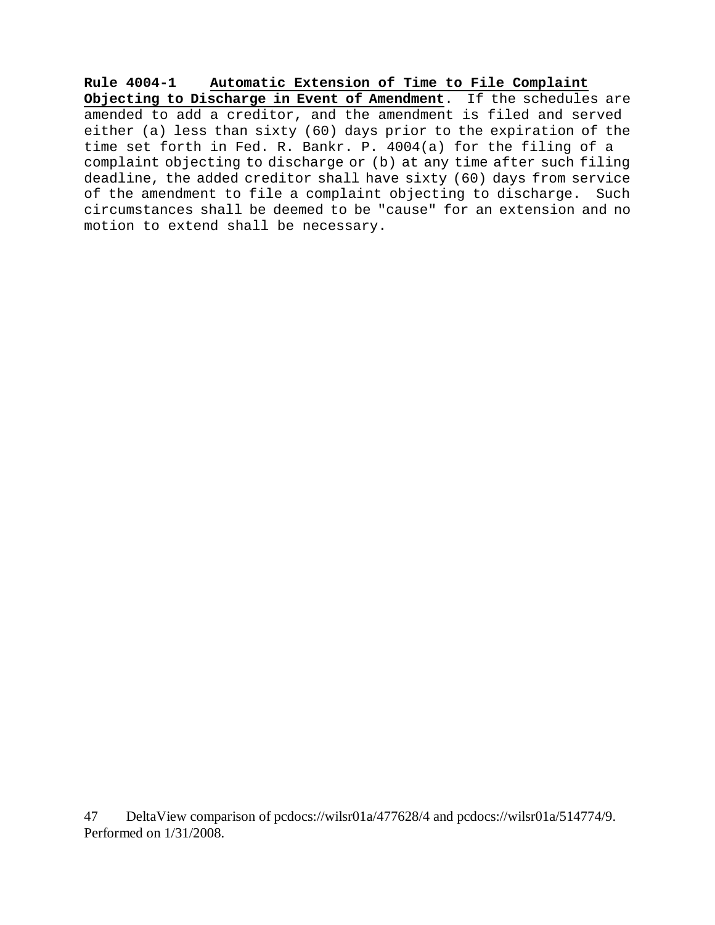**Rule 4004-1 Automatic Extension of Time to File Complaint Objecting to Discharge in Event of Amendment**. If the schedules are amended to add a creditor, and the amendment is filed and served either (a) less than sixty (60) days prior to the expiration of the time set forth in Fed. R. Bankr. P. 4004(a) for the filing of a complaint objecting to discharge or (b) at any time after such filing deadline, the added creditor shall have sixty (60) days from service of the amendment to file a complaint objecting to discharge. Such circumstances shall be deemed to be "cause" for an extension and no motion to extend shall be necessary.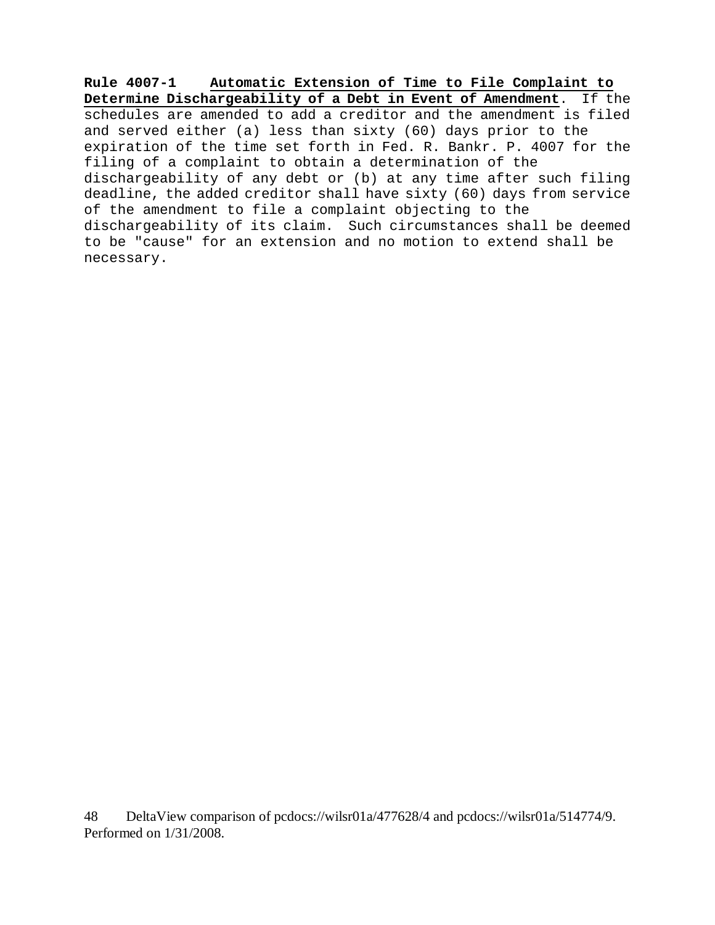**Rule 4007-1 Automatic Extension of Time to File Complaint to Determine Dischargeability of a Debt in Event of Amendment**. If the schedules are amended to add a creditor and the amendment is filed and served either (a) less than sixty (60) days prior to the expiration of the time set forth in Fed. R. Bankr. P. 4007 for the filing of a complaint to obtain a determination of the dischargeability of any debt or (b) at any time after such filing deadline, the added creditor shall have sixty (60) days from service of the amendment to file a complaint objecting to the dischargeability of its claim. Such circumstances shall be deemed to be "cause" for an extension and no motion to extend shall be necessary.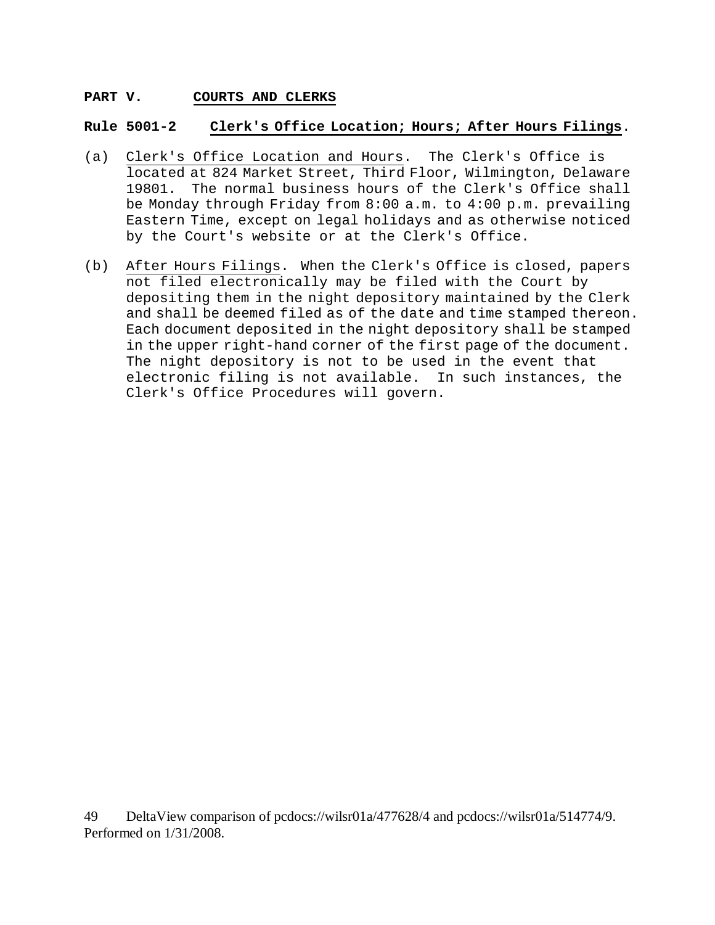### **PART V. COURTS AND CLERKS**

#### **Rule 5001-2 Clerk's Office Location; Hours; After Hours Filings**.

- (a) Clerk's Office Location and Hours. The Clerk's Office is located at 824 Market Street, Third Floor, Wilmington, Delaware 19801. The normal business hours of the Clerk's Office shall be Monday through Friday from 8:00 a.m. to 4:00 p.m. prevailing Eastern Time, except on legal holidays and as otherwise noticed by the Court's website or at the Clerk's Office.
- (b) After Hours Filings. When the Clerk's Office is closed, papers not filed electronically may be filed with the Court by depositing them in the night depository maintained by the Clerk and shall be deemed filed as of the date and time stamped thereon. Each document deposited in the night depository shall be stamped in the upper right-hand corner of the first page of the document. The night depository is not to be used in the event that electronic filing is not available. In such instances, the Clerk's Office Procedures will govern.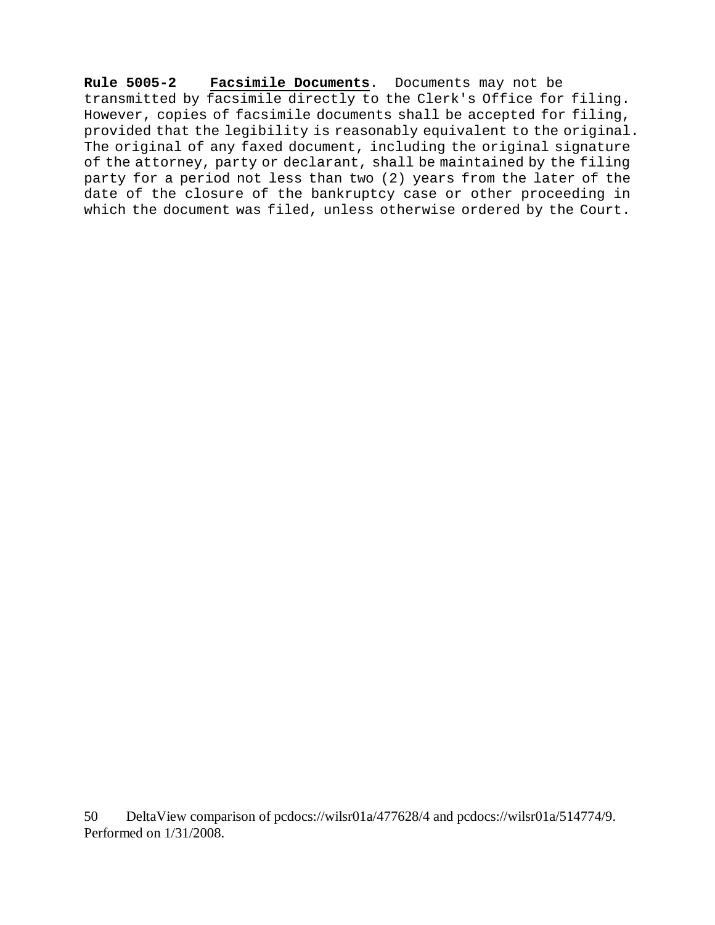**Rule 5005-2 Facsimile Documents**. Documents may not be transmitted by facsimile directly to the Clerk's Office for filing. However, copies of facsimile documents shall be accepted for filing, provided that the legibility is reasonably equivalent to the original. The original of any faxed document, including the original signature of the attorney, party or declarant, shall be maintained by the filing party for a period not less than two (2) years from the later of the date of the closure of the bankruptcy case or other proceeding in which the document was filed, unless otherwise ordered by the Court.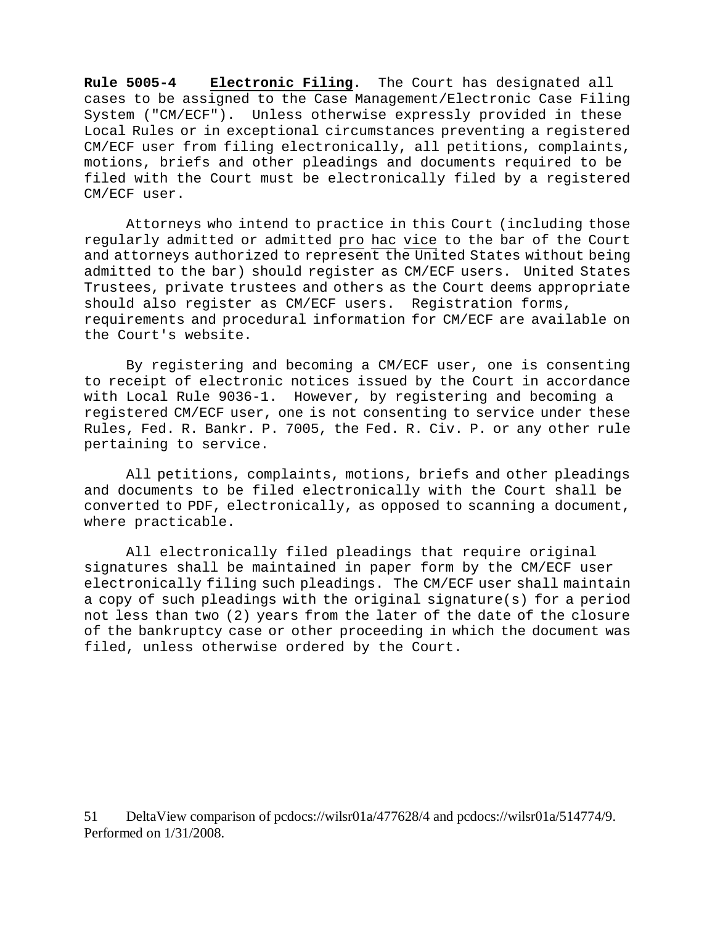**Rule 5005-4 Electronic Filing**. The Court has designated all cases to be assigned to the Case Management/Electronic Case Filing System ("CM/ECF"). Unless otherwise expressly provided in these Local Rules or in exceptional circumstances preventing a registered CM/ECF user from filing electronically, all petitions, complaints, motions, briefs and other pleadings and documents required to be filed with the Court must be electronically filed by a registered CM/ECF user.

Attorneys who intend to practice in this Court (including those regularly admitted or admitted pro hac vice to the bar of the Court and attorneys authorized to represent the United States without being admitted to the bar) should register as CM/ECF users. United States Trustees, private trustees and others as the Court deems appropriate should also register as CM/ECF users. Registration forms, requirements and procedural information for CM/ECF are available on the Court's website.

By registering and becoming a CM/ECF user, one is consenting to receipt of electronic notices issued by the Court in accordance with Local Rule 9036-1. However, by registering and becoming a registered CM/ECF user, one is not consenting to service under these Rules, Fed. R. Bankr. P. 7005, the Fed. R. Civ. P. or any other rule pertaining to service.

All petitions, complaints, motions, briefs and other pleadings and documents to be filed electronically with the Court shall be converted to PDF, electronically, as opposed to scanning a document, where practicable.

All electronically filed pleadings that require original signatures shall be maintained in paper form by the CM/ECF user electronically filing such pleadings. The CM/ECF user shall maintain a copy of such pleadings with the original signature(s) for a period not less than two (2) years from the later of the date of the closure of the bankruptcy case or other proceeding in which the document was filed, unless otherwise ordered by the Court.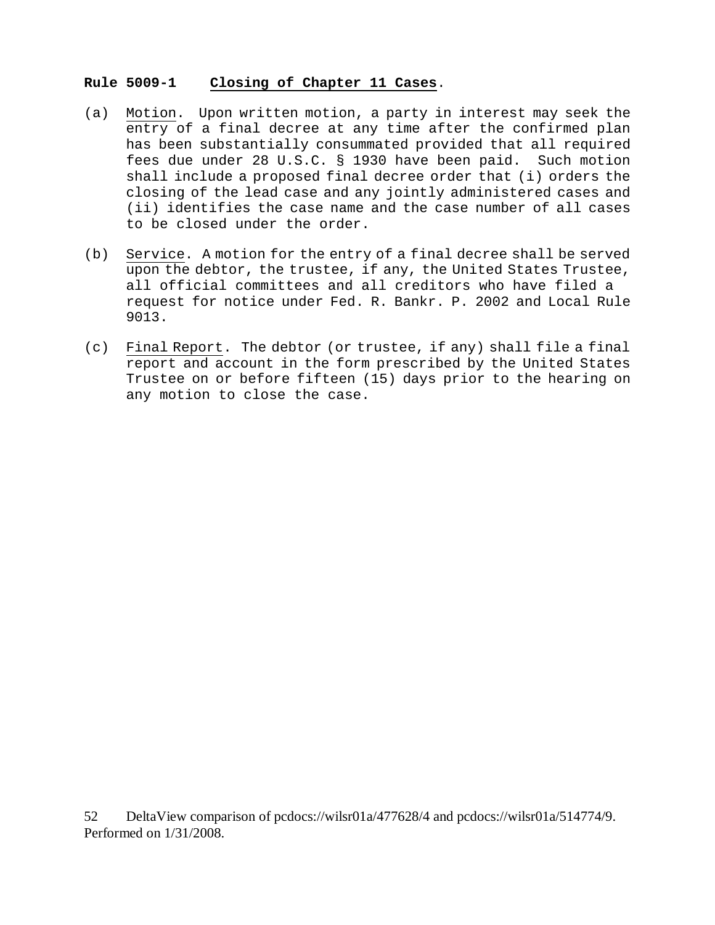### **Rule 5009-1 Closing of Chapter 11 Cases**.

- (a) Motion. Upon written motion, a party in interest may seek the entry of a final decree at any time after the confirmed plan has been substantially consummated provided that all required fees due under 28 U.S.C. § 1930 have been paid. Such motion shall include a proposed final decree order that (i) orders the closing of the lead case and any jointly administered cases and (ii) identifies the case name and the case number of all cases to be closed under the order.
- (b) Service. A motion for the entry of a final decree shall be served upon the debtor, the trustee, if any, the United States Trustee, all official committees and all creditors who have filed a request for notice under Fed. R. Bankr. P. 2002 and Local Rule 9013.
- (c) Final Report. The debtor (or trustee, if any) shall file a final report and account in the form prescribed by the United States Trustee on or before fifteen (15) days prior to the hearing on any motion to close the case.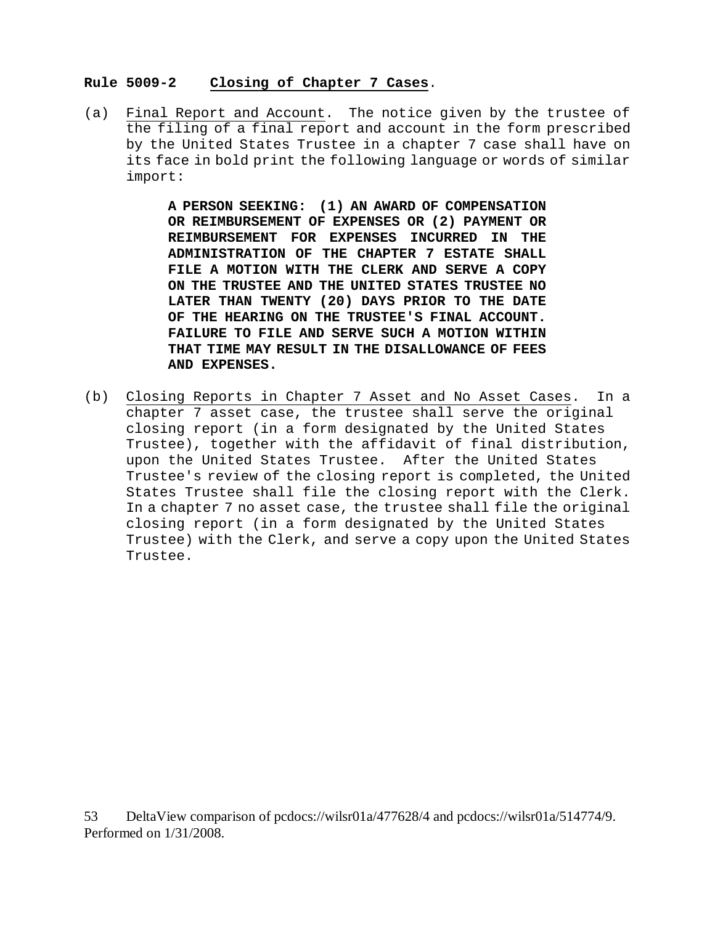#### **Rule 5009-2 Closing of Chapter 7 Cases**.

(a) Final Report and Account. The notice given by the trustee of the filing of a final report and account in the form prescribed by the United States Trustee in a chapter 7 case shall have on its face in bold print the following language or words of similar import:

> **A PERSON SEEKING: (1) AN AWARD OF COMPENSATION OR REIMBURSEMENT OF EXPENSES OR (2) PAYMENT OR REIMBURSEMENT FOR EXPENSES INCURRED IN THE ADMINISTRATION OF THE CHAPTER 7 ESTATE SHALL FILE A MOTION WITH THE CLERK AND SERVE A COPY ON THE TRUSTEE AND THE UNITED STATES TRUSTEE NO LATER THAN TWENTY (20) DAYS PRIOR TO THE DATE OF THE HEARING ON THE TRUSTEE'S FINAL ACCOUNT. FAILURE TO FILE AND SERVE SUCH A MOTION WITHIN THAT TIME MAY RESULT IN THE DISALLOWANCE OF FEES AND EXPENSES.**

(b) Closing Reports in Chapter 7 Asset and No Asset Cases. In a chapter 7 asset case, the trustee shall serve the original closing report (in a form designated by the United States Trustee), together with the affidavit of final distribution, upon the United States Trustee. After the United States Trustee's review of the closing report is completed, the United States Trustee shall file the closing report with the Clerk. In a chapter 7 no asset case, the trustee shall file the original closing report (in a form designated by the United States Trustee) with the Clerk, and serve a copy upon the United States Trustee.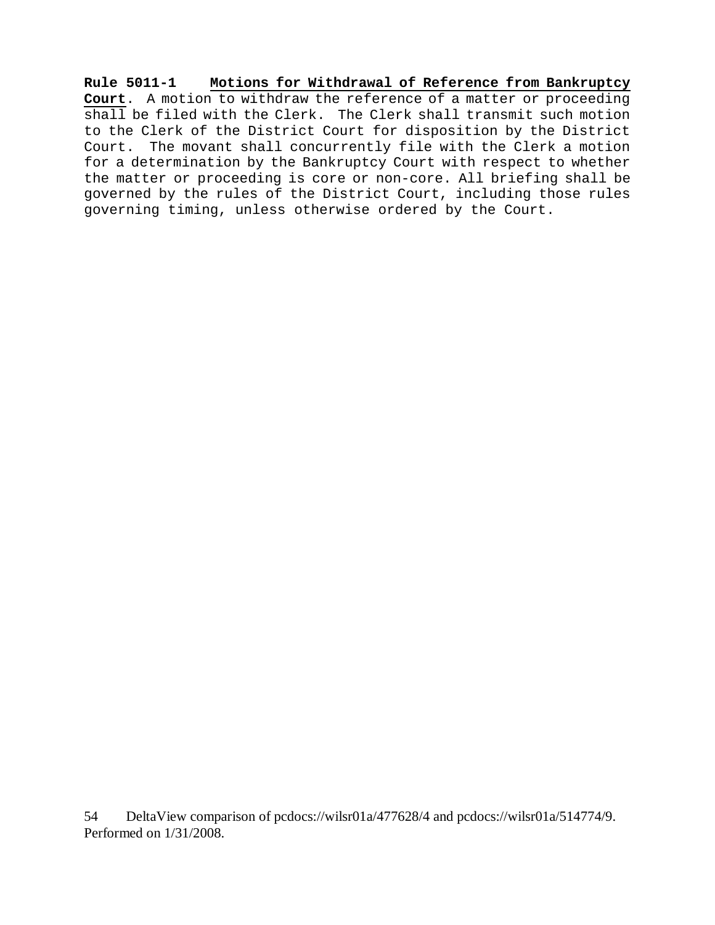**Rule 5011-1 Motions for Withdrawal of Reference from Bankruptcy Court**. A motion to withdraw the reference of a matter or proceeding shall be filed with the Clerk. The Clerk shall transmit such motion to the Clerk of the District Court for disposition by the District Court. The movant shall concurrently file with the Clerk a motion for a determination by the Bankruptcy Court with respect to whether the matter or proceeding is core or non-core. All briefing shall be governed by the rules of the District Court, including those rules governing timing, unless otherwise ordered by the Court.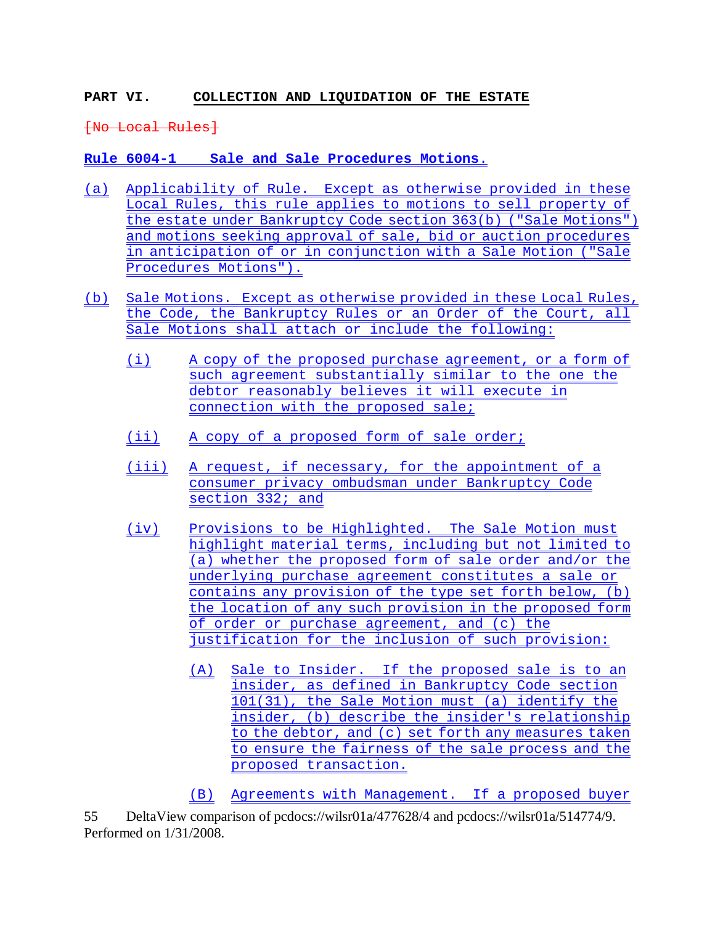# **PART VI. COLLECTION AND LIQUIDATION OF THE ESTATE**

[No Local Rules]

**Rule 6004-1 Sale and Sale Procedures Motions**.

- (a) Applicability of Rule. Except as otherwise provided in these Local Rules, this rule applies to motions to sell property of the estate under Bankruptcy Code section 363(b) ("Sale Motions") and motions seeking approval of sale, bid or auction procedures in anticipation of or in conjunction with a Sale Motion ("Sale Procedures Motions").
- (b) Sale Motions. Except as otherwise provided in these Local Rules, the Code, the Bankruptcy Rules or an Order of the Court, all Sale Motions shall attach or include the following:
	- (i) A copy of the proposed purchase agreement, or a form of such agreement substantially similar to the one the debtor reasonably believes it will execute in connection with the proposed sale;
	- (ii) A copy of a proposed form of sale order;
	- (iii) A request, if necessary, for the appointment of a consumer privacy ombudsman under Bankruptcy Code section 332; and
	- (iv) Provisions to be Highlighted. The Sale Motion must highlight material terms, including but not limited to (a) whether the proposed form of sale order and/or the underlying purchase agreement constitutes a sale or contains any provision of the type set forth below, (b) the location of any such provision in the proposed form of order or purchase agreement, and (c) the justification for the inclusion of such provision:
		- (A) Sale to Insider. If the proposed sale is to an insider, as defined in Bankruptcy Code section 101(31), the Sale Motion must (a) identify the insider, (b) describe the insider's relationship to the debtor, and (c) set forth any measures taken to ensure the fairness of the sale process and the proposed transaction.

(B) Agreements with Management. If a proposed buyer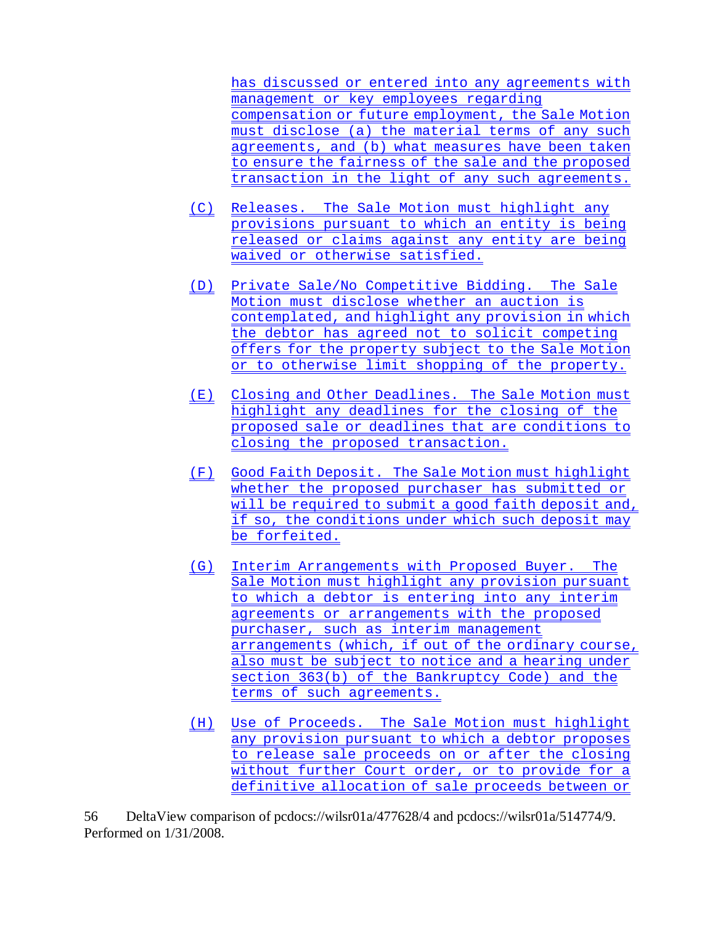has discussed or entered into any agreements with management or key employees regarding compensation or future employment, the Sale Motion must disclose (a) the material terms of any such agreements, and (b) what measures have been taken to ensure the fairness of the sale and the proposed transaction in the light of any such agreements.

- (C) Releases. The Sale Motion must highlight any provisions pursuant to which an entity is being released or claims against any entity are being waived or otherwise satisfied.
- (D) Private Sale/No Competitive Bidding. The Sale Motion must disclose whether an auction is contemplated, and highlight any provision in which the debtor has agreed not to solicit competing offers for the property subject to the Sale Motion or to otherwise limit shopping of the property.
- (E) Closing and Other Deadlines. The Sale Motion must highlight any deadlines for the closing of the proposed sale or deadlines that are conditions to closing the proposed transaction.
- (F) Good Faith Deposit. The Sale Motion must highlight whether the proposed purchaser has submitted or will be required to submit a good faith deposit and, if so, the conditions under which such deposit may be forfeited.
- (G) Interim Arrangements with Proposed Buyer. The Sale Motion must highlight any provision pursuant to which a debtor is entering into any interim agreements or arrangements with the proposed purchaser, such as interim management arrangements (which, if out of the ordinary course, also must be subject to notice and a hearing under section 363(b) of the Bankruptcy Code) and the terms of such agreements.
- (H) Use of Proceeds. The Sale Motion must highlight any provision pursuant to which a debtor proposes to release sale proceeds on or after the closing without further Court order, or to provide for a definitive allocation of sale proceeds between or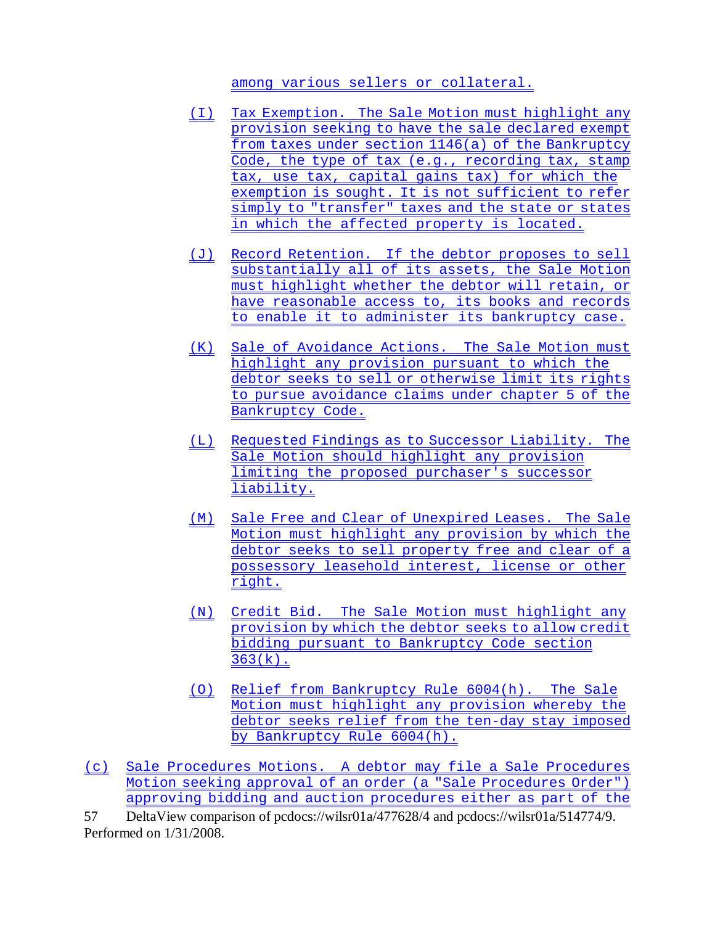among various sellers or collateral.

- (I) Tax Exemption. The Sale Motion must highlight any provision seeking to have the sale declared exempt from taxes under section 1146(a) of the Bankruptcy Code, the type of tax (e.g., recording tax, stamp tax, use tax, capital gains tax) for which the exemption is sought. It is not sufficient to refer simply to "transfer" taxes and the state or states in which the affected property is located.
- (J) Record Retention. If the debtor proposes to sell substantially all of its assets, the Sale Motion must highlight whether the debtor will retain, or have reasonable access to, its books and records to enable it to administer its bankruptcy case.
- (K) Sale of Avoidance Actions. The Sale Motion must highlight any provision pursuant to which the debtor seeks to sell or otherwise limit its rights to pursue avoidance claims under chapter 5 of the Bankruptcy Code.
- (L) Requested Findings as to Successor Liability. The Sale Motion should highlight any provision limiting the proposed purchaser's successor liability.
- (M) Sale Free and Clear of Unexpired Leases. The Sale Motion must highlight any provision by which the debtor seeks to sell property free and clear of a possessory leasehold interest, license or other right.
- (N) Credit Bid. The Sale Motion must highlight any provision by which the debtor seeks to allow credit bidding pursuant to Bankruptcy Code section  $363(k)$ .
- (O) Relief from Bankruptcy Rule 6004(h). The Sale Motion must highlight any provision whereby the debtor seeks relief from the ten-day stay imposed by Bankruptcy Rule 6004(h).
- (c) Sale Procedures Motions. A debtor may file a Sale Procedures Motion seeking approval of an order (a "Sale Procedures Order") approving bidding and auction procedures either as part of the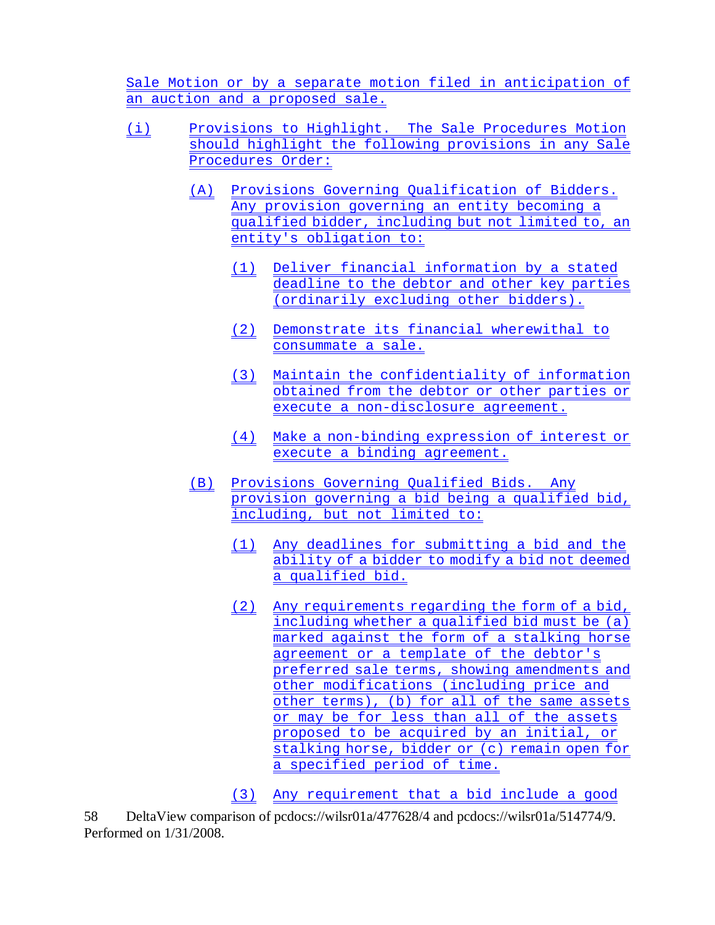Sale Motion or by a separate motion filed in anticipation of an auction and a proposed sale.

- (i) Provisions to Highlight. The Sale Procedures Motion should highlight the following provisions in any Sale Procedures Order:
	- (A) Provisions Governing Qualification of Bidders. Any provision governing an entity becoming a qualified bidder, including but not limited to, an entity's obligation to:
		- (1) Deliver financial information by a stated deadline to the debtor and other key parties (ordinarily excluding other bidders).
		- (2) Demonstrate its financial wherewithal to consummate a sale.
		- (3) Maintain the confidentiality of information obtained from the debtor or other parties or execute a non-disclosure agreement.
		- (4) Make a non-binding expression of interest or execute a binding agreement.
	- (B) Provisions Governing Qualified Bids. Any provision governing a bid being a qualified bid, including, but not limited to:
		- (1) Any deadlines for submitting a bid and the ability of a bidder to modify a bid not deemed a qualified bid.
		- (2) Any requirements regarding the form of a bid, including whether a qualified bid must be (a) marked against the form of a stalking horse agreement or a template of the debtor's preferred sale terms, showing amendments and other modifications (including price and other terms), (b) for all of the same assets or may be for less than all of the assets proposed to be acquired by an initial, or stalking horse, bidder or (c) remain open for a specified period of time.

(3) Any requirement that a bid include a good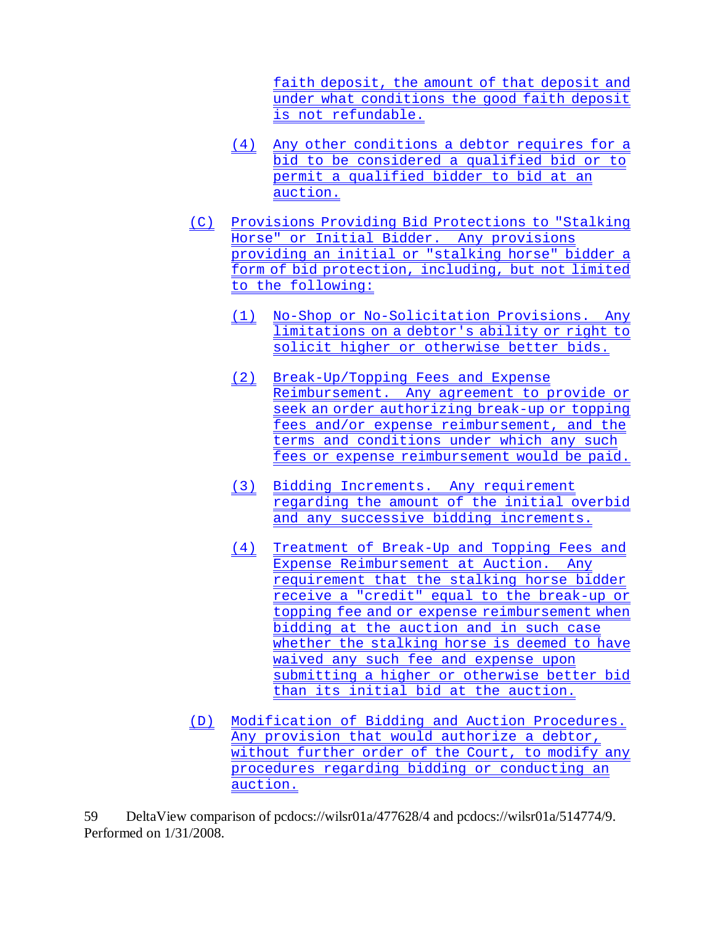faith deposit, the amount of that deposit and under what conditions the good faith deposit is not refundable.

- (4) Any other conditions a debtor requires for a bid to be considered a qualified bid or to permit a qualified bidder to bid at an auction.
- (C) Provisions Providing Bid Protections to "Stalking Horse" or Initial Bidder. Any provisions providing an initial or "stalking horse" bidder a form of bid protection, including, but not limited to the following:
	- (1) No-Shop or No-Solicitation Provisions. Any limitations on a debtor's ability or right to solicit higher or otherwise better bids.
	- (2) Break-Up/Topping Fees and Expense Reimbursement. Any agreement to provide or seek an order authorizing break-up or topping fees and/or expense reimbursement, and the terms and conditions under which any such fees or expense reimbursement would be paid.
	- (3) Bidding Increments. Any requirement regarding the amount of the initial overbid and any successive bidding increments.
	- (4) Treatment of Break-Up and Topping Fees and Expense Reimbursement at Auction. Any requirement that the stalking horse bidder receive a "credit" equal to the break-up or topping fee and or expense reimbursement when bidding at the auction and in such case whether the stalking horse is deemed to have waived any such fee and expense upon submitting a higher or otherwise better bid than its initial bid at the auction.
- (D) Modification of Bidding and Auction Procedures. Any provision that would authorize a debtor, without further order of the Court, to modify any procedures regarding bidding or conducting an auction.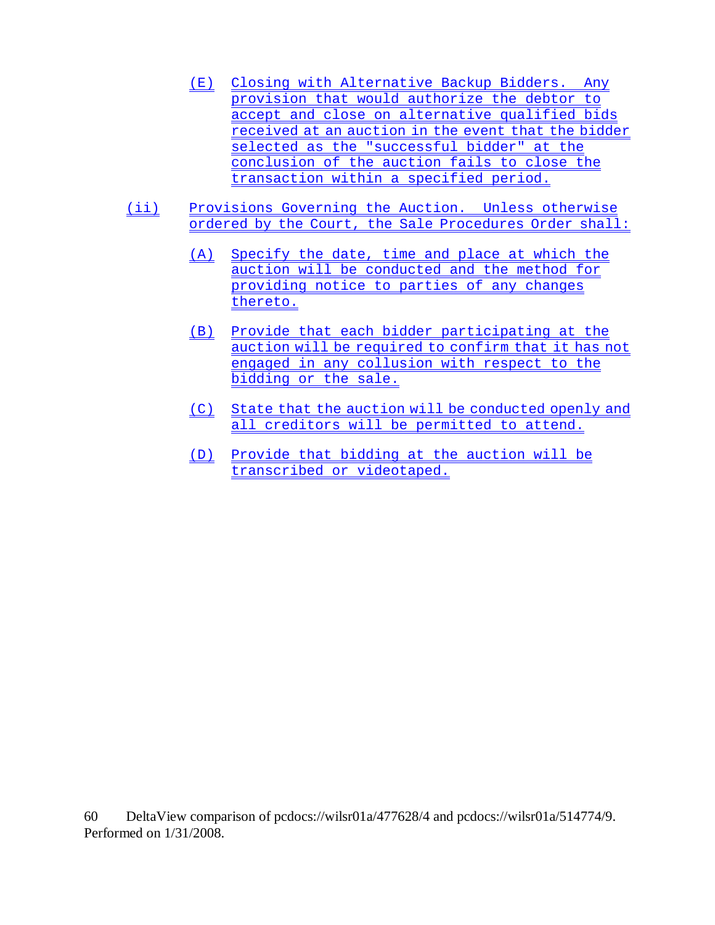- (E) Closing with Alternative Backup Bidders. Any provision that would authorize the debtor to accept and close on alternative qualified bids received at an auction in the event that the bidder selected as the "successful bidder" at the conclusion of the auction fails to close the transaction within a specified period.
- (ii) Provisions Governing the Auction. Unless otherwise ordered by the Court, the Sale Procedures Order shall:
	- (A) Specify the date, time and place at which the auction will be conducted and the method for providing notice to parties of any changes thereto.
	- (B) Provide that each bidder participating at the auction will be required to confirm that it has not engaged in any collusion with respect to the bidding or the sale.
	- (C) State that the auction will be conducted openly and all creditors will be permitted to attend.
	- (D) Provide that bidding at the auction will be transcribed or videotaped.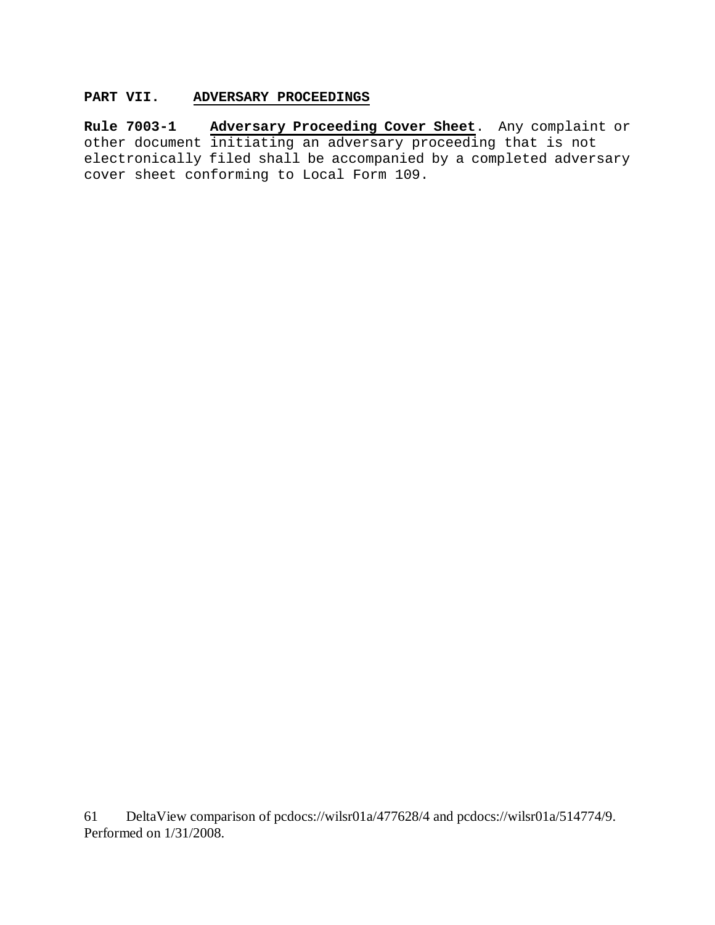# **PART VII. ADVERSARY PROCEEDINGS**

**Rule 7003-1 Adversary Proceeding Cover Sheet**. Any complaint or other document initiating an adversary proceeding that is not electronically filed shall be accompanied by a completed adversary cover sheet conforming to Local Form 109.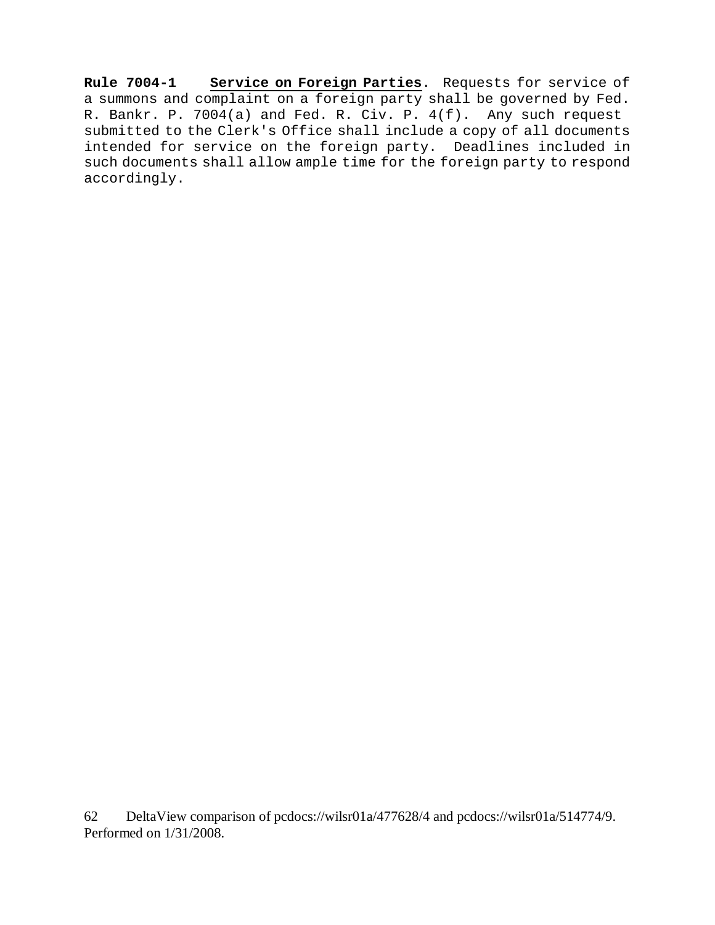**Rule 7004-1 Service on Foreign Parties**. Requests for service of a summons and complaint on a foreign party shall be governed by Fed. R. Bankr. P. 7004(a) and Fed. R. Civ. P. 4(f). Any such request submitted to the Clerk's Office shall include a copy of all documents intended for service on the foreign party. Deadlines included in such documents shall allow ample time for the foreign party to respond accordingly.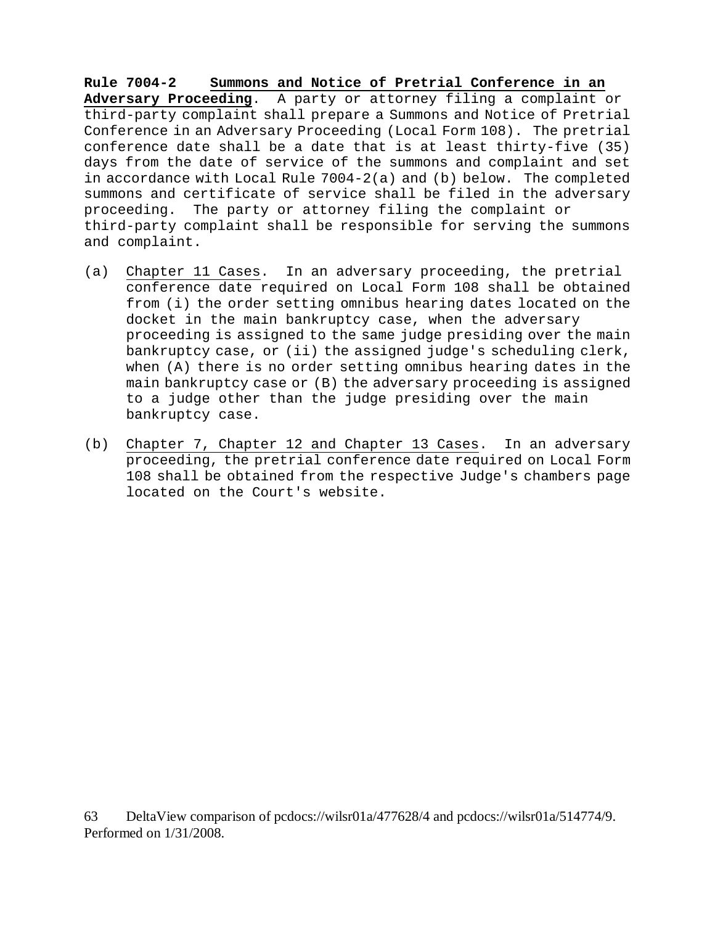**Rule 7004-2 Summons and Notice of Pretrial Conference in an Adversary Proceeding**. A party or attorney filing a complaint or third-party complaint shall prepare a Summons and Notice of Pretrial Conference in an Adversary Proceeding (Local Form 108). The pretrial conference date shall be a date that is at least thirty-five (35) days from the date of service of the summons and complaint and set in accordance with Local Rule 7004-2(a) and (b) below. The completed summons and certificate of service shall be filed in the adversary proceeding. The party or attorney filing the complaint or third-party complaint shall be responsible for serving the summons and complaint.

- (a) Chapter 11 Cases. In an adversary proceeding, the pretrial conference date required on Local Form 108 shall be obtained from (i) the order setting omnibus hearing dates located on the docket in the main bankruptcy case, when the adversary proceeding is assigned to the same judge presiding over the main bankruptcy case, or (ii) the assigned judge's scheduling clerk, when (A) there is no order setting omnibus hearing dates in the main bankruptcy case or (B) the adversary proceeding is assigned to a judge other than the judge presiding over the main bankruptcy case.
- (b) Chapter 7, Chapter 12 and Chapter 13 Cases. In an adversary proceeding, the pretrial conference date required on Local Form 108 shall be obtained from the respective Judge's chambers page located on the Court's website.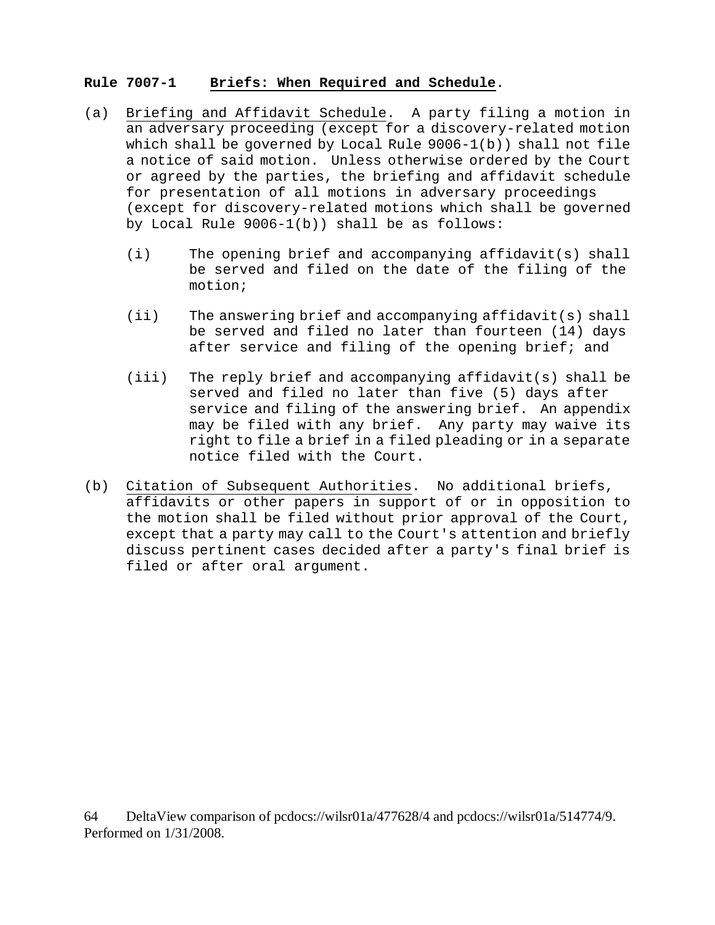## **Rule 7007-1 Briefs: When Required and Schedule**.

- (a) Briefing and Affidavit Schedule. A party filing a motion in an adversary proceeding (except for a discovery-related motion which shall be governed by Local Rule 9006-1(b)) shall not file a notice of said motion. Unless otherwise ordered by the Court or agreed by the parties, the briefing and affidavit schedule for presentation of all motions in adversary proceedings (except for discovery-related motions which shall be governed by Local Rule 9006-1(b)) shall be as follows:
	- (i) The opening brief and accompanying affidavit(s) shall be served and filed on the date of the filing of the motion;
	- (ii) The answering brief and accompanying affidavit(s) shall be served and filed no later than fourteen (14) days after service and filing of the opening brief; and
	- (iii) The reply brief and accompanying affidavit(s) shall be served and filed no later than five (5) days after service and filing of the answering brief. An appendix may be filed with any brief. Any party may waive its right to file a brief in a filed pleading or in a separate notice filed with the Court.
- (b) Citation of Subsequent Authorities. No additional briefs, affidavits or other papers in support of or in opposition to the motion shall be filed without prior approval of the Court, except that a party may call to the Court's attention and briefly discuss pertinent cases decided after a party's final brief is filed or after oral argument.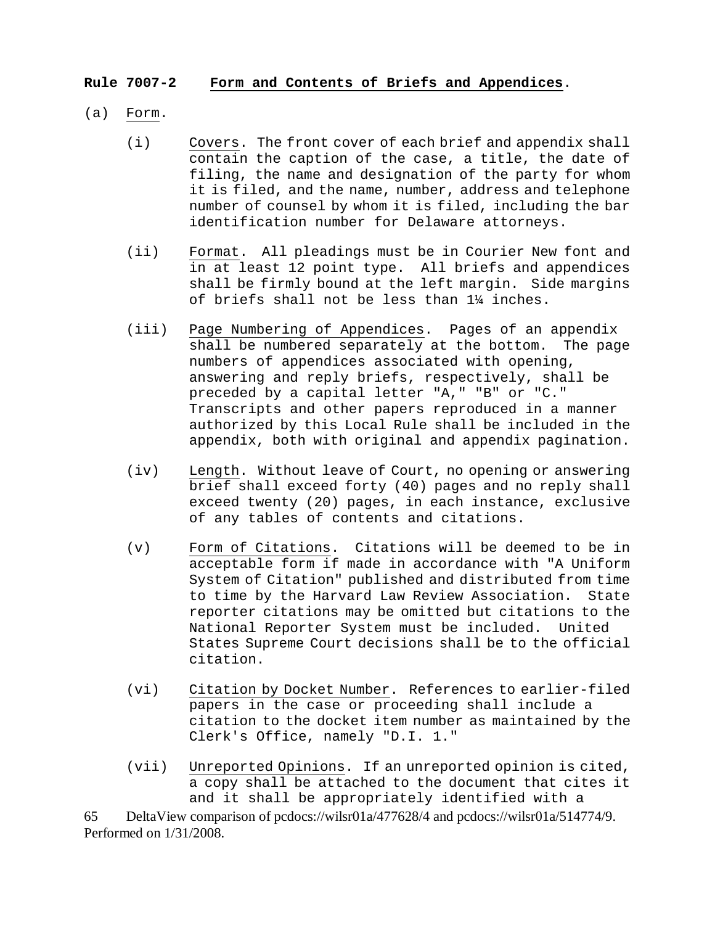# **Rule 7007-2 Form and Contents of Briefs and Appendices**.

- (a) Form.
	- (i) Covers. The front cover of each brief and appendix shall contain the caption of the case, a title, the date of filing, the name and designation of the party for whom it is filed, and the name, number, address and telephone number of counsel by whom it is filed, including the bar identification number for Delaware attorneys.
	- (ii) Format. All pleadings must be in Courier New font and in at least 12 point type. All briefs and appendices shall be firmly bound at the left margin. Side margins of briefs shall not be less than 1¼ inches.
	- (iii) Page Numbering of Appendices. Pages of an appendix shall be numbered separately at the bottom. The page numbers of appendices associated with opening, answering and reply briefs, respectively, shall be preceded by a capital letter "A," "B" or "C." Transcripts and other papers reproduced in a manner authorized by this Local Rule shall be included in the appendix, both with original and appendix pagination.
	- (iv) Length. Without leave of Court, no opening or answering brief shall exceed forty (40) pages and no reply shall exceed twenty (20) pages, in each instance, exclusive of any tables of contents and citations.
	- (v) Form of Citations. Citations will be deemed to be in acceptable form if made in accordance with "A Uniform System of Citation" published and distributed from time to time by the Harvard Law Review Association. State reporter citations may be omitted but citations to the National Reporter System must be included. United States Supreme Court decisions shall be to the official citation.
	- (vi) Citation by Docket Number. References to earlier-filed papers in the case or proceeding shall include a citation to the docket item number as maintained by the Clerk's Office, namely "D.I. 1."
	- (vii) Unreported Opinions. If an unreported opinion is cited, a copy shall be attached to the document that cites it and it shall be appropriately identified with a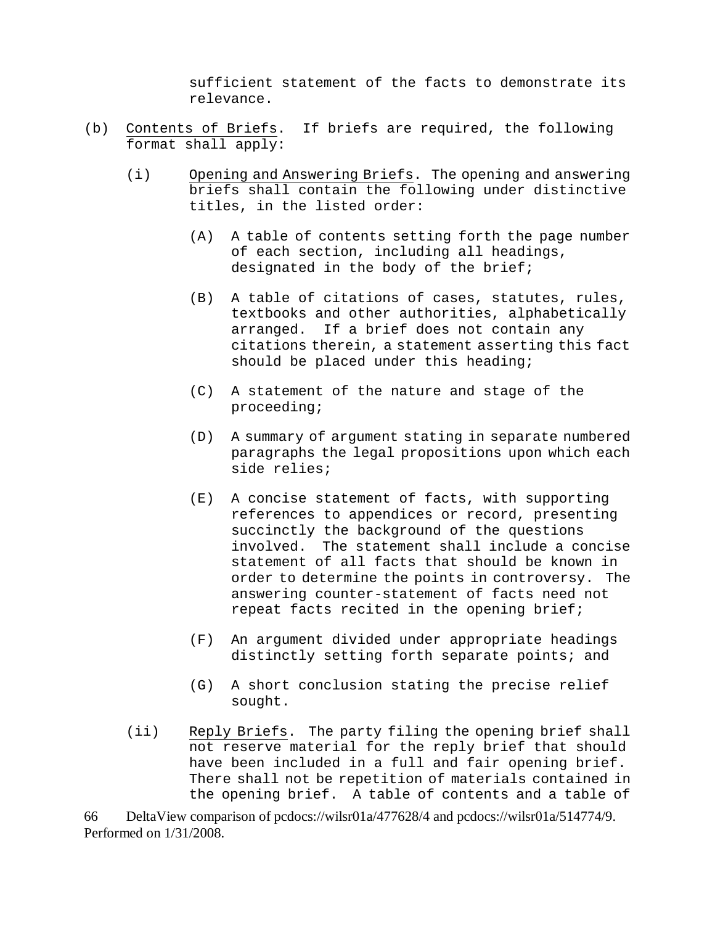sufficient statement of the facts to demonstrate its relevance.

- (b) Contents of Briefs. If briefs are required, the following format shall apply:
	- (i) Opening and Answering Briefs. The opening and answering briefs shall contain the following under distinctive titles, in the listed order:
		- (A) A table of contents setting forth the page number of each section, including all headings, designated in the body of the brief;
		- (B) A table of citations of cases, statutes, rules, textbooks and other authorities, alphabetically arranged. If a brief does not contain any citations therein, a statement asserting this fact should be placed under this heading;
		- (C) A statement of the nature and stage of the proceeding;
		- (D) A summary of argument stating in separate numbered paragraphs the legal propositions upon which each side relies;
		- (E) A concise statement of facts, with supporting references to appendices or record, presenting succinctly the background of the questions involved. The statement shall include a concise statement of all facts that should be known in order to determine the points in controversy. The answering counter-statement of facts need not repeat facts recited in the opening brief;
		- (F) An argument divided under appropriate headings distinctly setting forth separate points; and
		- (G) A short conclusion stating the precise relief sought.
	- (ii) Reply Briefs. The party filing the opening brief shall not reserve material for the reply brief that should have been included in a full and fair opening brief. There shall not be repetition of materials contained in the opening brief. A table of contents and a table of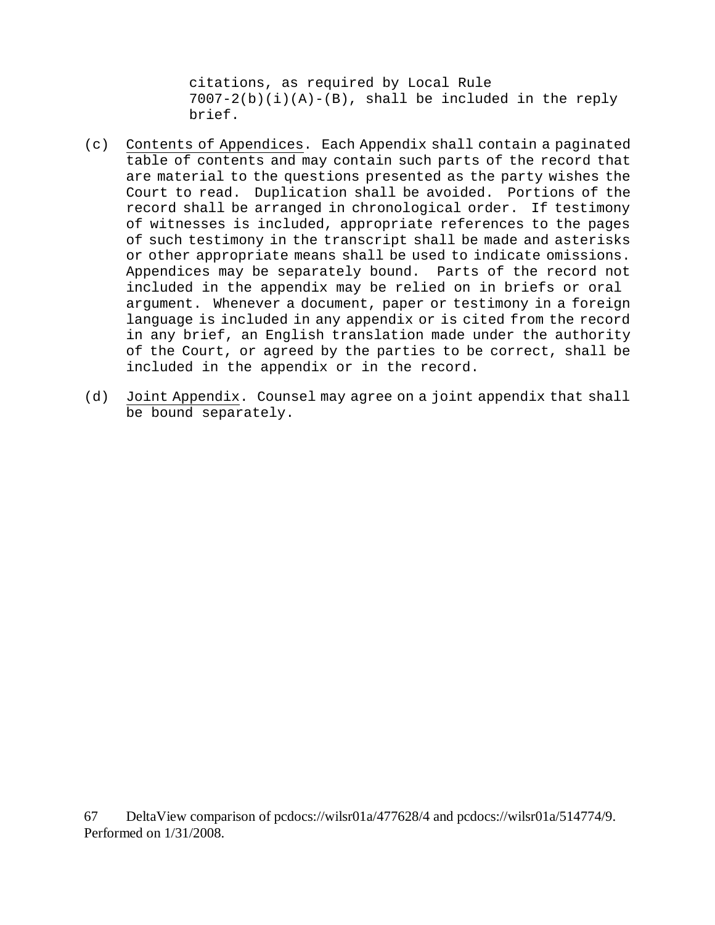citations, as required by Local Rule  $7007-2(b)(i)(A)-(B)$ , shall be included in the reply brief.

- (c) Contents of Appendices. Each Appendix shall contain a paginated table of contents and may contain such parts of the record that are material to the questions presented as the party wishes the Court to read. Duplication shall be avoided. Portions of the record shall be arranged in chronological order. If testimony of witnesses is included, appropriate references to the pages of such testimony in the transcript shall be made and asterisks or other appropriate means shall be used to indicate omissions. Appendices may be separately bound. Parts of the record not included in the appendix may be relied on in briefs or oral argument. Whenever a document, paper or testimony in a foreign language is included in any appendix or is cited from the record in any brief, an English translation made under the authority of the Court, or agreed by the parties to be correct, shall be included in the appendix or in the record.
- (d) Joint Appendix. Counsel may agree on a joint appendix that shall be bound separately.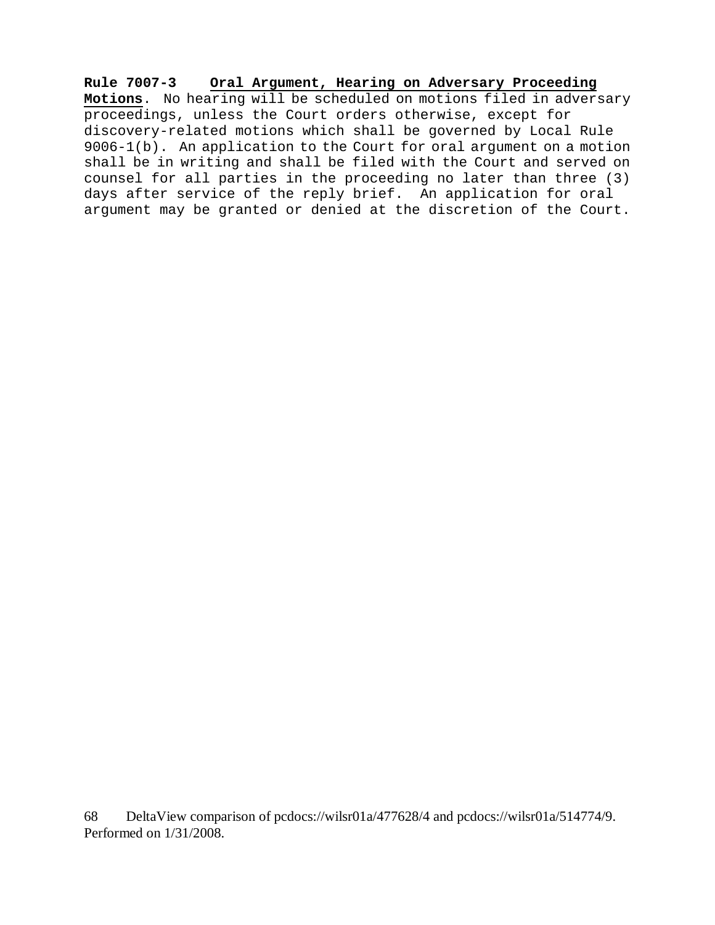**Rule 7007-3 Oral Argument, Hearing on Adversary Proceeding Motions**. No hearing will be scheduled on motions filed in adversary proceedings, unless the Court orders otherwise, except for discovery-related motions which shall be governed by Local Rule 9006-1(b). An application to the Court for oral argument on a motion shall be in writing and shall be filed with the Court and served on counsel for all parties in the proceeding no later than three (3) days after service of the reply brief. An application for oral argument may be granted or denied at the discretion of the Court.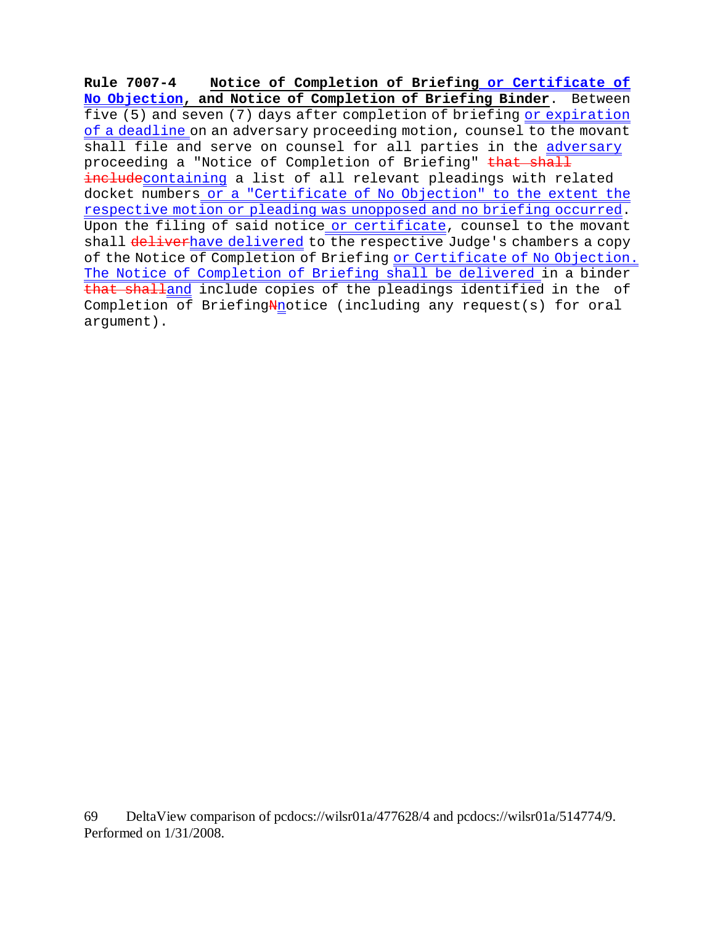**Rule 7007-4 Notice of Completion of Briefing or Certificate of No Objection, and Notice of Completion of Briefing Binder**. Between five (5) and seven (7) days after completion of briefing or expiration of a deadline on an adversary proceeding motion, counsel to the movant shall file and serve on counsel for all parties in the adversary proceeding a "Notice of Completion of Briefing" that shall includecontaining a list of all relevant pleadings with related docket numbers or a "Certificate of No Objection" to the extent the respective motion or pleading was unopposed and no briefing occurred. Upon the filing of said notice or certificate, counsel to the movant shall deliverhave delivered to the respective Judge's chambers a copy of the Notice of Completion of Briefing or Certificate of No Objection. The Notice of Completion of Briefing shall be delivered in a binder that shalland include copies of the pleadings identified in the of Completion of BriefingNnotice (including any request(s) for oral argument).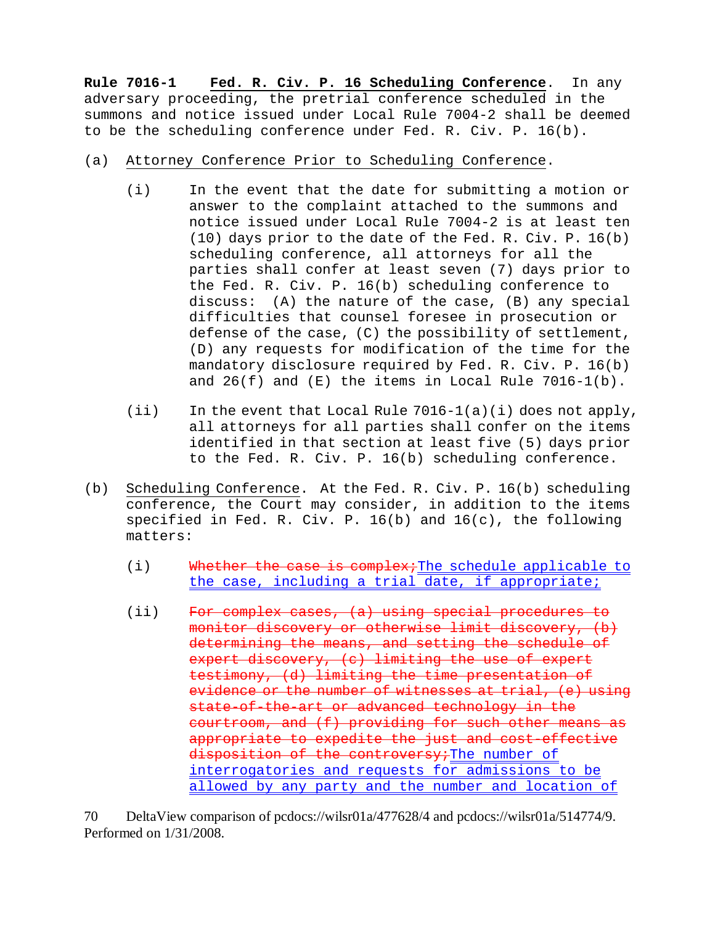**Rule 7016-1 Fed. R. Civ. P. 16 Scheduling Conference**. In any adversary proceeding, the pretrial conference scheduled in the summons and notice issued under Local Rule 7004-2 shall be deemed to be the scheduling conference under Fed. R. Civ. P. 16(b).

- (a) Attorney Conference Prior to Scheduling Conference.
	- (i) In the event that the date for submitting a motion or answer to the complaint attached to the summons and notice issued under Local Rule 7004-2 is at least ten (10) days prior to the date of the Fed. R. Civ. P. 16(b) scheduling conference, all attorneys for all the parties shall confer at least seven (7) days prior to the Fed. R. Civ. P. 16(b) scheduling conference to discuss: (A) the nature of the case, (B) any special difficulties that counsel foresee in prosecution or defense of the case, (C) the possibility of settlement, (D) any requests for modification of the time for the mandatory disclosure required by Fed. R. Civ. P. 16(b) and  $26(f)$  and  $(E)$  the items in Local Rule 7016-1(b).
	- (ii) In the event that Local Rule 7016-1(a)(i) does not apply, all attorneys for all parties shall confer on the items identified in that section at least five (5) days prior to the Fed. R. Civ. P. 16(b) scheduling conference.
- (b) Scheduling Conference. At the Fed. R. Civ. P. 16(b) scheduling conference, the Court may consider, in addition to the items specified in Fed. R. Civ. P. 16(b) and 16(c), the following matters:
	- (i) Whether the case is complex; The schedule applicable to the case, including a trial date, if appropriate;
	- (ii) For complex cases, (a) using special procedures to monitor discovery or otherwise limit discovery, (b) determining the means, and setting the schedule of expert discovery, (c) limiting the use of expert testimony, (d) limiting the time presentation of evidence or the number of witnesses at trial, (e) using state-of-the-art or advanced technology in the courtroom, and (f) providing for such other means as appropriate to expedite the just and cost-effective disposition of the controversy; The number of interrogatories and requests for admissions to be allowed by any party and the number and location of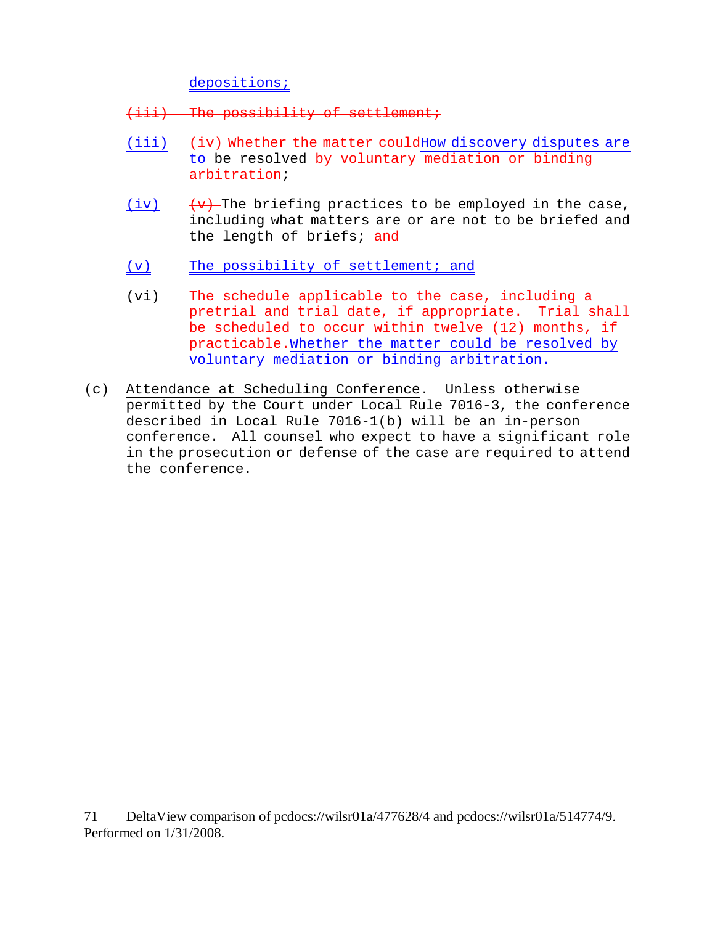depositions;

- (iii) The possibility of settlement;
- $(iii)$   $(iiv)$  Whether the matter couldHow discovery disputes are to be resolved by voluntary mediation or binding arbitration;
- (iv)  $\overline{(v)}$  The briefing practices to be employed in the case, including what matters are or are not to be briefed and the length of briefs; and
- (v) The possibility of settlement; and
- (vi) The schedule applicable to the case, including a pretrial and trial date, if appropriate. Trial shall be scheduled to occur within twelve (12) months, if practicable.Whether the matter could be resolved by voluntary mediation or binding arbitration.
- (c) Attendance at Scheduling Conference. Unless otherwise permitted by the Court under Local Rule 7016-3, the conference described in Local Rule 7016-1(b) will be an in-person conference. All counsel who expect to have a significant role in the prosecution or defense of the case are required to attend the conference.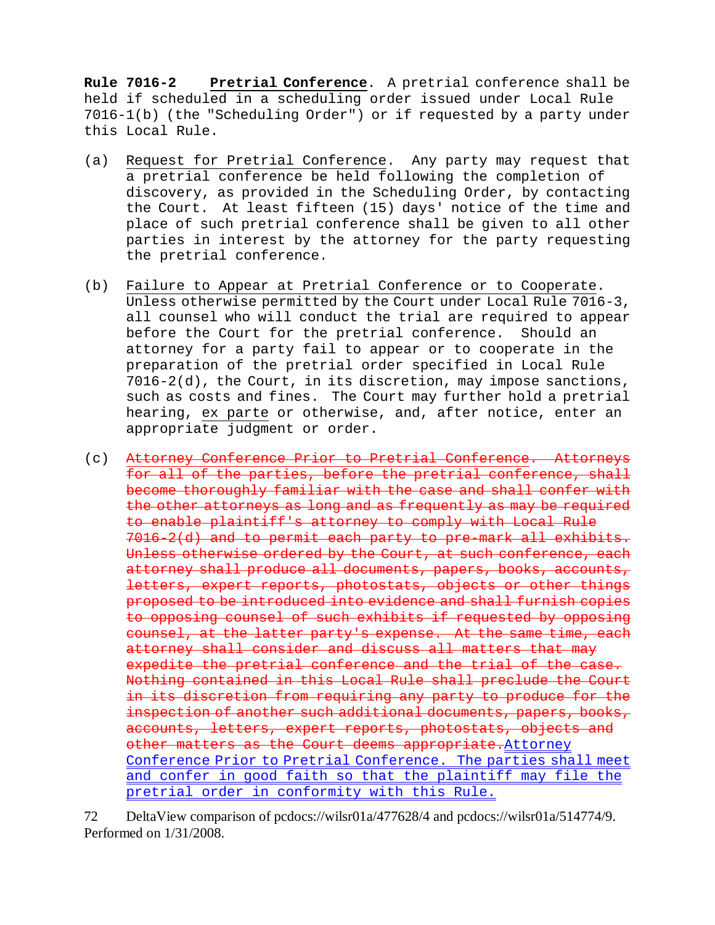**Rule 7016-2 Pretrial Conference**. A pretrial conference shall be held if scheduled in a scheduling order issued under Local Rule 7016-1(b) (the "Scheduling Order") or if requested by a party under this Local Rule.

- (a) Request for Pretrial Conference. Any party may request that a pretrial conference be held following the completion of discovery, as provided in the Scheduling Order, by contacting the Court. At least fifteen (15) days' notice of the time and place of such pretrial conference shall be given to all other parties in interest by the attorney for the party requesting the pretrial conference.
- (b) Failure to Appear at Pretrial Conference or to Cooperate. Unless otherwise permitted by the Court under Local Rule 7016-3, all counsel who will conduct the trial are required to appear before the Court for the pretrial conference. Should an attorney for a party fail to appear or to cooperate in the preparation of the pretrial order specified in Local Rule 7016-2(d), the Court, in its discretion, may impose sanctions, such as costs and fines. The Court may further hold a pretrial hearing, ex parte or otherwise, and, after notice, enter an appropriate judgment or order.
- (c) Attorney Conference Prior to Pretrial Conference. Attorneys for all of the parties, before the pretrial conference, shall become thoroughly familiar with the case and shall confer with the other attorneys as long and as frequently as may be required to enable plaintiff's attorney to comply with Local Rule 7016-2(d) and to permit each party to pre-mark all exhibits. Unless otherwise ordered by the Court, at such conference, each attorney shall produce all documents, papers, books, accounts, letters, expert reports, photostats, objects or other things proposed to be introduced into evidence and shall furnish copies to opposing counsel of such exhibits if requested by opposing counsel, at the latter party's expense. At the same time, each attorney shall consider and discuss all matters that may expedite the pretrial conference and the trial of the case. Nothing contained in this Local Rule shall preclude the Court in its discretion from requiring any party to produce for the inspection of another such additional documents, papers, books, accounts, letters, expert reports, photostats, objects and other matters as the Court deems appropriate. Attorney Conference Prior to Pretrial Conference. The parties shall meet and confer in good faith so that the plaintiff may file the pretrial order in conformity with this Rule.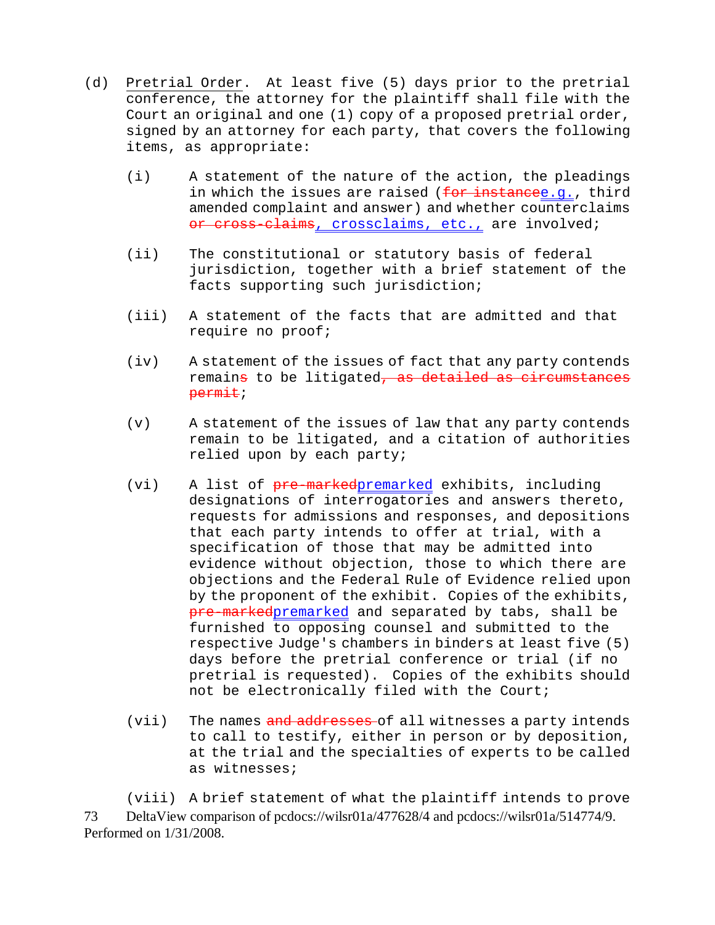- (d) Pretrial Order. At least five (5) days prior to the pretrial conference, the attorney for the plaintiff shall file with the Court an original and one (1) copy of a proposed pretrial order, signed by an attorney for each party, that covers the following items, as appropriate:
	- (i) A statement of the nature of the action, the pleadings in which the issues are raised (for instancee.g., third amended complaint and answer) and whether counterclaims or cross-claims, crossclaims, etc., are involved;
	- (ii) The constitutional or statutory basis of federal jurisdiction, together with a brief statement of the facts supporting such jurisdiction;
	- (iii) A statement of the facts that are admitted and that require no proof;
	- (iv) A statement of the issues of fact that any party contends remains to be litigated, as detailed as circumstances permit;
	- (v) A statement of the issues of law that any party contends remain to be litigated, and a citation of authorities relied upon by each party;
	- (vi) A list of pre-markedpremarked exhibits, including designations of interrogatories and answers thereto, requests for admissions and responses, and depositions that each party intends to offer at trial, with a specification of those that may be admitted into evidence without objection, those to which there are objections and the Federal Rule of Evidence relied upon by the proponent of the exhibit. Copies of the exhibits, pre-markedpremarked and separated by tabs, shall be furnished to opposing counsel and submitted to the respective Judge's chambers in binders at least five (5) days before the pretrial conference or trial (if no pretrial is requested). Copies of the exhibits should not be electronically filed with the Court;
	- (vii) The names and addresses of all witnesses a party intends to call to testify, either in person or by deposition, at the trial and the specialties of experts to be called as witnesses;

73 DeltaView comparison of pcdocs://wilsr01a/477628/4 and pcdocs://wilsr01a/514774/9. Performed on 1/31/2008. (viii) A brief statement of what the plaintiff intends to prove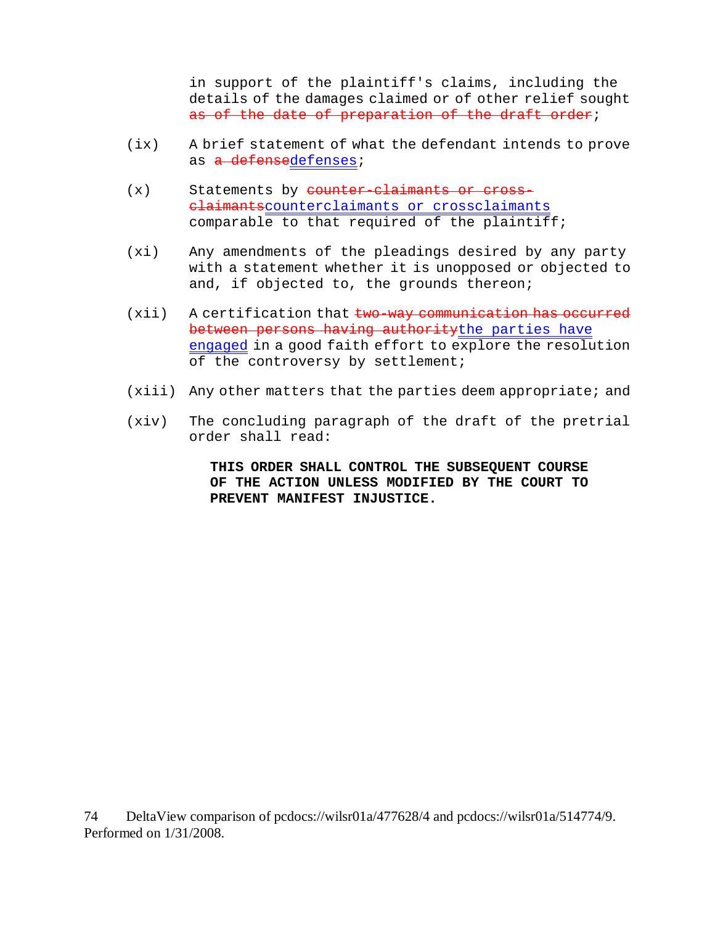in support of the plaintiff's claims, including the details of the damages claimed or of other relief sought as of the date of preparation of the draft order;

- (ix) A brief statement of what the defendant intends to prove as a defensedefenses;
- $(x)$  Statements by counter-claimants or crossclaimantscounterclaimants or crossclaimants comparable to that required of the plaintiff;
- (xi) Any amendments of the pleadings desired by any party with a statement whether it is unopposed or objected to and, if objected to, the grounds thereon;
- $(xii)$  A certification that  $two-way$  communication has occurred between persons having authoritythe parties have engaged in a good faith effort to explore the resolution of the controversy by settlement;
- (xiii) Any other matters that the parties deem appropriate; and
- (xiv) The concluding paragraph of the draft of the pretrial order shall read:

**THIS ORDER SHALL CONTROL THE SUBSEQUENT COURSE OF THE ACTION UNLESS MODIFIED BY THE COURT TO PREVENT MANIFEST INJUSTICE.**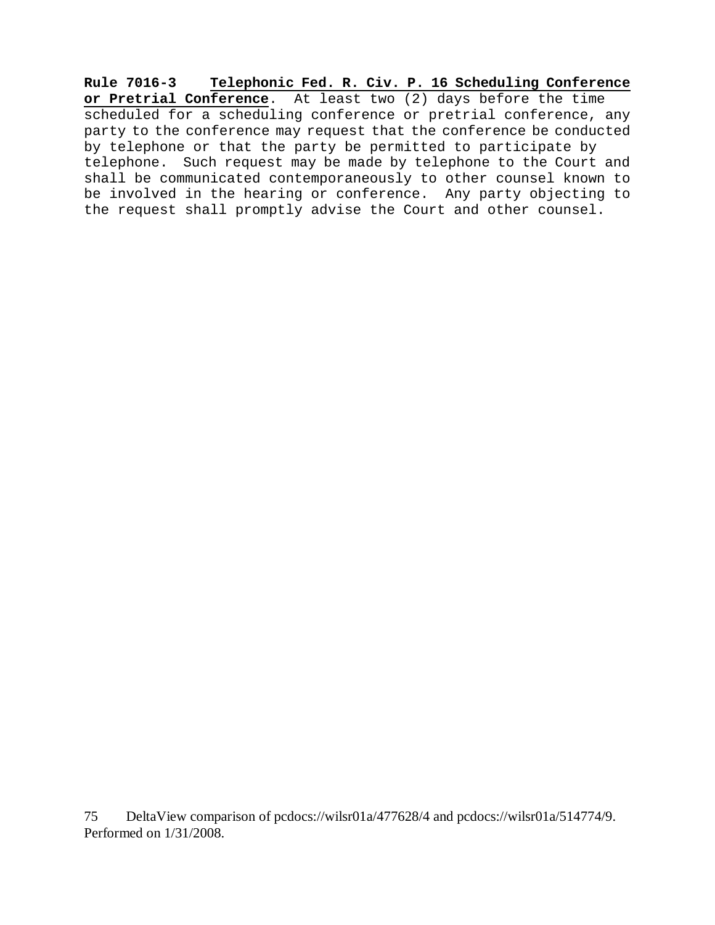**Rule 7016-3 Telephonic Fed. R. Civ. P. 16 Scheduling Conference or Pretrial Conference**. At least two (2) days before the time scheduled for a scheduling conference or pretrial conference, any party to the conference may request that the conference be conducted by telephone or that the party be permitted to participate by telephone. Such request may be made by telephone to the Court and shall be communicated contemporaneously to other counsel known to be involved in the hearing or conference. Any party objecting to the request shall promptly advise the Court and other counsel.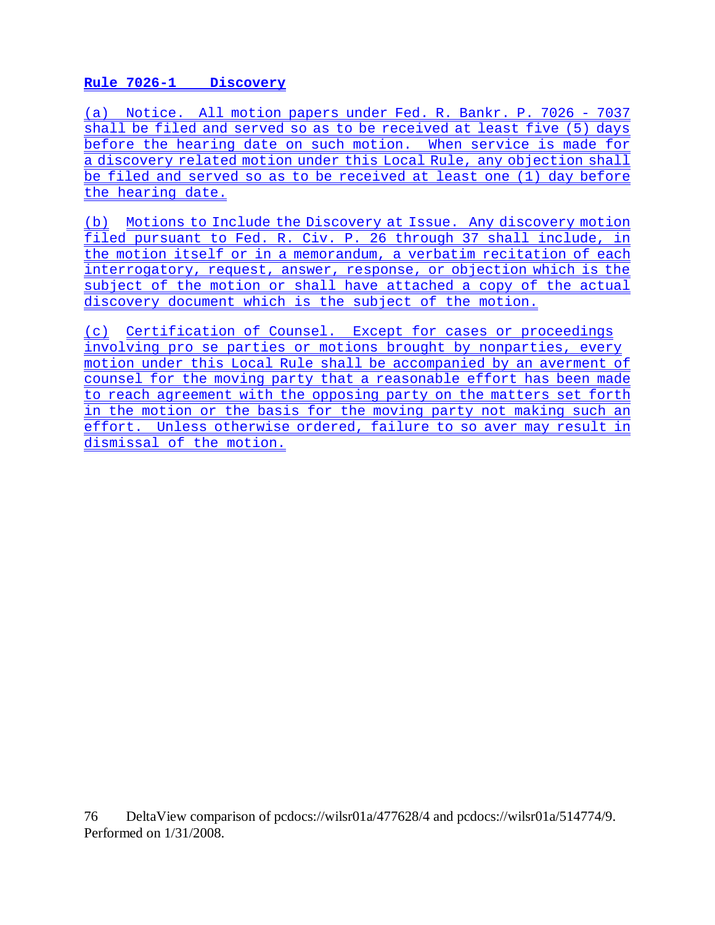# **Rule 7026-1 Discovery**

(a) Notice. All motion papers under Fed. R. Bankr. P. 7026 - 7037 shall be filed and served so as to be received at least five (5) days before the hearing date on such motion. When service is made for a discovery related motion under this Local Rule, any objection shall be filed and served so as to be received at least one (1) day before the hearing date.

(b) Motions to Include the Discovery at Issue. Any discovery motion filed pursuant to Fed. R. Civ. P. 26 through 37 shall include, in the motion itself or in a memorandum, a verbatim recitation of each interrogatory, request, answer, response, or objection which is the subject of the motion or shall have attached a copy of the actual discovery document which is the subject of the motion.

(c) Certification of Counsel. Except for cases or proceedings involving pro se parties or motions brought by nonparties, every motion under this Local Rule shall be accompanied by an averment of counsel for the moving party that a reasonable effort has been made to reach agreement with the opposing party on the matters set forth in the motion or the basis for the moving party not making such an effort. Unless otherwise ordered, failure to so aver may result in dismissal of the motion.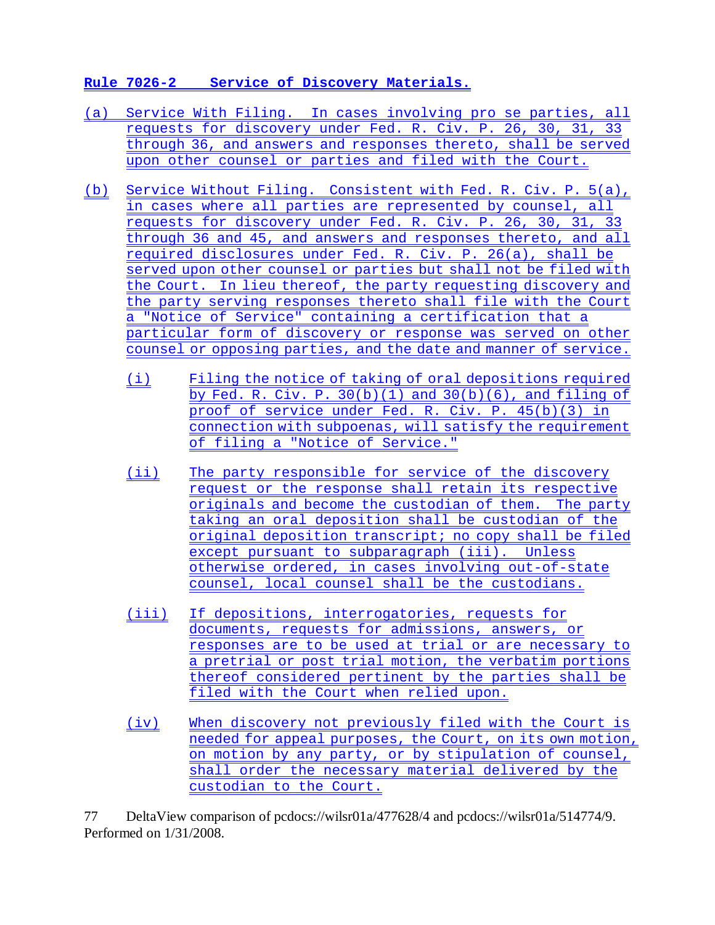# **Rule 7026-2 Service of Discovery Materials.**

- (a) Service With Filing. In cases involving pro se parties, all requests for discovery under Fed. R. Civ. P. 26, 30, 31, 33 through 36, and answers and responses thereto, shall be served upon other counsel or parties and filed with the Court.
- (b) Service Without Filing. Consistent with Fed. R. Civ. P. 5(a), in cases where all parties are represented by counsel, all requests for discovery under Fed. R. Civ. P. 26, 30, 31, 33 through 36 and 45, and answers and responses thereto, and all required disclosures under Fed. R. Civ. P. 26(a), shall be served upon other counsel or parties but shall not be filed with the Court. In lieu thereof, the party requesting discovery and the party serving responses thereto shall file with the Court a "Notice of Service" containing a certification that a particular form of discovery or response was served on other counsel or opposing parties, and the date and manner of service.
	- (i) Filing the notice of taking of oral depositions required by Fed. R. Civ. P. 30(b)(1) and 30(b)(6), and filing of proof of service under Fed. R. Civ. P. 45(b)(3) in connection with subpoenas, will satisfy the requirement of filing a "Notice of Service."
	- (ii) The party responsible for service of the discovery request or the response shall retain its respective originals and become the custodian of them. The party taking an oral deposition shall be custodian of the original deposition transcript; no copy shall be filed except pursuant to subparagraph (iii). Unless otherwise ordered, in cases involving out-of-state counsel, local counsel shall be the custodians.
	- (iii) If depositions, interrogatories, requests for documents, requests for admissions, answers, or responses are to be used at trial or are necessary to a pretrial or post trial motion, the verbatim portions thereof considered pertinent by the parties shall be filed with the Court when relied upon.
	- (iv) When discovery not previously filed with the Court is needed for appeal purposes, the Court, on its own motion, on motion by any party, or by stipulation of counsel, shall order the necessary material delivered by the custodian to the Court.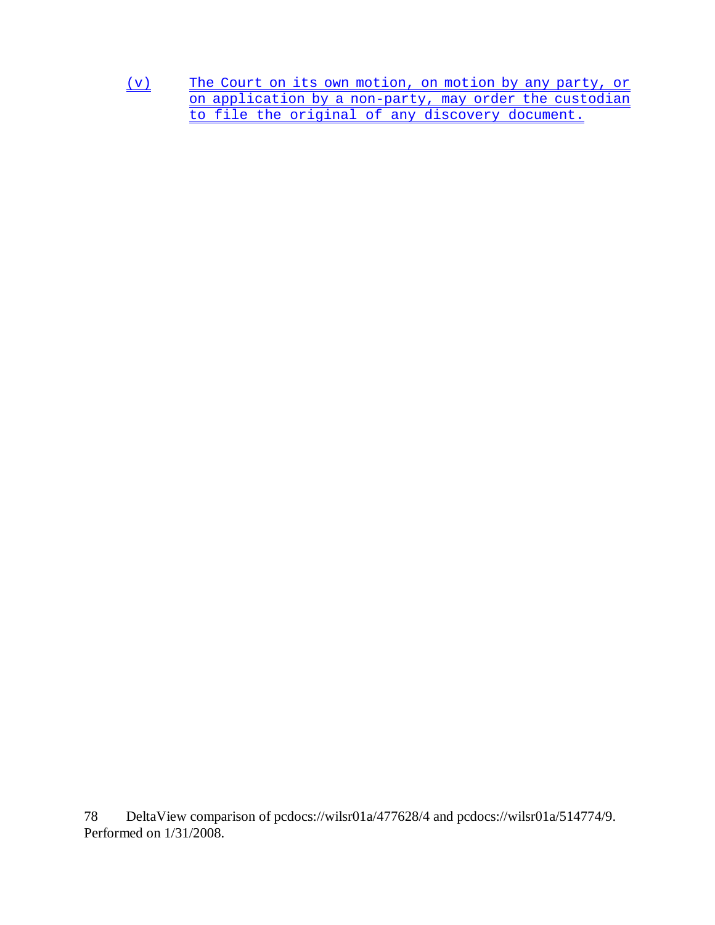(v) The Court on its own motion, on motion by any party, or on application by a non-party, may order the custodian to file the original of any discovery document.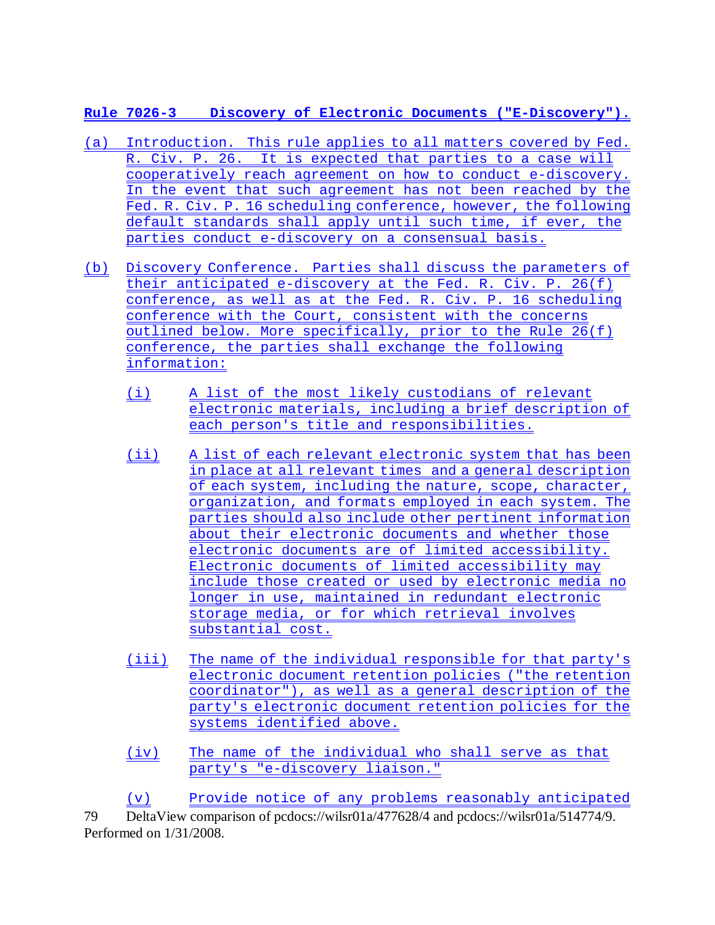**Rule 7026-3 Discovery of Electronic Documents ("E-Discovery").**

- (a) Introduction. This rule applies to all matters covered by Fed. R. Civ. P. 26. It is expected that parties to a case will cooperatively reach agreement on how to conduct e-discovery. In the event that such agreement has not been reached by the Fed. R. Civ. P. 16 scheduling conference, however, the following default standards shall apply until such time, if ever, the parties conduct e-discovery on a consensual basis.
- (b) Discovery Conference. Parties shall discuss the parameters of their anticipated e-discovery at the Fed. R. Civ. P. 26(f) conference, as well as at the Fed. R. Civ. P. 16 scheduling conference with the Court, consistent with the concerns outlined below. More specifically, prior to the Rule 26(f) conference, the parties shall exchange the following information:
	- (i) A list of the most likely custodians of relevant electronic materials, including a brief description of each person's title and responsibilities.
	- (ii) A list of each relevant electronic system that has been in place at all relevant times and a general description of each system, including the nature, scope, character, organization, and formats employed in each system. The parties should also include other pertinent information about their electronic documents and whether those electronic documents are of limited accessibility. Electronic documents of limited accessibility may include those created or used by electronic media no longer in use, maintained in redundant electronic storage media, or for which retrieval involves substantial cost.
	- (iii) The name of the individual responsible for that party's electronic document retention policies ("the retention coordinator"), as well as a general description of the party's electronic document retention policies for the systems identified above.
	- (iv) The name of the individual who shall serve as that party's "e-discovery liaison."

79 DeltaView comparison of pcdocs://wilsr01a/477628/4 and pcdocs://wilsr01a/514774/9. Performed on 1/31/2008. (v) Provide notice of any problems reasonably anticipated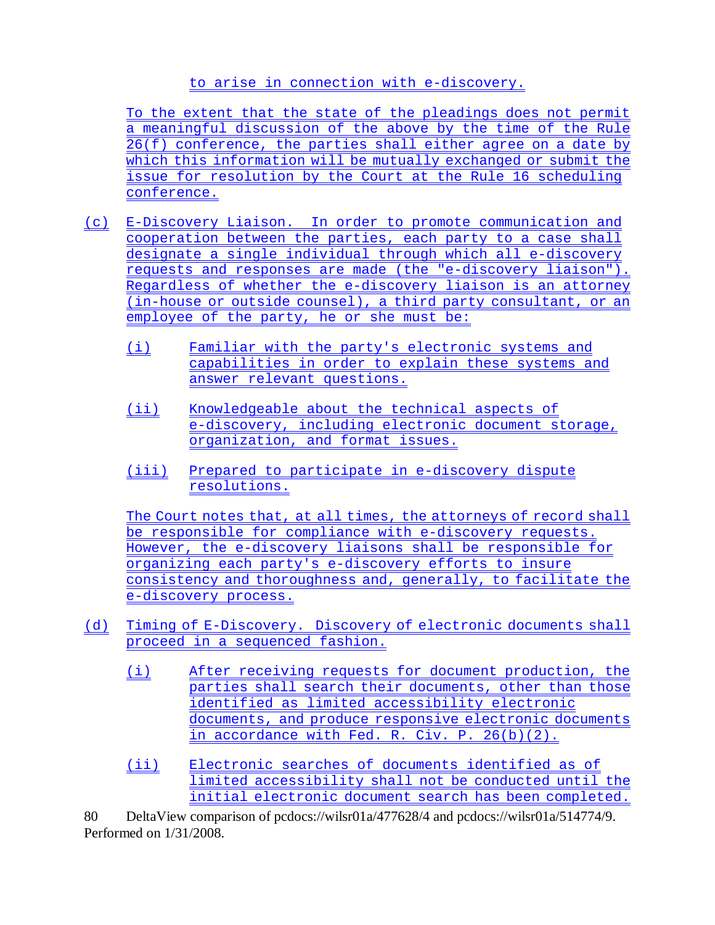# to arise in connection with e-discovery.

To the extent that the state of the pleadings does not permit a meaningful discussion of the above by the time of the Rule 26(f) conference, the parties shall either agree on a date by which this information will be mutually exchanged or submit the issue for resolution by the Court at the Rule 16 scheduling conference.

- (c) E-Discovery Liaison. In order to promote communication and cooperation between the parties, each party to a case shall designate a single individual through which all e-discovery requests and responses are made (the "e-discovery liaison"). Regardless of whether the e-discovery liaison is an attorney (in-house or outside counsel), a third party consultant, or an employee of the party, he or she must be:
	- (i) Familiar with the party's electronic systems and capabilities in order to explain these systems and answer relevant questions.
	- (ii) Knowledgeable about the technical aspects of e-discovery, including electronic document storage, organization, and format issues.
	- (iii) Prepared to participate in e-discovery dispute resolutions.

The Court notes that, at all times, the attorneys of record shall be responsible for compliance with e-discovery requests. However, the e-discovery liaisons shall be responsible for organizing each party's e-discovery efforts to insure consistency and thoroughness and, generally, to facilitate the e-discovery process.

- (d) Timing of E-Discovery. Discovery of electronic documents shall proceed in a sequenced fashion.
	- (i) After receiving requests for document production, the parties shall search their documents, other than those identified as limited accessibility electronic documents, and produce responsive electronic documents in accordance with Fed. R. Civ. P. 26(b)(2).
	- (ii) Electronic searches of documents identified as of limited accessibility shall not be conducted until the initial electronic document search has been completed.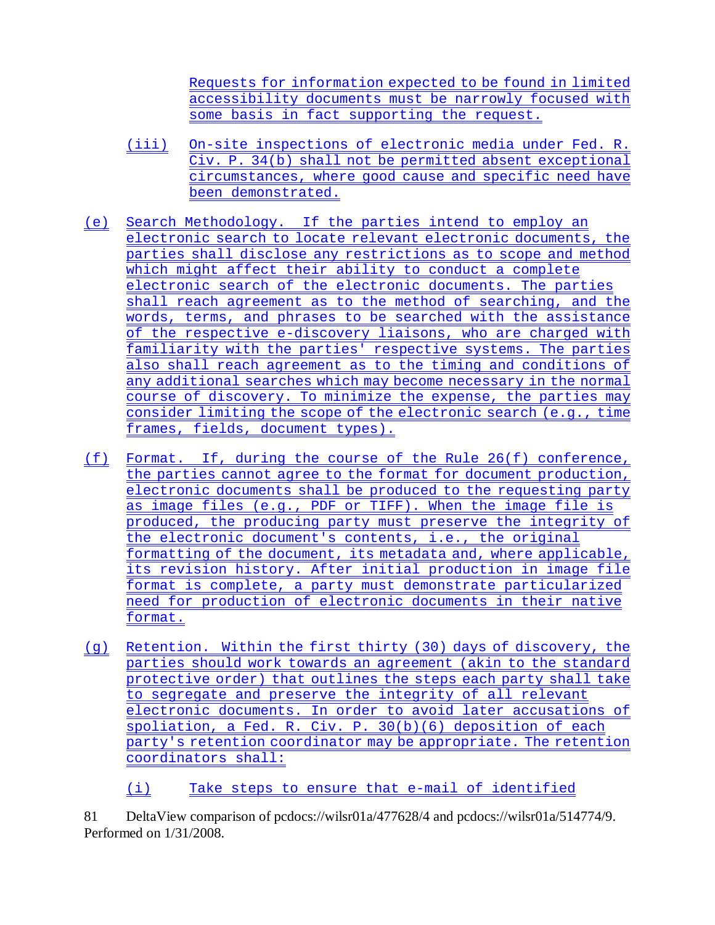Requests for information expected to be found in limited accessibility documents must be narrowly focused with some basis in fact supporting the request.

- (iii) On-site inspections of electronic media under Fed. R. Civ. P. 34(b) shall not be permitted absent exceptional circumstances, where good cause and specific need have been demonstrated.
- (e) Search Methodology. If the parties intend to employ an electronic search to locate relevant electronic documents, the parties shall disclose any restrictions as to scope and method which might affect their ability to conduct a complete electronic search of the electronic documents. The parties shall reach agreement as to the method of searching, and the words, terms, and phrases to be searched with the assistance of the respective e-discovery liaisons, who are charged with familiarity with the parties' respective systems. The parties also shall reach agreement as to the timing and conditions of any additional searches which may become necessary in the normal course of discovery. To minimize the expense, the parties may consider limiting the scope of the electronic search (e.g., time frames, fields, document types).
- (f) Format. If, during the course of the Rule 26(f) conference, the parties cannot agree to the format for document production, electronic documents shall be produced to the requesting party as image files (e.g., PDF or TIFF). When the image file is produced, the producing party must preserve the integrity of the electronic document's contents, i.e., the original formatting of the document, its metadata and, where applicable, its revision history. After initial production in image file format is complete, a party must demonstrate particularized need for production of electronic documents in their native format.
- (g) Retention. Within the first thirty (30) days of discovery, the parties should work towards an agreement (akin to the standard protective order) that outlines the steps each party shall take to segregate and preserve the integrity of all relevant electronic documents. In order to avoid later accusations of spoliation, a Fed. R. Civ. P. 30(b)(6) deposition of each party's retention coordinator may be appropriate. The retention coordinators shall:
	- (i) Take steps to ensure that e-mail of identified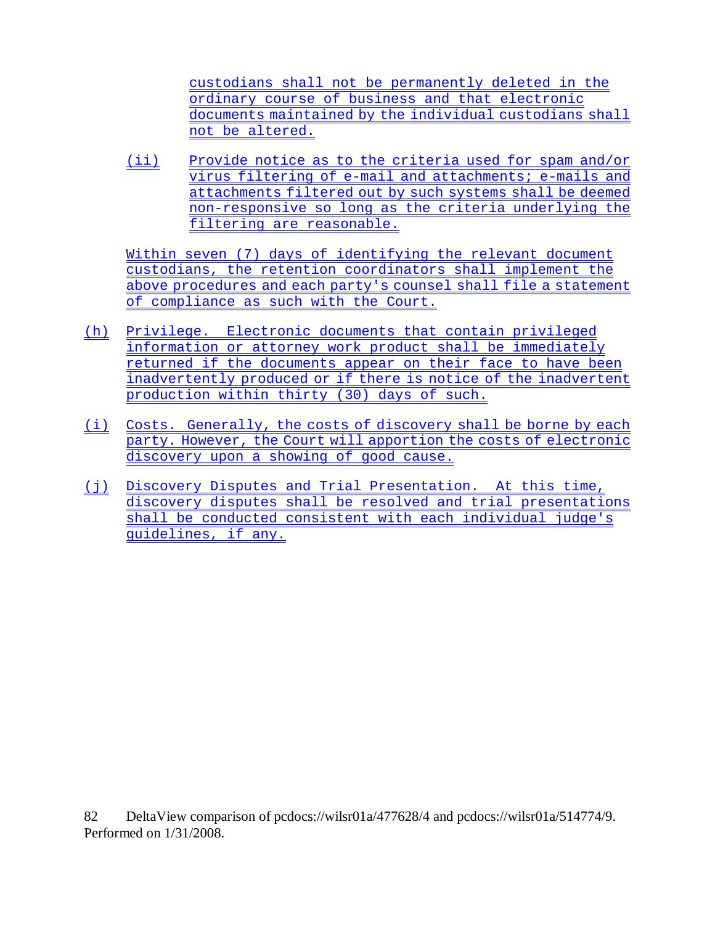custodians shall not be permanently deleted in the ordinary course of business and that electronic documents maintained by the individual custodians shall not be altered.

(ii) Provide notice as to the criteria used for spam and/or virus filtering of e-mail and attachments; e-mails and attachments filtered out by such systems shall be deemed non-responsive so long as the criteria underlying the filtering are reasonable.

Within seven (7) days of identifying the relevant document custodians, the retention coordinators shall implement the above procedures and each party's counsel shall file a statement of compliance as such with the Court.

- (h) Privilege. Electronic documents that contain privileged information or attorney work product shall be immediately returned if the documents appear on their face to have been inadvertently produced or if there is notice of the inadvertent production within thirty (30) days of such.
- (i) Costs. Generally, the costs of discovery shall be borne by each party. However, the Court will apportion the costs of electronic discovery upon a showing of good cause.
- (j) Discovery Disputes and Trial Presentation. At this time, discovery disputes shall be resolved and trial presentations shall be conducted consistent with each individual judge's guidelines, if any.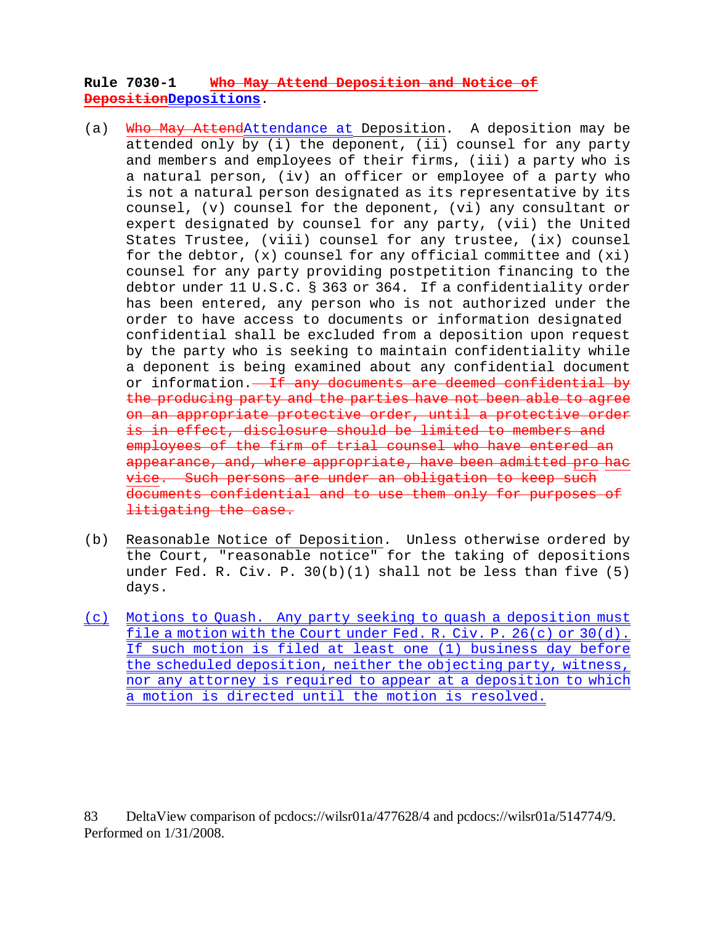## **Rule 7030-1 Who May Attend Deposition and Notice of DepositionDepositions**.

- (a) Who May AttendAttendance at Deposition. A deposition may be attended only by (i) the deponent, (ii) counsel for any party and members and employees of their firms, (iii) a party who is a natural person, (iv) an officer or employee of a party who is not a natural person designated as its representative by its counsel, (v) counsel for the deponent, (vi) any consultant or expert designated by counsel for any party, (vii) the United States Trustee, (viii) counsel for any trustee, (ix) counsel for the debtor, (x) counsel for any official committee and (xi) counsel for any party providing postpetition financing to the debtor under 11 U.S.C. § 363 or 364. If a confidentiality order has been entered, any person who is not authorized under the order to have access to documents or information designated confidential shall be excluded from a deposition upon request by the party who is seeking to maintain confidentiality while a deponent is being examined about any confidential document or information.<del> If any documents are deemed confidential by</del> the producing party and the parties have not been able to agree on an appropriate protective order, until a protective order is in effect, disclosure should be limited to members and employees of the firm of trial counsel who have entered an appearance, and, where appropriate, have been admitted pro hac vice. Such persons are under an obligation to keep such documents confidential and to use them only for purposes of litigating the case.
- (b) Reasonable Notice of Deposition. Unless otherwise ordered by the Court, "reasonable notice" for the taking of depositions under Fed. R. Civ. P. 30(b)(1) shall not be less than five (5) days.
- (c) Motions to Quash. Any party seeking to quash a deposition must file a motion with the Court under Fed. R. Civ. P. 26(c) or 30(d). If such motion is filed at least one (1) business day before the scheduled deposition, neither the objecting party, witness, nor any attorney is required to appear at a deposition to which a motion is directed until the motion is resolved.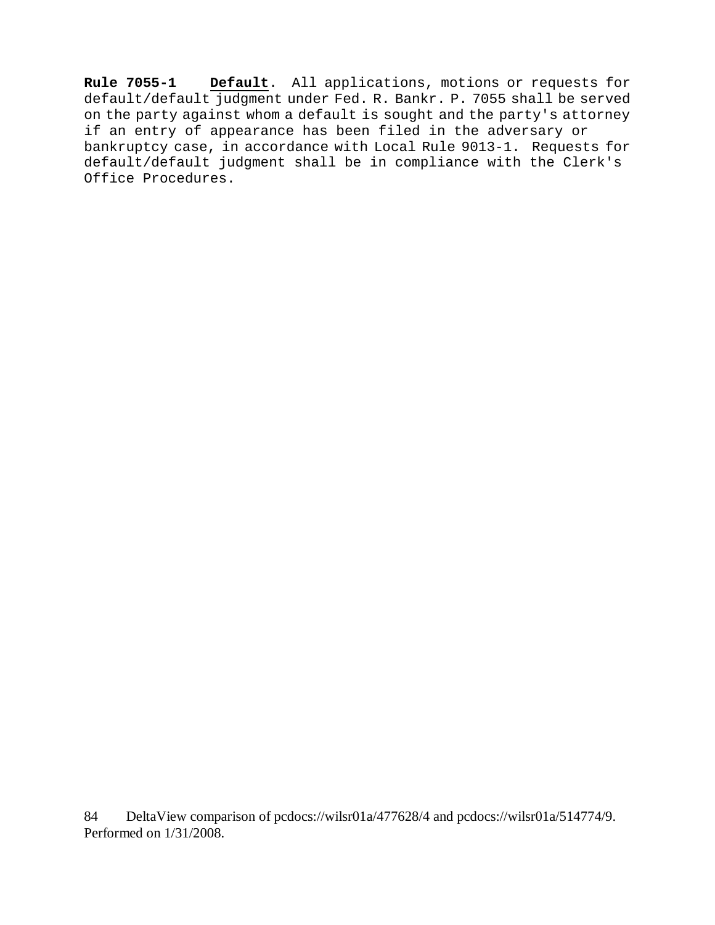**Rule 7055-1 Default**. All applications, motions or requests for default/default judgment under Fed. R. Bankr. P. 7055 shall be served on the party against whom a default is sought and the party's attorney if an entry of appearance has been filed in the adversary or bankruptcy case, in accordance with Local Rule 9013-1. Requests for default/default judgment shall be in compliance with the Clerk's Office Procedures.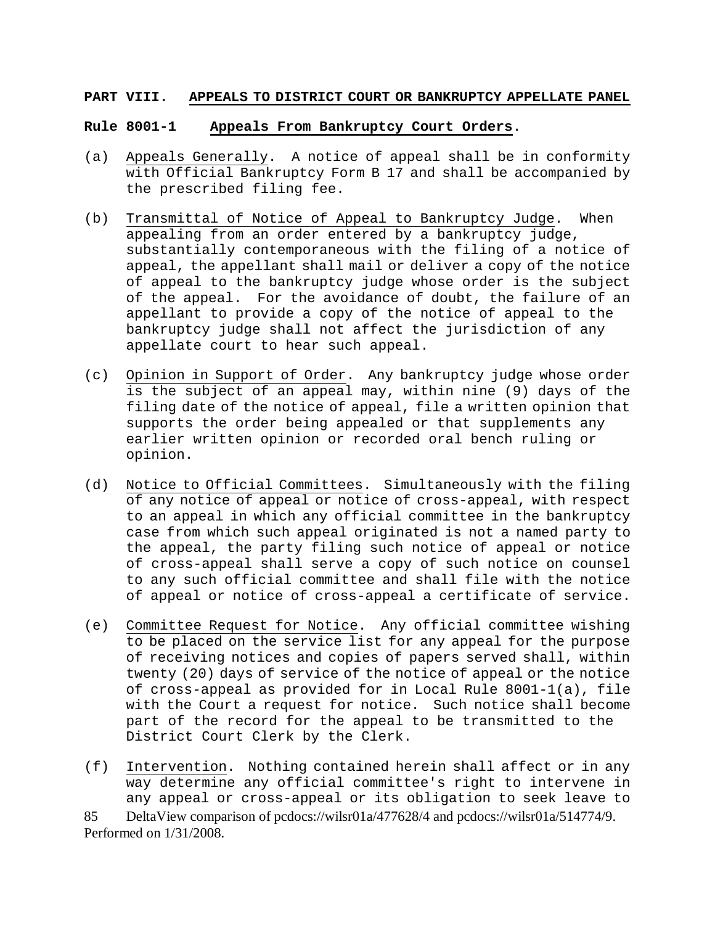#### **PART VIII. APPEALS TO DISTRICT COURT OR BANKRUPTCY APPELLATE PANEL**

#### **Rule 8001-1 Appeals From Bankruptcy Court Orders**.

- (a) Appeals Generally. A notice of appeal shall be in conformity with Official Bankruptcy Form B 17 and shall be accompanied by the prescribed filing fee.
- (b) Transmittal of Notice of Appeal to Bankruptcy Judge. When appealing from an order entered by a bankruptcy judge, substantially contemporaneous with the filing of a notice of appeal, the appellant shall mail or deliver a copy of the notice of appeal to the bankruptcy judge whose order is the subject of the appeal. For the avoidance of doubt, the failure of an appellant to provide a copy of the notice of appeal to the bankruptcy judge shall not affect the jurisdiction of any appellate court to hear such appeal.
- (c) Opinion in Support of Order. Any bankruptcy judge whose order is the subject of an appeal may, within nine (9) days of the filing date of the notice of appeal, file a written opinion that supports the order being appealed or that supplements any earlier written opinion or recorded oral bench ruling or opinion.
- (d) Notice to Official Committees. Simultaneously with the filing of any notice of appeal or notice of cross-appeal, with respect to an appeal in which any official committee in the bankruptcy case from which such appeal originated is not a named party to the appeal, the party filing such notice of appeal or notice of cross-appeal shall serve a copy of such notice on counsel to any such official committee and shall file with the notice of appeal or notice of cross-appeal a certificate of service.
- (e) Committee Request for Notice. Any official committee wishing to be placed on the service list for any appeal for the purpose of receiving notices and copies of papers served shall, within twenty (20) days of service of the notice of appeal or the notice of cross-appeal as provided for in Local Rule 8001-1(a), file with the Court a request for notice. Such notice shall become part of the record for the appeal to be transmitted to the District Court Clerk by the Clerk.
- (f) Intervention. Nothing contained herein shall affect or in any way determine any official committee's right to intervene in any appeal or cross-appeal or its obligation to seek leave to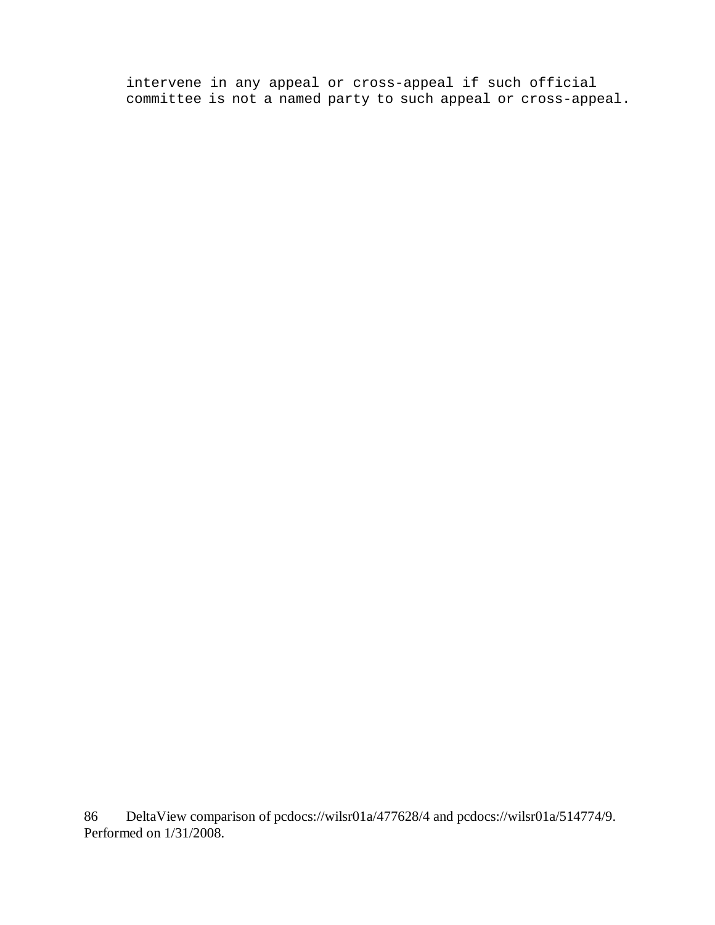intervene in any appeal or cross-appeal if such official committee is not a named party to such appeal or cross-appeal.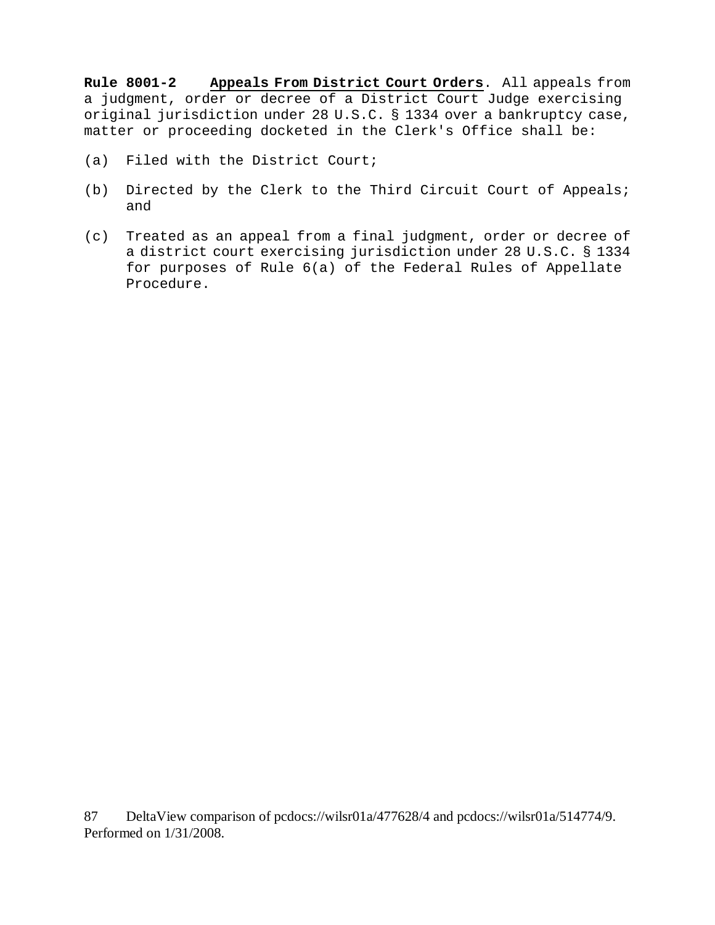**Rule 8001-2 Appeals From District Court Orders**. All appeals from a judgment, order or decree of a District Court Judge exercising original jurisdiction under 28 U.S.C. § 1334 over a bankruptcy case, matter or proceeding docketed in the Clerk's Office shall be:

- (a) Filed with the District Court;
- (b) Directed by the Clerk to the Third Circuit Court of Appeals; and
- (c) Treated as an appeal from a final judgment, order or decree of a district court exercising jurisdiction under 28 U.S.C. § 1334 for purposes of Rule 6(a) of the Federal Rules of Appellate Procedure.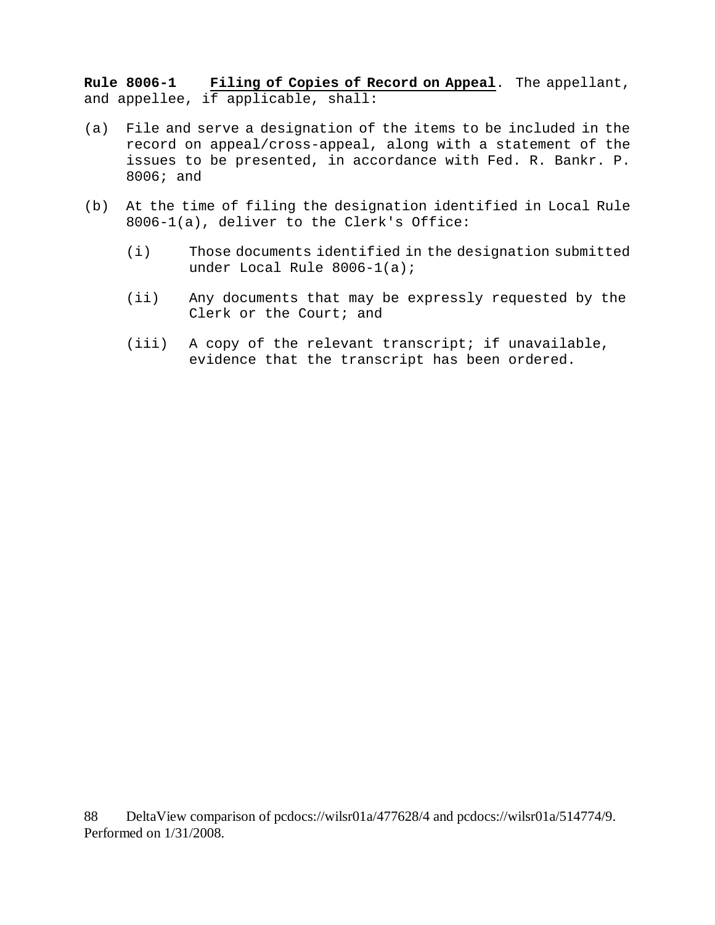**Rule 8006-1 Filing of Copies of Record on Appeal**. The appellant, and appellee, if applicable, shall:

- (a) File and serve a designation of the items to be included in the record on appeal/cross-appeal, along with a statement of the issues to be presented, in accordance with Fed. R. Bankr. P. 8006; and
- (b) At the time of filing the designation identified in Local Rule 8006-1(a), deliver to the Clerk's Office:
	- (i) Those documents identified in the designation submitted under Local Rule 8006-1(a);
	- (ii) Any documents that may be expressly requested by the Clerk or the Court; and
	- (iii) A copy of the relevant transcript; if unavailable, evidence that the transcript has been ordered.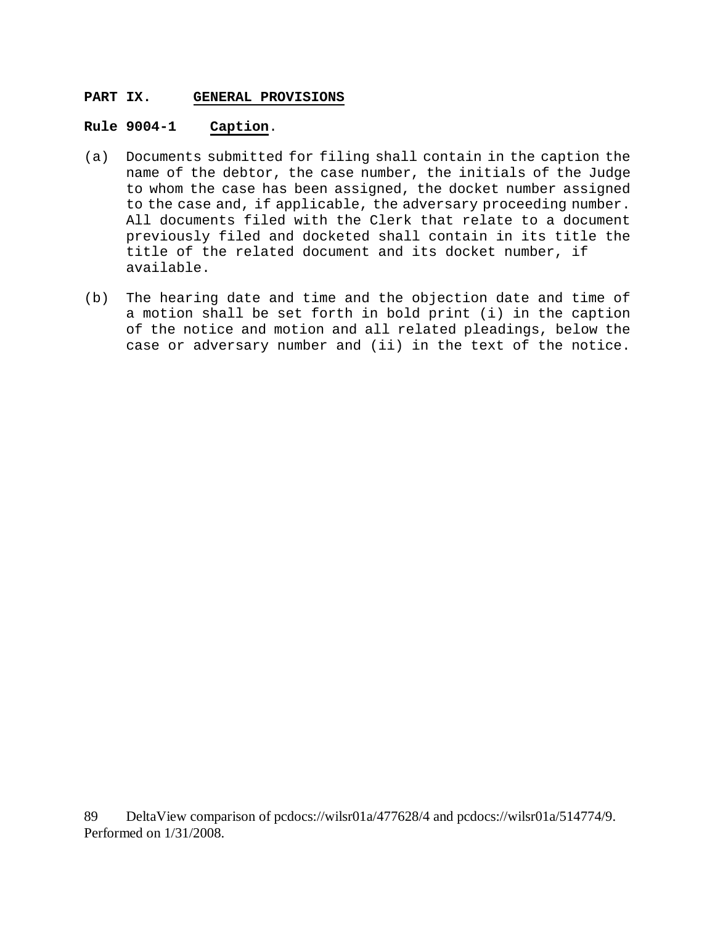### **PART IX. GENERAL PROVISIONS**

#### **Rule 9004-1 Caption**.

- (a) Documents submitted for filing shall contain in the caption the name of the debtor, the case number, the initials of the Judge to whom the case has been assigned, the docket number assigned to the case and, if applicable, the adversary proceeding number. All documents filed with the Clerk that relate to a document previously filed and docketed shall contain in its title the title of the related document and its docket number, if available.
- (b) The hearing date and time and the objection date and time of a motion shall be set forth in bold print (i) in the caption of the notice and motion and all related pleadings, below the case or adversary number and (ii) in the text of the notice.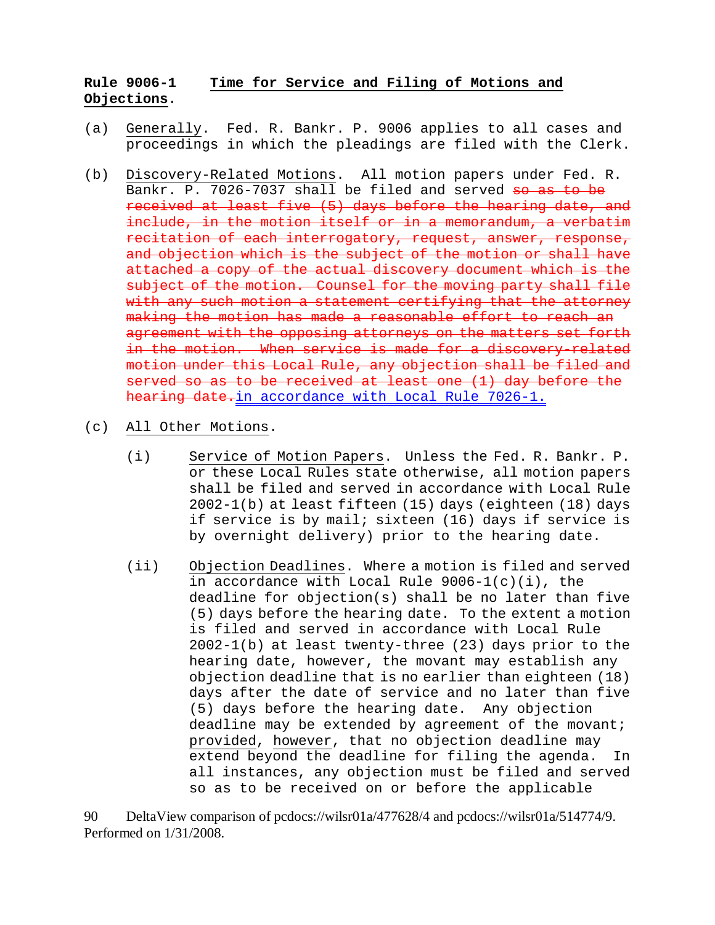## **Rule 9006-1 Time for Service and Filing of Motions and Objections**.

- (a) Generally. Fed. R. Bankr. P. 9006 applies to all cases and proceedings in which the pleadings are filed with the Clerk.
- (b) Discovery-Related Motions. All motion papers under Fed. R. Bankr. P. 7026-7037 shall be filed and served so as to be received at least five (5) days before the hearing date, and include, in the motion itself or in a memorandum, a verbatim recitation of each interrogatory, request, answer, response, and objection which is the subject of the motion or shall have attached a copy of the actual discovery document which is the subject of the motion. Counsel for the moving party shall file with any such motion a statement certifying that the attorney making the motion has made a reasonable effort to reach an agreement with the opposing attorneys on the matters set forth in the motion. When service is made for a discovery related motion under this Local Rule, any objection shall be filed and served so as to be received at least one (1) day before the hearing date.in accordance with Local Rule 7026-1.
- (c) All Other Motions.
	- (i) Service of Motion Papers. Unless the Fed. R. Bankr. P. or these Local Rules state otherwise, all motion papers shall be filed and served in accordance with Local Rule 2002-1(b) at least fifteen (15) days (eighteen (18) days if service is by mail; sixteen (16) days if service is by overnight delivery) prior to the hearing date.
	- (ii) Objection Deadlines. Where a motion is filed and served in accordance with Local Rule  $9006-1(c)(i)$ , the deadline for objection(s) shall be no later than five (5) days before the hearing date. To the extent a motion is filed and served in accordance with Local Rule 2002-1(b) at least twenty-three (23) days prior to the hearing date, however, the movant may establish any objection deadline that is no earlier than eighteen (18) days after the date of service and no later than five (5) days before the hearing date. Any objection deadline may be extended by agreement of the movant; provided, however, that no objection deadline may extend beyond the deadline for filing the agenda. In all instances, any objection must be filed and served so as to be received on or before the applicable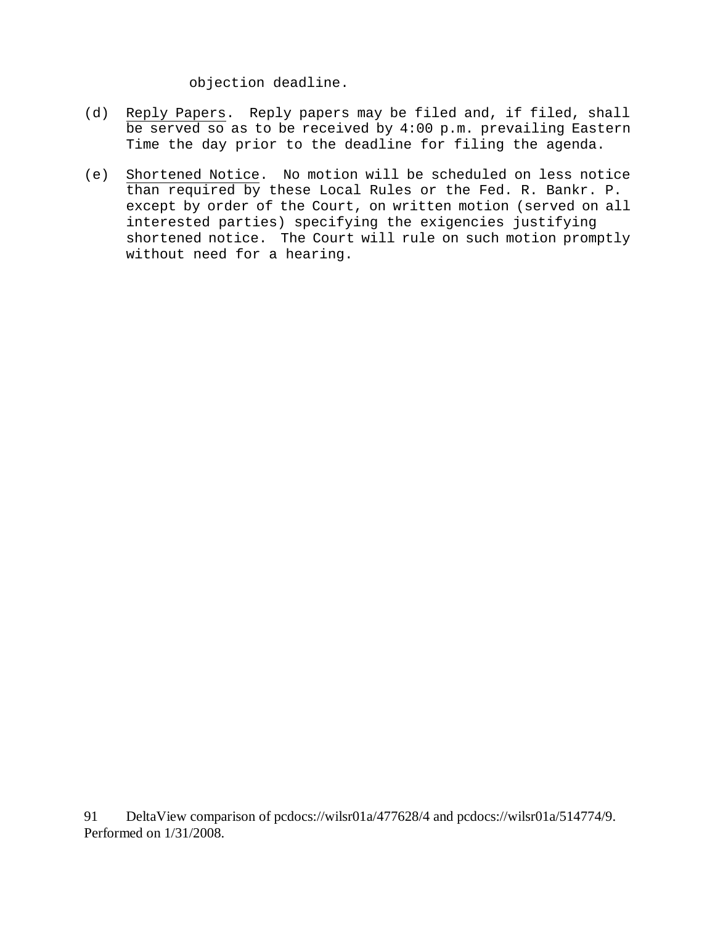objection deadline.

- (d) Reply Papers. Reply papers may be filed and, if filed, shall be served so as to be received by 4:00 p.m. prevailing Eastern Time the day prior to the deadline for filing the agenda.
- (e) Shortened Notice. No motion will be scheduled on less notice than required by these Local Rules or the Fed. R. Bankr. P. except by order of the Court, on written motion (served on all interested parties) specifying the exigencies justifying shortened notice. The Court will rule on such motion promptly without need for a hearing.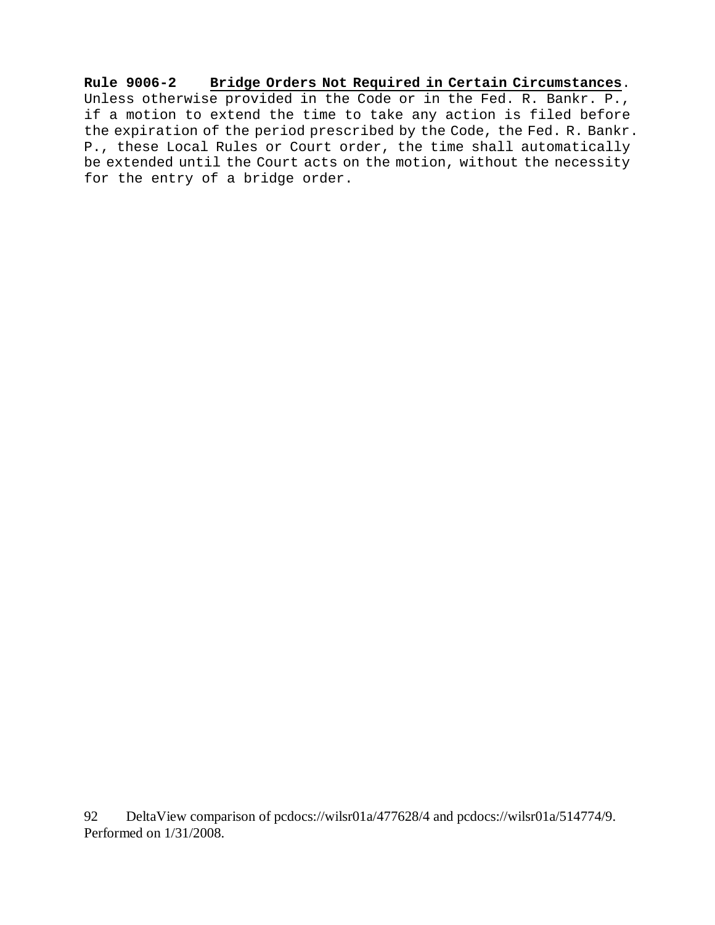**Rule 9006-2 Bridge Orders Not Required in Certain Circumstances**. Unless otherwise provided in the Code or in the Fed. R. Bankr. P., if a motion to extend the time to take any action is filed before the expiration of the period prescribed by the Code, the Fed. R. Bankr. P., these Local Rules or Court order, the time shall automatically be extended until the Court acts on the motion, without the necessity for the entry of a bridge order.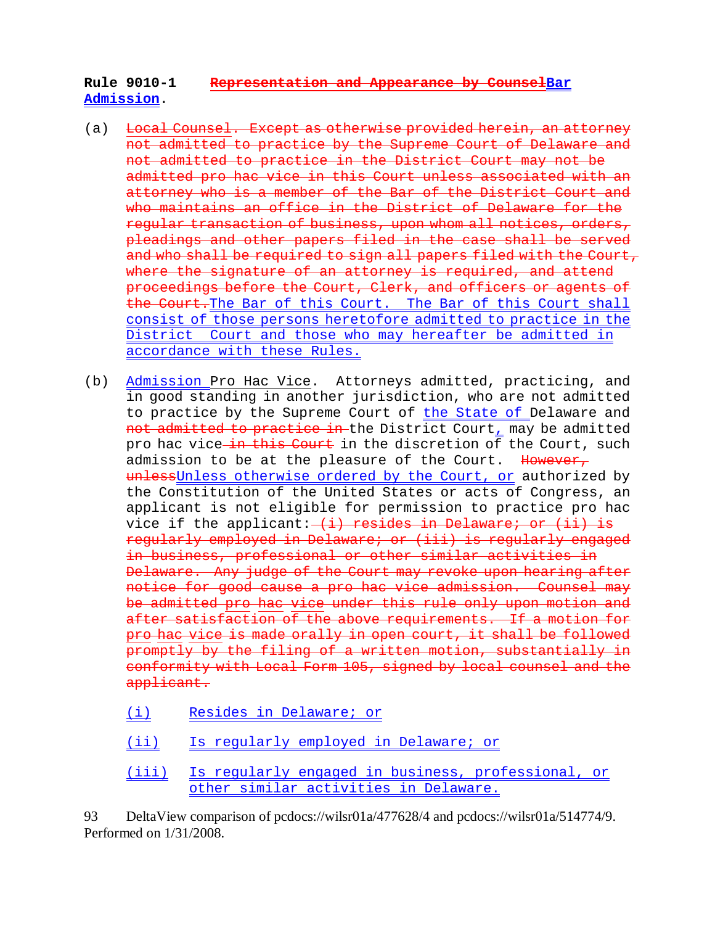## **Rule 9010-1 Representation and Appearance by CounselBar Admission**.

- (a) Local Counsel. Except as otherwise provided herein, an attorney not admitted to practice by the Supreme Court of Delaware and not admitted to practice in the District Court may not be admitted pro hac vice in this Court unless associated with an attorney who is a member of the Bar of the District Court and who maintains an office in the District of Delaware for the regular transaction of business, upon whom all notices, orders, pleadings and other papers filed in the case shall be served and who shall be required to sign all papers filed with the Court, where the signature of an attorney is required, and attend proceedings before the Court, Clerk, and officers or agents of the Court.The Bar of this Court. The Bar of this Court shall consist of those persons heretofore admitted to practice in the District Court and those who may hereafter be admitted in accordance with these Rules.
- (b) Admission Pro Hac Vice. Attorneys admitted, practicing, and in good standing in another jurisdiction, who are not admitted to practice by the Supreme Court of the State of Delaware and not admitted to practice in the District Court, may be admitted pro hac vice in this Court in the discretion of the Court, such admission to be at the pleasure of the Court. However, unlessUnless otherwise ordered by the Court, or authorized by the Constitution of the United States or acts of Congress, an applicant is not eligible for permission to practice pro hac vice if the applicant: (i) resides in Delaware; or (ii) is regularly employed in Delaware; or (iii) is regularly engaged in business, professional or other similar activities in Delaware. Any judge of the Court may revoke upon hearing after notice for good cause a pro hac vice admission. Counsel may be admitted pro hac vice under this rule only upon motion and after satisfaction of the above requirements. If a motion for pro hac vice is made orally in open court, it shall be followed promptly by the filing of a written motion, substantially in conformity with Local Form 105, signed by local counsel and the applicant.
	- (i) Resides in Delaware; or
	- (ii) Is regularly employed in Delaware; or
	- (iii) Is regularly engaged in business, professional, or other similar activities in Delaware.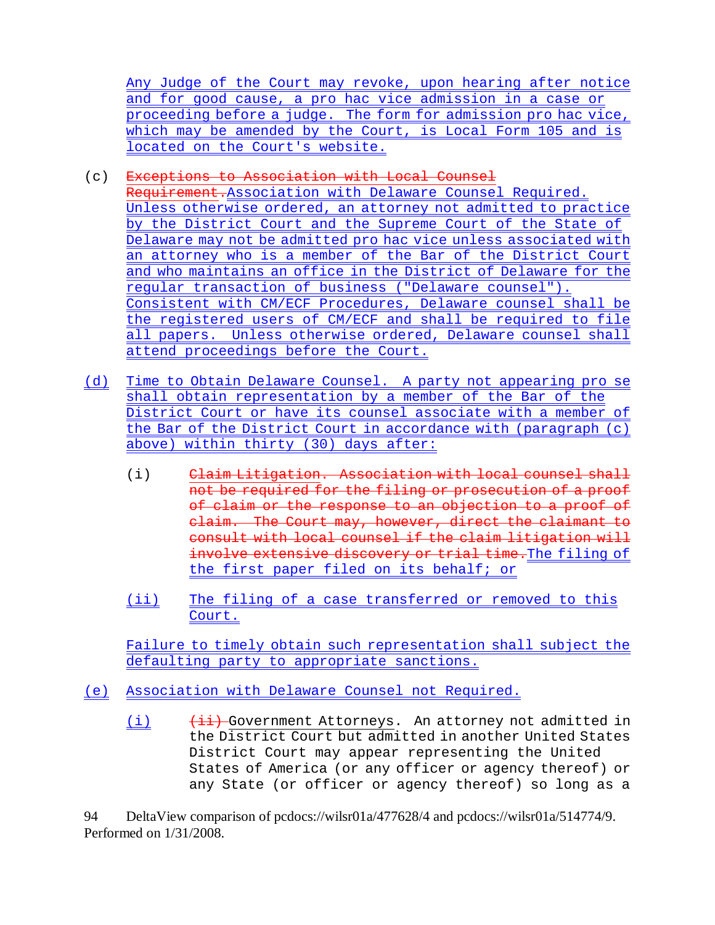Any Judge of the Court may revoke, upon hearing after notice and for good cause, a pro hac vice admission in a case or proceeding before a judge. The form for admission pro hac vice, which may be amended by the Court, is Local Form 105 and is located on the Court's website.

# (c) Exceptions to Association with Local Counsel

Requirement.Association with Delaware Counsel Required. Unless otherwise ordered, an attorney not admitted to practice by the District Court and the Supreme Court of the State of Delaware may not be admitted pro hac vice unless associated with an attorney who is a member of the Bar of the District Court and who maintains an office in the District of Delaware for the regular transaction of business ("Delaware counsel"). Consistent with CM/ECF Procedures, Delaware counsel shall be the registered users of CM/ECF and shall be required to file all papers. Unless otherwise ordered, Delaware counsel shall attend proceedings before the Court.

- (d) Time to Obtain Delaware Counsel. A party not appearing pro se shall obtain representation by a member of the Bar of the District Court or have its counsel associate with a member of the Bar of the District Court in accordance with (paragraph (c) above) within thirty (30) days after:
	- (i) Claim Litigation. Association with local counsel shall not be required for the filing or prosecution of a proof of claim or the response to an objection to a proof of claim. The Court may, however, direct the claimant to consult with local counsel if the claim litigation will involve extensive discovery or trial time. The filing of the first paper filed on its behalf; or
	- (ii) The filing of a case transferred or removed to this Court.

Failure to timely obtain such representation shall subject the defaulting party to appropriate sanctions.

- (e) Association with Delaware Counsel not Required.
	- (i)  $\frac{1}{1}$  Government Attorneys. An attorney not admitted in the District Court but admitted in another United States District Court may appear representing the United States of America (or any officer or agency thereof) or any State (or officer or agency thereof) so long as a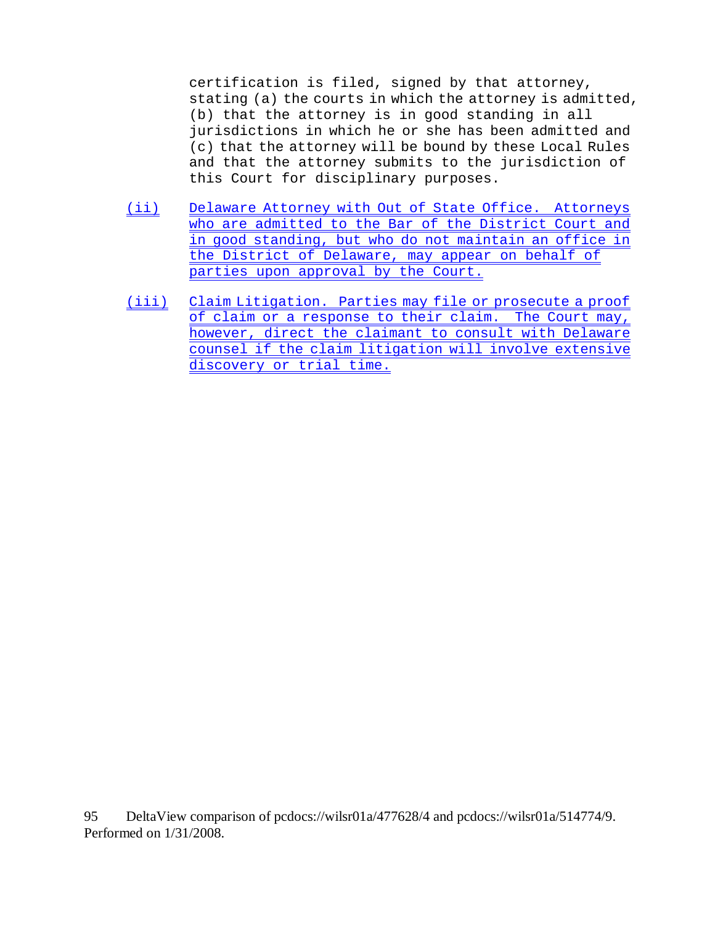certification is filed, signed by that attorney, stating (a) the courts in which the attorney is admitted, (b) that the attorney is in good standing in all jurisdictions in which he or she has been admitted and (c) that the attorney will be bound by these Local Rules and that the attorney submits to the jurisdiction of this Court for disciplinary purposes.

- (ii) Delaware Attorney with Out of State Office. Attorneys who are admitted to the Bar of the District Court and in good standing, but who do not maintain an office in the District of Delaware, may appear on behalf of parties upon approval by the Court.
- (iii) Claim Litigation. Parties may file or prosecute a proof of claim or a response to their claim. The Court may, however, direct the claimant to consult with Delaware counsel if the claim litigation will involve extensive discovery or trial time.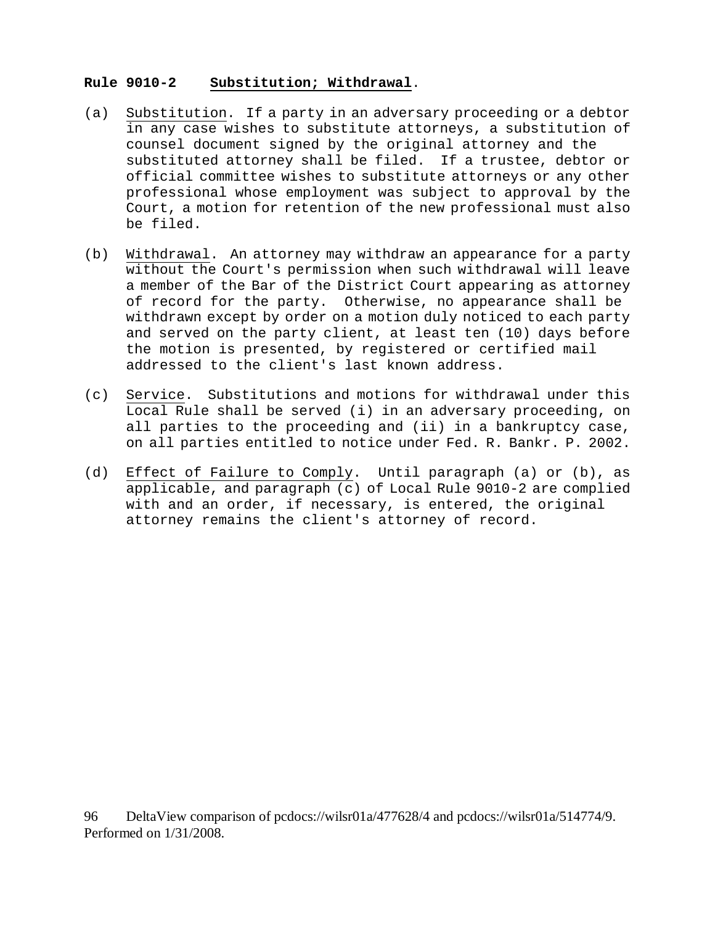### **Rule 9010-2 Substitution; Withdrawal**.

- (a) Substitution. If a party in an adversary proceeding or a debtor in any case wishes to substitute attorneys, a substitution of counsel document signed by the original attorney and the substituted attorney shall be filed. If a trustee, debtor or official committee wishes to substitute attorneys or any other professional whose employment was subject to approval by the Court, a motion for retention of the new professional must also be filed.
- (b) Withdrawal. An attorney may withdraw an appearance for a party without the Court's permission when such withdrawal will leave a member of the Bar of the District Court appearing as attorney of record for the party. Otherwise, no appearance shall be withdrawn except by order on a motion duly noticed to each party and served on the party client, at least ten (10) days before the motion is presented, by registered or certified mail addressed to the client's last known address.
- (c) Service. Substitutions and motions for withdrawal under this Local Rule shall be served (i) in an adversary proceeding, on all parties to the proceeding and (ii) in a bankruptcy case, on all parties entitled to notice under Fed. R. Bankr. P. 2002.
- (d) Effect of Failure to Comply. Until paragraph (a) or (b), as applicable, and paragraph (c) of Local Rule 9010-2 are complied with and an order, if necessary, is entered, the original attorney remains the client's attorney of record.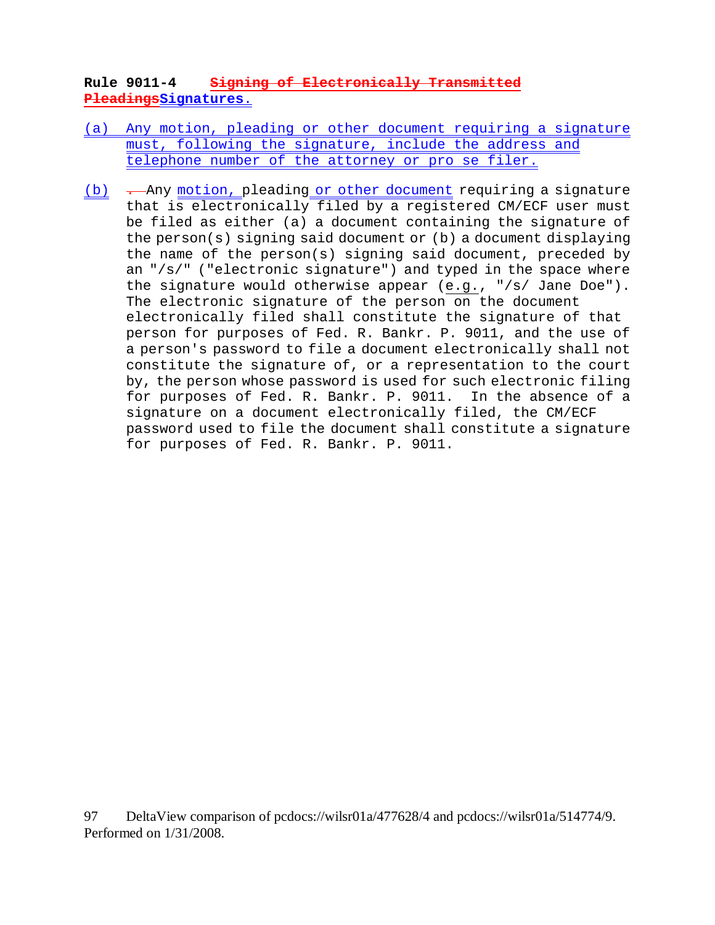## **Rule 9011-4 Signing of Electronically Transmitted PleadingsSignatures**.

- (a) Any motion, pleading or other document requiring a signature must, following the signature, include the address and telephone number of the attorney or pro se filer.
- (b)  $\rightarrow$  Any motion, pleading or other document requiring a signature that is electronically filed by a registered CM/ECF user must be filed as either (a) a document containing the signature of the person(s) signing said document or (b) a document displaying the name of the person(s) signing said document, preceded by an "/s/" ("electronic signature") and typed in the space where the signature would otherwise appear (e.g., "/s/ Jane Doe"). The electronic signature of the person on the document electronically filed shall constitute the signature of that person for purposes of Fed. R. Bankr. P. 9011, and the use of a person's password to file a document electronically shall not constitute the signature of, or a representation to the court by, the person whose password is used for such electronic filing for purposes of Fed. R. Bankr. P. 9011. In the absence of a signature on a document electronically filed, the CM/ECF password used to file the document shall constitute a signature for purposes of Fed. R. Bankr. P. 9011.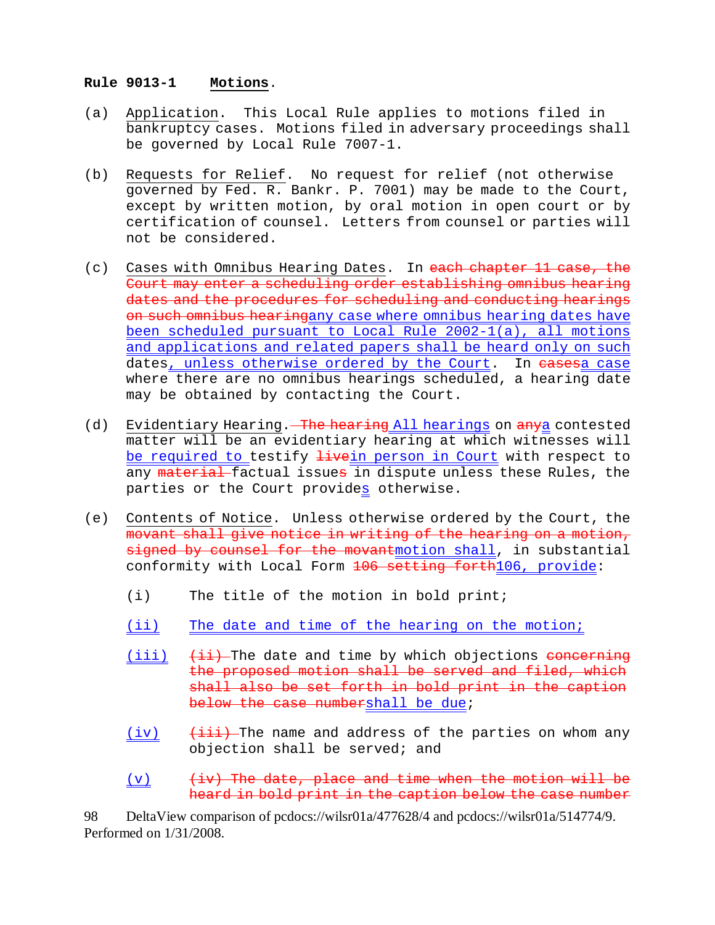### **Rule 9013-1 Motions**.

- (a) Application. This Local Rule applies to motions filed in bankruptcy cases. Motions filed in adversary proceedings shall be governed by Local Rule 7007-1.
- (b) Requests for Relief. No request for relief (not otherwise governed by Fed. R. Bankr. P. 7001) may be made to the Court, except by written motion, by oral motion in open court or by certification of counsel. Letters from counsel or parties will not be considered.
- (c) Cases with Omnibus Hearing Dates. In each chapter 11 case, the Court may enter a scheduling order establishing omnibus hearing dates and the procedures for scheduling and conducting hearings on such omnibus hearingany case where omnibus hearing dates have been scheduled pursuant to Local Rule 2002-1(a), all motions and applications and related papers shall be heard only on such dates, unless otherwise ordered by the Court. In casesa case where there are no omnibus hearings scheduled, a hearing date may be obtained by contacting the Court.
- (d) Evidentiary Hearing. The hearing All hearings on anya contested matter will be an evidentiary hearing at which witnesses will be required to testify *livein* person in Court with respect to any material factual issues in dispute unless these Rules, the parties or the Court provides otherwise.
- (e) Contents of Notice. Unless otherwise ordered by the Court, the movant shall give notice in writing of the hearing on a motion, signed by counsel for the movantmotion shall, in substantial conformity with Local Form 106 setting forth106, provide:
	- (i) The title of the motion in bold print;
	- (ii) The date and time of the hearing on the motion;
	- (iii)  $(\pm i)$  The date and time by which objections concerning the proposed motion shall be served and filed, which shall also be set forth in bold print in the caption below the case numbershall be due;
	- $(iv)$   $(iii)$  The name and address of the parties on whom any objection shall be served; and
	- $(v)$   $(iv)$  The date, place and time when the motion will be heard in bold print in the caption below the case number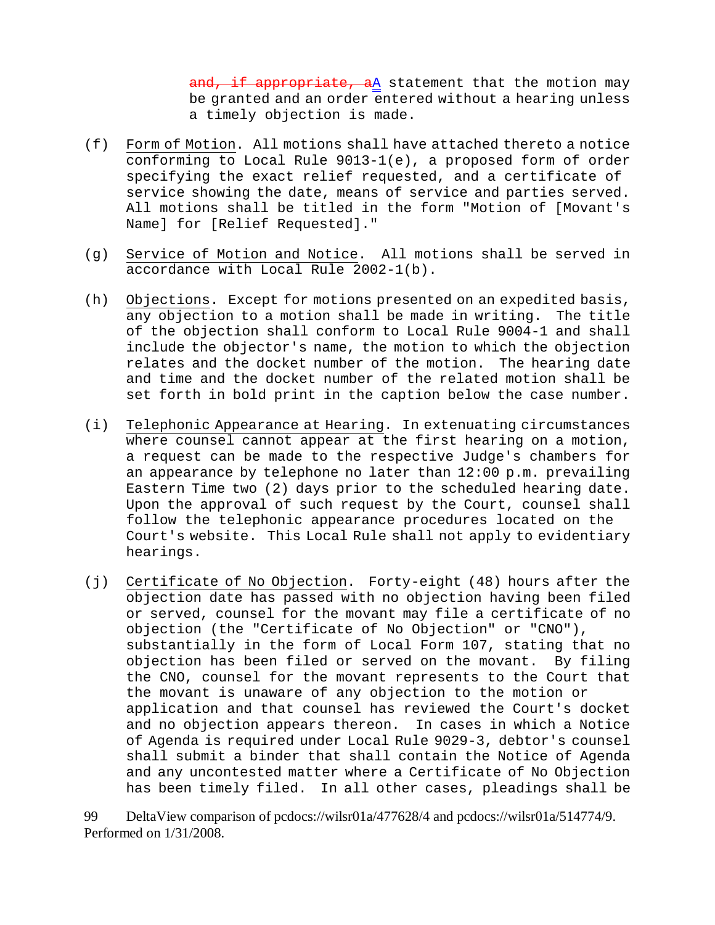and, if appropriate,  $aA$  statement that the motion may be granted and an order entered without a hearing unless a timely objection is made.

- (f) Form of Motion. All motions shall have attached thereto a notice conforming to Local Rule 9013-1(e), a proposed form of order specifying the exact relief requested, and a certificate of service showing the date, means of service and parties served. All motions shall be titled in the form "Motion of [Movant's Name] for [Relief Requested]."
- (g) Service of Motion and Notice. All motions shall be served in accordance with Local Rule 2002-1(b).
- (h) Objections. Except for motions presented on an expedited basis, any objection to a motion shall be made in writing. The title of the objection shall conform to Local Rule 9004-1 and shall include the objector's name, the motion to which the objection relates and the docket number of the motion. The hearing date and time and the docket number of the related motion shall be set forth in bold print in the caption below the case number.
- (i) Telephonic Appearance at Hearing. In extenuating circumstances where counsel cannot appear at the first hearing on a motion, a request can be made to the respective Judge's chambers for an appearance by telephone no later than 12:00 p.m. prevailing Eastern Time two (2) days prior to the scheduled hearing date. Upon the approval of such request by the Court, counsel shall follow the telephonic appearance procedures located on the Court's website. This Local Rule shall not apply to evidentiary hearings.
- (j) Certificate of No Objection. Forty-eight (48) hours after the objection date has passed with no objection having been filed or served, counsel for the movant may file a certificate of no objection (the "Certificate of No Objection" or "CNO"), substantially in the form of Local Form 107, stating that no objection has been filed or served on the movant. By filing the CNO, counsel for the movant represents to the Court that the movant is unaware of any objection to the motion or application and that counsel has reviewed the Court's docket and no objection appears thereon. In cases in which a Notice of Agenda is required under Local Rule 9029-3, debtor's counsel shall submit a binder that shall contain the Notice of Agenda and any uncontested matter where a Certificate of No Objection has been timely filed. In all other cases, pleadings shall be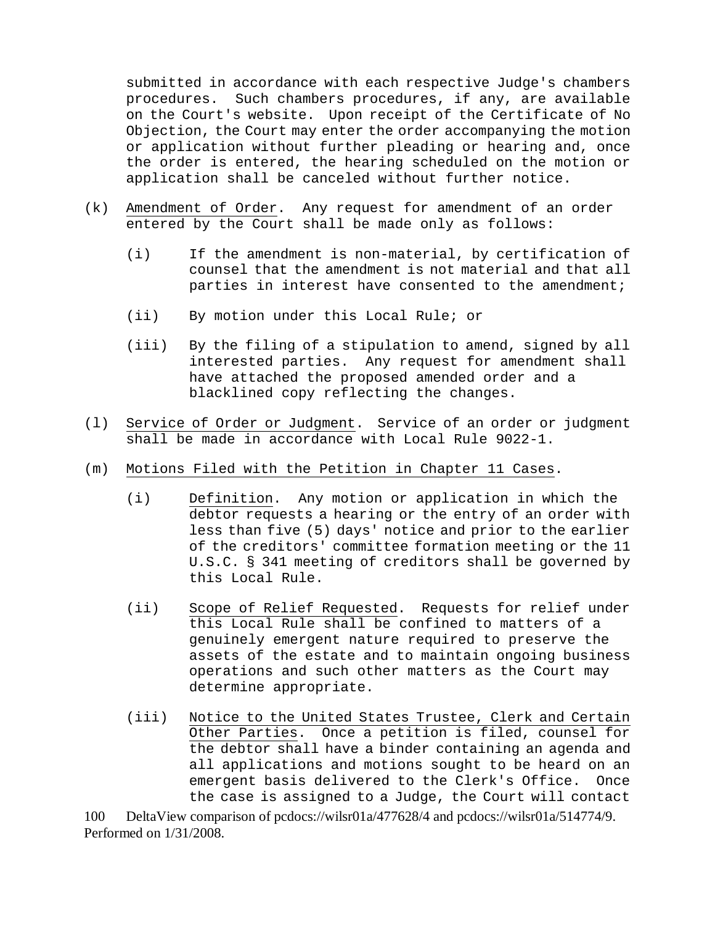submitted in accordance with each respective Judge's chambers procedures. Such chambers procedures, if any, are available on the Court's website. Upon receipt of the Certificate of No Objection, the Court may enter the order accompanying the motion or application without further pleading or hearing and, once the order is entered, the hearing scheduled on the motion or application shall be canceled without further notice.

- (k) Amendment of Order. Any request for amendment of an order entered by the Court shall be made only as follows:
	- (i) If the amendment is non-material, by certification of counsel that the amendment is not material and that all parties in interest have consented to the amendment;
	- (ii) By motion under this Local Rule; or
	- (iii) By the filing of a stipulation to amend, signed by all interested parties. Any request for amendment shall have attached the proposed amended order and a blacklined copy reflecting the changes.
- (l) Service of Order or Judgment. Service of an order or judgment shall be made in accordance with Local Rule 9022-1.
- (m) Motions Filed with the Petition in Chapter 11 Cases.
	- (i) Definition. Any motion or application in which the debtor requests a hearing or the entry of an order with less than five (5) days' notice and prior to the earlier of the creditors' committee formation meeting or the 11 U.S.C. § 341 meeting of creditors shall be governed by this Local Rule.
	- (ii) Scope of Relief Requested. Requests for relief under this Local Rule shall be confined to matters of a genuinely emergent nature required to preserve the assets of the estate and to maintain ongoing business operations and such other matters as the Court may determine appropriate.
	- (iii) Notice to the United States Trustee, Clerk and Certain Other Parties. Once a petition is filed, counsel for the debtor shall have a binder containing an agenda and all applications and motions sought to be heard on an emergent basis delivered to the Clerk's Office. Once the case is assigned to a Judge, the Court will contact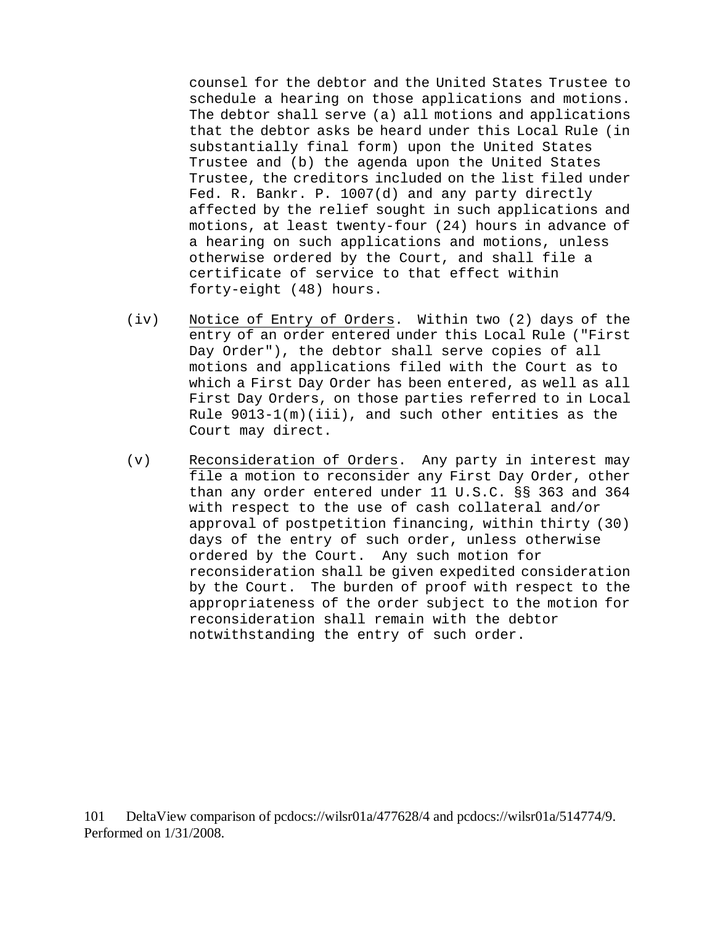counsel for the debtor and the United States Trustee to schedule a hearing on those applications and motions. The debtor shall serve (a) all motions and applications that the debtor asks be heard under this Local Rule (in substantially final form) upon the United States Trustee and (b) the agenda upon the United States Trustee, the creditors included on the list filed under Fed. R. Bankr. P. 1007(d) and any party directly affected by the relief sought in such applications and motions, at least twenty-four (24) hours in advance of a hearing on such applications and motions, unless otherwise ordered by the Court, and shall file a certificate of service to that effect within forty-eight (48) hours.

- (iv) Notice of Entry of Orders. Within two (2) days of the entry of an order entered under this Local Rule ("First Day Order"), the debtor shall serve copies of all motions and applications filed with the Court as to which a First Day Order has been entered, as well as all First Day Orders, on those parties referred to in Local Rule 9013-1(m)(iii), and such other entities as the Court may direct.
- (v) Reconsideration of Orders. Any party in interest may file a motion to reconsider any First Day Order, other than any order entered under 11 U.S.C. §§ 363 and 364 with respect to the use of cash collateral and/or approval of postpetition financing, within thirty (30) days of the entry of such order, unless otherwise ordered by the Court. Any such motion for reconsideration shall be given expedited consideration by the Court. The burden of proof with respect to the appropriateness of the order subject to the motion for reconsideration shall remain with the debtor notwithstanding the entry of such order.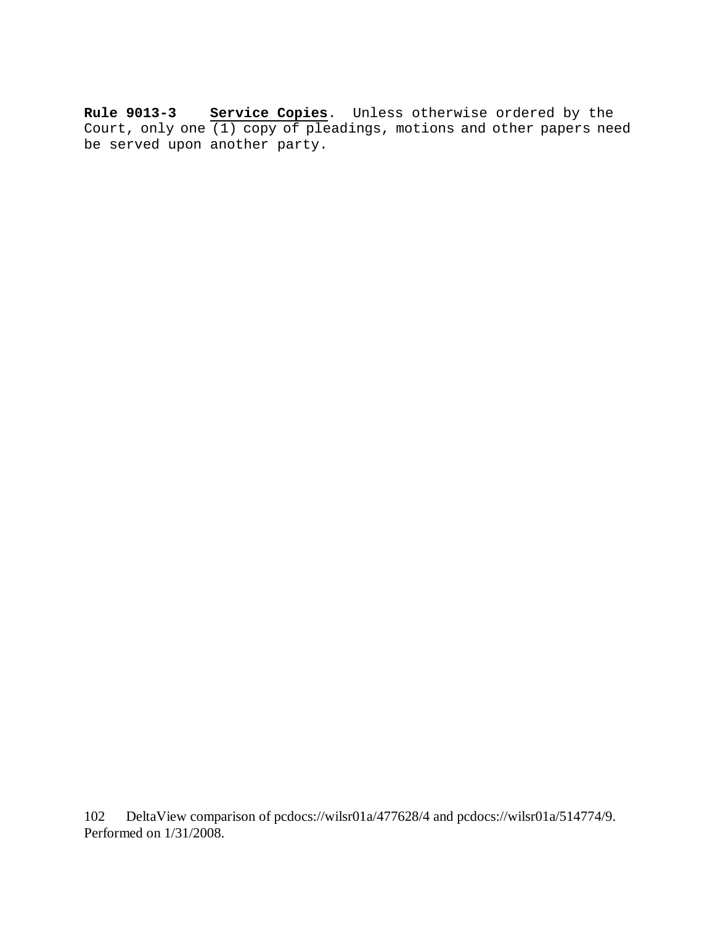**Rule 9013-3 Service Copies**. Unless otherwise ordered by the Court, only one (1) copy of pleadings, motions and other papers need be served upon another party.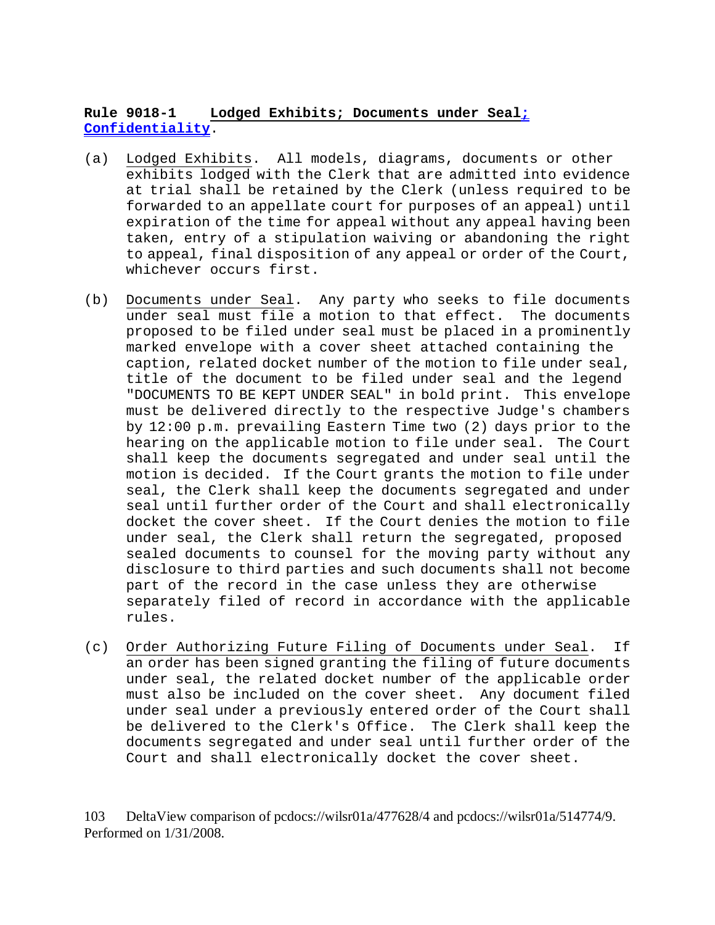## **Rule 9018-1 Lodged Exhibits; Documents under Seal; Confidentiality**.

- (a) Lodged Exhibits. All models, diagrams, documents or other exhibits lodged with the Clerk that are admitted into evidence at trial shall be retained by the Clerk (unless required to be forwarded to an appellate court for purposes of an appeal) until expiration of the time for appeal without any appeal having been taken, entry of a stipulation waiving or abandoning the right to appeal, final disposition of any appeal or order of the Court, whichever occurs first.
- (b) Documents under Seal. Any party who seeks to file documents under seal must file a motion to that effect. The documents proposed to be filed under seal must be placed in a prominently marked envelope with a cover sheet attached containing the caption, related docket number of the motion to file under seal, title of the document to be filed under seal and the legend "DOCUMENTS TO BE KEPT UNDER SEAL" in bold print. This envelope must be delivered directly to the respective Judge's chambers by 12:00 p.m. prevailing Eastern Time two (2) days prior to the hearing on the applicable motion to file under seal. The Court shall keep the documents segregated and under seal until the motion is decided. If the Court grants the motion to file under seal, the Clerk shall keep the documents segregated and under seal until further order of the Court and shall electronically docket the cover sheet. If the Court denies the motion to file under seal, the Clerk shall return the segregated, proposed sealed documents to counsel for the moving party without any disclosure to third parties and such documents shall not become part of the record in the case unless they are otherwise separately filed of record in accordance with the applicable rules.
- (c) Order Authorizing Future Filing of Documents under Seal. If an order has been signed granting the filing of future documents under seal, the related docket number of the applicable order must also be included on the cover sheet. Any document filed under seal under a previously entered order of the Court shall be delivered to the Clerk's Office. The Clerk shall keep the documents segregated and under seal until further order of the Court and shall electronically docket the cover sheet.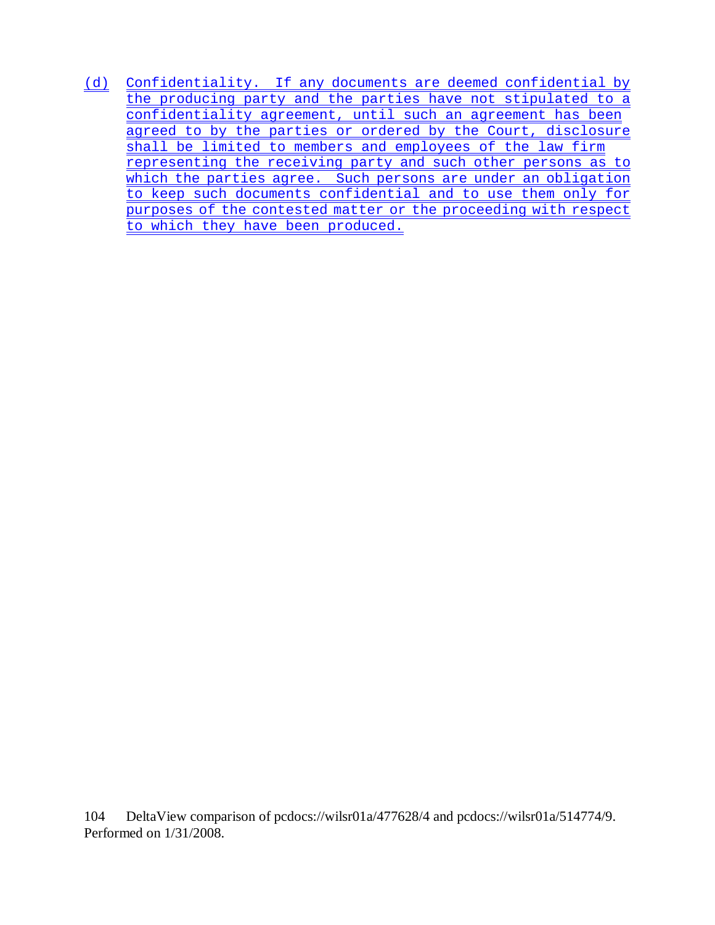(d) Confidentiality. If any documents are deemed confidential by the producing party and the parties have not stipulated to a confidentiality agreement, until such an agreement has been agreed to by the parties or ordered by the Court, disclosure shall be limited to members and employees of the law firm representing the receiving party and such other persons as to which the parties agree. Such persons are under an obligation to keep such documents confidential and to use them only for purposes of the contested matter or the proceeding with respect to which they have been produced.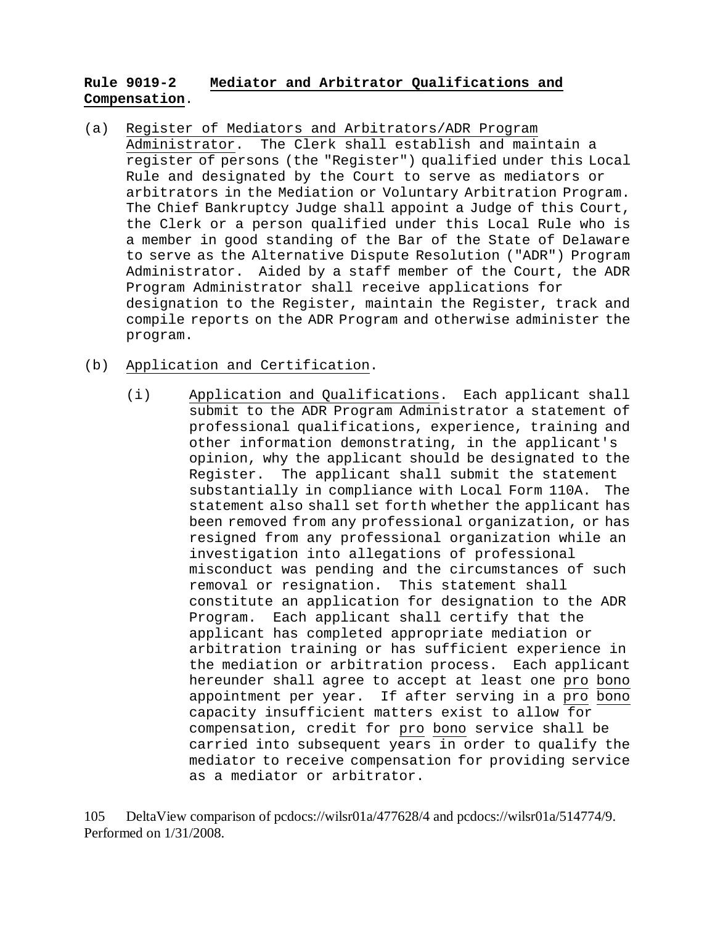## **Rule 9019-2 Mediator and Arbitrator Qualifications and Compensation**.

(a) Register of Mediators and Arbitrators/ADR Program Administrator. The Clerk shall establish and maintain a register of persons (the "Register") qualified under this Local Rule and designated by the Court to serve as mediators or arbitrators in the Mediation or Voluntary Arbitration Program. The Chief Bankruptcy Judge shall appoint a Judge of this Court, the Clerk or a person qualified under this Local Rule who is a member in good standing of the Bar of the State of Delaware to serve as the Alternative Dispute Resolution ("ADR") Program Administrator. Aided by a staff member of the Court, the ADR Program Administrator shall receive applications for designation to the Register, maintain the Register, track and compile reports on the ADR Program and otherwise administer the program.

# (b) Application and Certification.

(i) Application and Qualifications. Each applicant shall submit to the ADR Program Administrator a statement of professional qualifications, experience, training and other information demonstrating, in the applicant's opinion, why the applicant should be designated to the Register. The applicant shall submit the statement substantially in compliance with Local Form 110A. The statement also shall set forth whether the applicant has been removed from any professional organization, or has resigned from any professional organization while an investigation into allegations of professional misconduct was pending and the circumstances of such removal or resignation. This statement shall constitute an application for designation to the ADR Program. Each applicant shall certify that the applicant has completed appropriate mediation or arbitration training or has sufficient experience in the mediation or arbitration process. Each applicant hereunder shall agree to accept at least one pro bono appointment per year. If after serving in a pro bono capacity insufficient matters exist to allow for compensation, credit for pro bono service shall be carried into subsequent years in order to qualify the mediator to receive compensation for providing service as a mediator or arbitrator.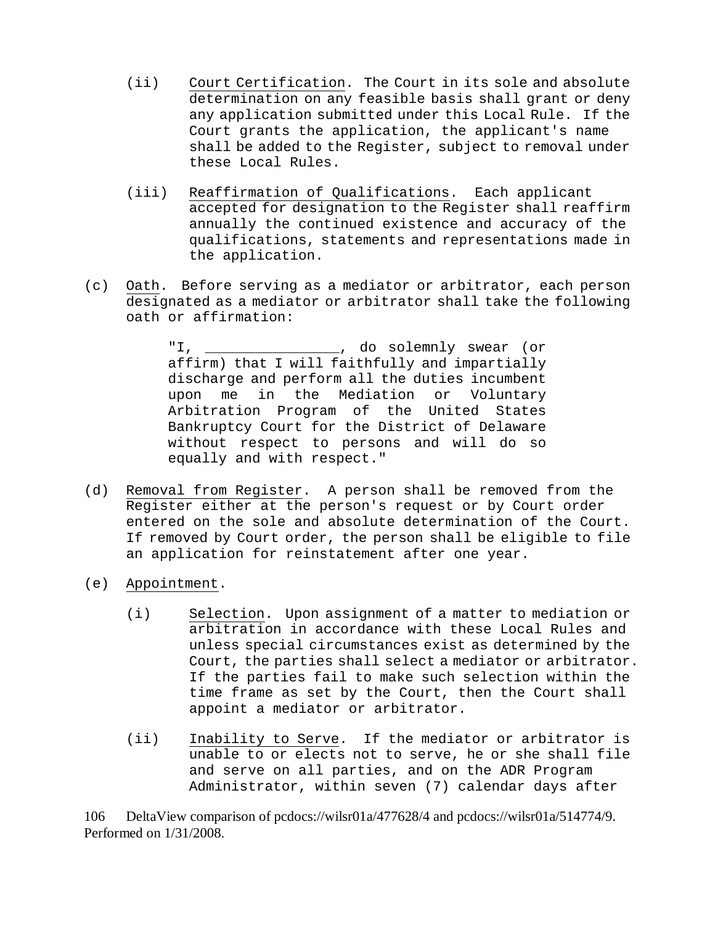- (ii) Court Certification. The Court in its sole and absolute determination on any feasible basis shall grant or deny any application submitted under this Local Rule. If the Court grants the application, the applicant's name shall be added to the Register, subject to removal under these Local Rules.
- (iii) Reaffirmation of Qualifications. Each applicant accepted for designation to the Register shall reaffirm annually the continued existence and accuracy of the qualifications, statements and representations made in the application.
- (c) Oath. Before serving as a mediator or arbitrator, each person designated as a mediator or arbitrator shall take the following oath or affirmation:

"I, \_\_\_\_\_\_\_\_\_\_\_\_\_\_\_\_, do solemnly swear (or affirm) that I will faithfully and impartially discharge and perform all the duties incumbent upon me in the Mediation or Voluntary Arbitration Program of the United States Bankruptcy Court for the District of Delaware without respect to persons and will do so equally and with respect."

- (d) Removal from Register. A person shall be removed from the Register either at the person's request or by Court order entered on the sole and absolute determination of the Court. If removed by Court order, the person shall be eligible to file an application for reinstatement after one year.
- (e) Appointment.
	- (i) Selection. Upon assignment of a matter to mediation or arbitration in accordance with these Local Rules and unless special circumstances exist as determined by the Court, the parties shall select a mediator or arbitrator. If the parties fail to make such selection within the time frame as set by the Court, then the Court shall appoint a mediator or arbitrator.
	- (ii) Inability to Serve. If the mediator or arbitrator is unable to or elects not to serve, he or she shall file and serve on all parties, and on the ADR Program Administrator, within seven (7) calendar days after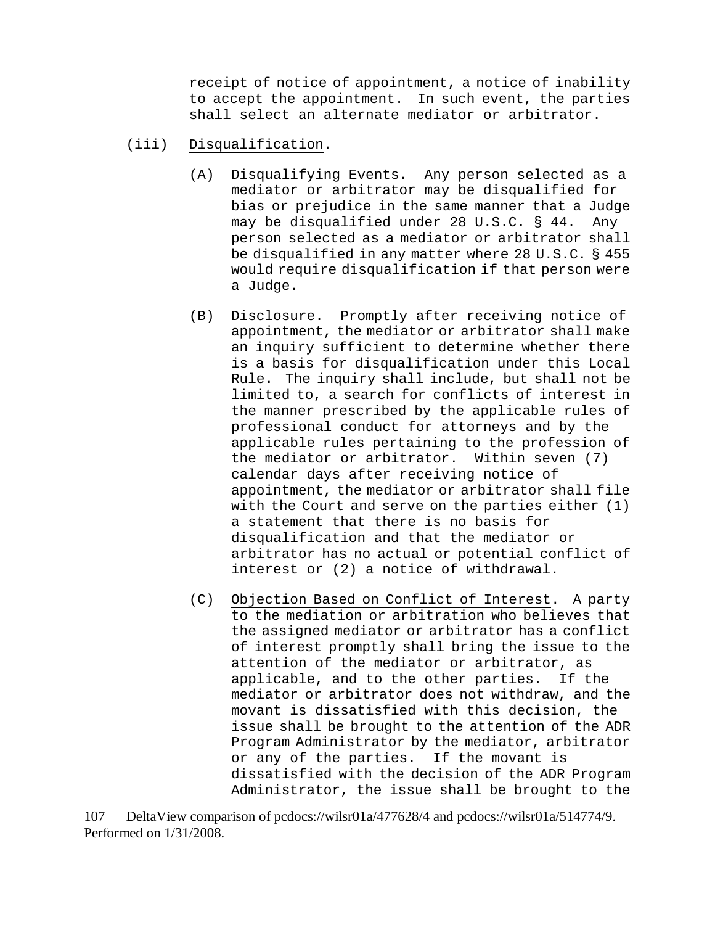receipt of notice of appointment, a notice of inability to accept the appointment. In such event, the parties shall select an alternate mediator or arbitrator.

- (iii) Disqualification.
	- (A) Disqualifying Events. Any person selected as a mediator or arbitrator may be disqualified for bias or prejudice in the same manner that a Judge may be disqualified under 28 U.S.C. § 44. Any person selected as a mediator or arbitrator shall be disqualified in any matter where 28 U.S.C. § 455 would require disqualification if that person were a Judge.
	- (B) Disclosure. Promptly after receiving notice of appointment, the mediator or arbitrator shall make an inquiry sufficient to determine whether there is a basis for disqualification under this Local Rule. The inquiry shall include, but shall not be limited to, a search for conflicts of interest in the manner prescribed by the applicable rules of professional conduct for attorneys and by the applicable rules pertaining to the profession of the mediator or arbitrator. Within seven (7) calendar days after receiving notice of appointment, the mediator or arbitrator shall file with the Court and serve on the parties either (1) a statement that there is no basis for disqualification and that the mediator or arbitrator has no actual or potential conflict of interest or (2) a notice of withdrawal.
	- (C) Objection Based on Conflict of Interest. A party to the mediation or arbitration who believes that the assigned mediator or arbitrator has a conflict of interest promptly shall bring the issue to the attention of the mediator or arbitrator, as applicable, and to the other parties. If the mediator or arbitrator does not withdraw, and the movant is dissatisfied with this decision, the issue shall be brought to the attention of the ADR Program Administrator by the mediator, arbitrator or any of the parties. If the movant is dissatisfied with the decision of the ADR Program Administrator, the issue shall be brought to the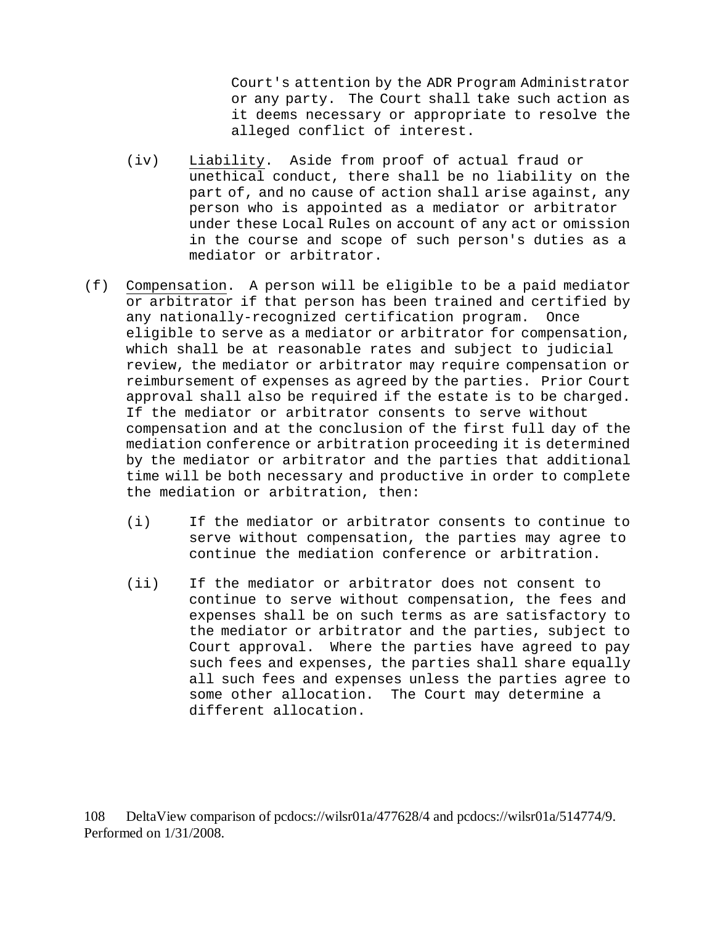Court's attention by the ADR Program Administrator or any party. The Court shall take such action as it deems necessary or appropriate to resolve the alleged conflict of interest.

- (iv) Liability. Aside from proof of actual fraud or unethical conduct, there shall be no liability on the part of, and no cause of action shall arise against, any person who is appointed as a mediator or arbitrator under these Local Rules on account of any act or omission in the course and scope of such person's duties as a mediator or arbitrator.
- (f) Compensation. A person will be eligible to be a paid mediator or arbitrator if that person has been trained and certified by any nationally-recognized certification program. Once eligible to serve as a mediator or arbitrator for compensation, which shall be at reasonable rates and subject to judicial review, the mediator or arbitrator may require compensation or reimbursement of expenses as agreed by the parties. Prior Court approval shall also be required if the estate is to be charged. If the mediator or arbitrator consents to serve without compensation and at the conclusion of the first full day of the mediation conference or arbitration proceeding it is determined by the mediator or arbitrator and the parties that additional time will be both necessary and productive in order to complete the mediation or arbitration, then:
	- (i) If the mediator or arbitrator consents to continue to serve without compensation, the parties may agree to continue the mediation conference or arbitration.
	- (ii) If the mediator or arbitrator does not consent to continue to serve without compensation, the fees and expenses shall be on such terms as are satisfactory to the mediator or arbitrator and the parties, subject to Court approval. Where the parties have agreed to pay such fees and expenses, the parties shall share equally all such fees and expenses unless the parties agree to some other allocation. The Court may determine a different allocation.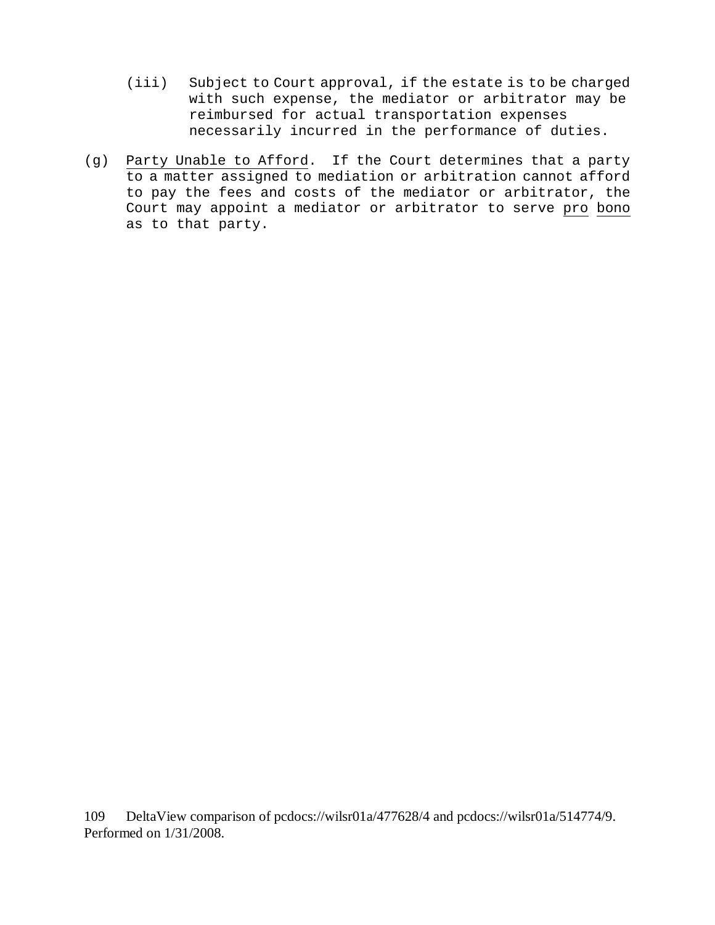- (iii) Subject to Court approval, if the estate is to be charged with such expense, the mediator or arbitrator may be reimbursed for actual transportation expenses necessarily incurred in the performance of duties.
- (g) Party Unable to Afford. If the Court determines that a party to a matter assigned to mediation or arbitration cannot afford to pay the fees and costs of the mediator or arbitrator, the Court may appoint a mediator or arbitrator to serve pro bono as to that party.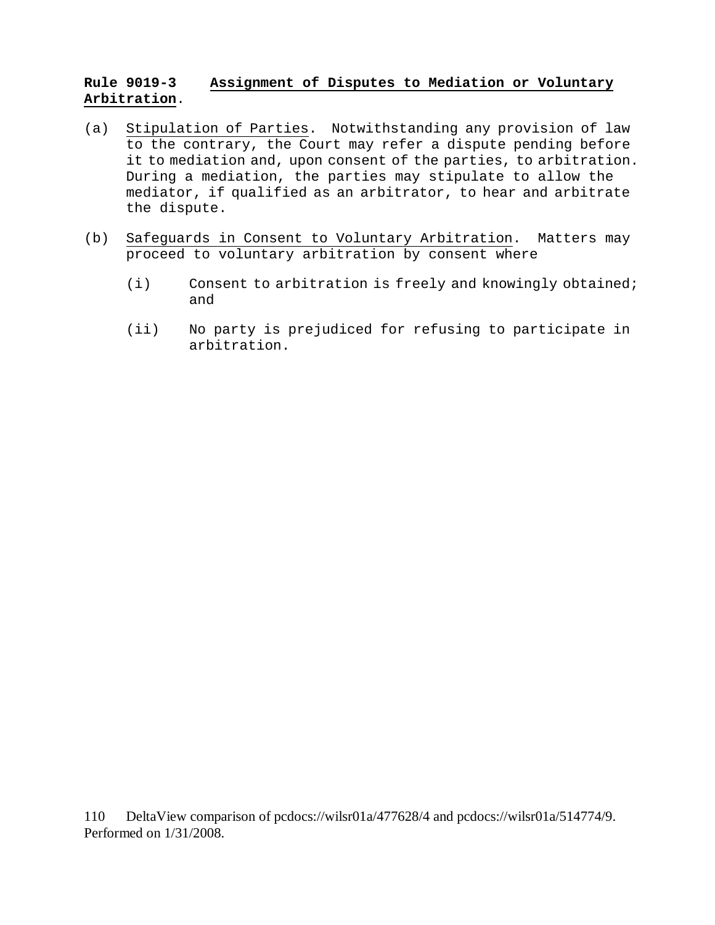### **Rule 9019-3 Assignment of Disputes to Mediation or Voluntary Arbitration**.

- (a) Stipulation of Parties. Notwithstanding any provision of law to the contrary, the Court may refer a dispute pending before it to mediation and, upon consent of the parties, to arbitration. During a mediation, the parties may stipulate to allow the mediator, if qualified as an arbitrator, to hear and arbitrate the dispute.
- (b) Safeguards in Consent to Voluntary Arbitration. Matters may proceed to voluntary arbitration by consent where
	- (i) Consent to arbitration is freely and knowingly obtained; and
	- (ii) No party is prejudiced for refusing to participate in arbitration.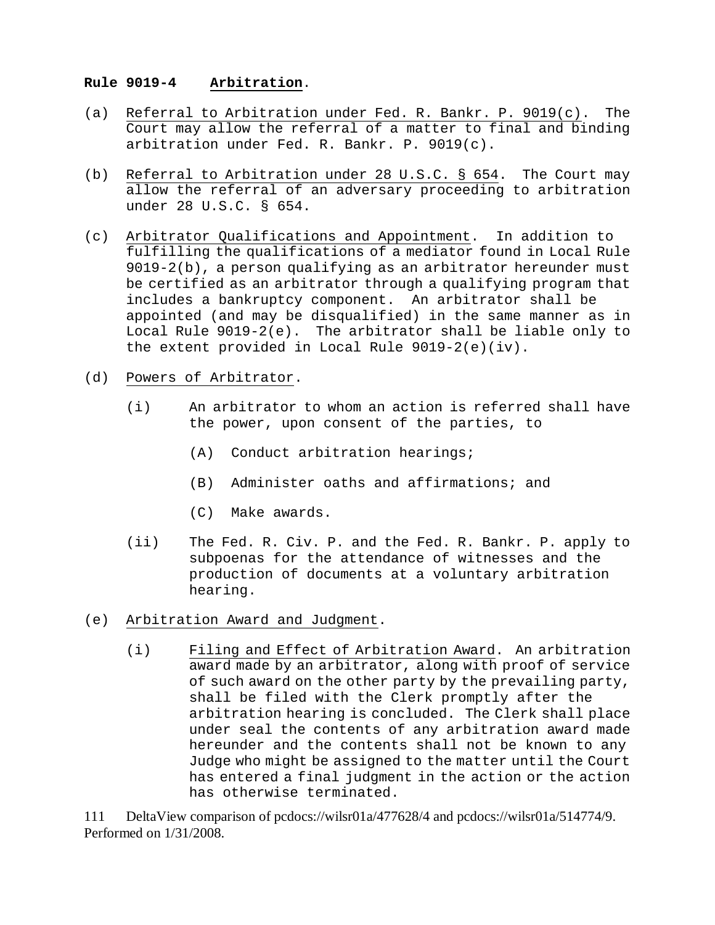#### **Rule 9019-4 Arbitration**.

- (a) Referral to Arbitration under Fed. R. Bankr. P. 9019(c). The Court may allow the referral of a matter to final and binding arbitration under Fed. R. Bankr. P. 9019(c).
- (b) Referral to Arbitration under 28 U.S.C. § 654. The Court may allow the referral of an adversary proceeding to arbitration under 28 U.S.C. § 654.
- (c) Arbitrator Qualifications and Appointment. In addition to fulfilling the qualifications of a mediator found in Local Rule 9019-2(b), a person qualifying as an arbitrator hereunder must be certified as an arbitrator through a qualifying program that includes a bankruptcy component. An arbitrator shall be appointed (and may be disqualified) in the same manner as in Local Rule 9019-2(e). The arbitrator shall be liable only to the extent provided in Local Rule 9019-2(e)(iv).
- (d) Powers of Arbitrator.
	- (i) An arbitrator to whom an action is referred shall have the power, upon consent of the parties, to
		- (A) Conduct arbitration hearings;
		- (B) Administer oaths and affirmations; and
		- (C) Make awards.
	- (ii) The Fed. R. Civ. P. and the Fed. R. Bankr. P. apply to subpoenas for the attendance of witnesses and the production of documents at a voluntary arbitration hearing.
- (e) Arbitration Award and Judgment.
	- (i) Filing and Effect of Arbitration Award. An arbitration award made by an arbitrator, along with proof of service of such award on the other party by the prevailing party, shall be filed with the Clerk promptly after the arbitration hearing is concluded. The Clerk shall place under seal the contents of any arbitration award made hereunder and the contents shall not be known to any Judge who might be assigned to the matter until the Court has entered a final judgment in the action or the action has otherwise terminated.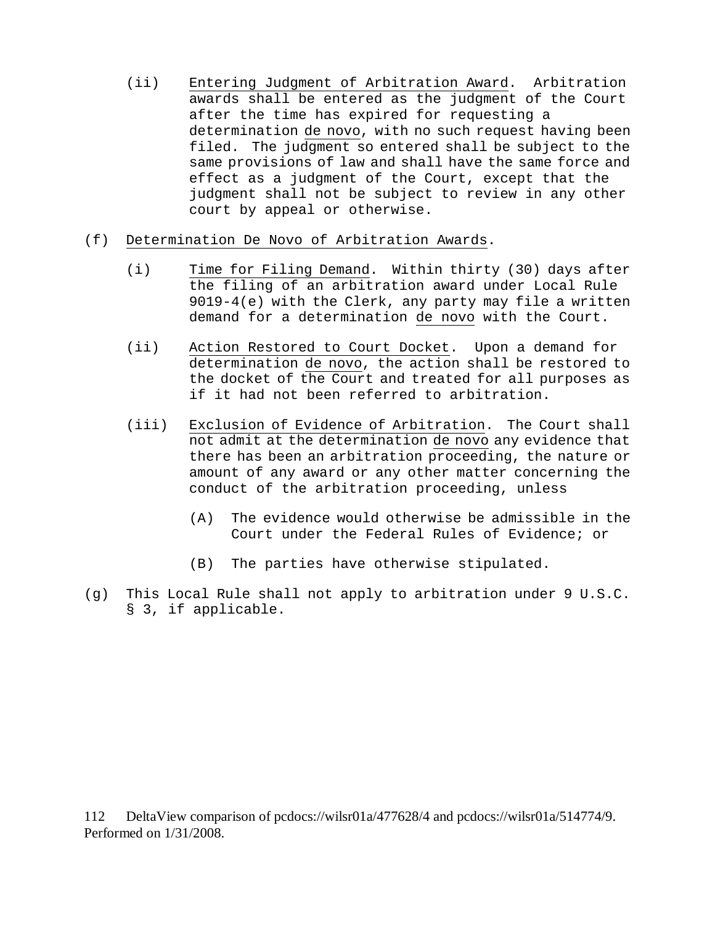- (ii) Entering Judgment of Arbitration Award. Arbitration awards shall be entered as the judgment of the Court after the time has expired for requesting a determination de novo, with no such request having been filed. The judgment so entered shall be subject to the same provisions of law and shall have the same force and effect as a judgment of the Court, except that the judgment shall not be subject to review in any other court by appeal or otherwise.
- (f) Determination De Novo of Arbitration Awards.
	- (i) Time for Filing Demand. Within thirty (30) days after the filing of an arbitration award under Local Rule 9019-4(e) with the Clerk, any party may file a written demand for a determination de novo with the Court.
	- (ii) Action Restored to Court Docket. Upon a demand for determination de novo, the action shall be restored to the docket of the Court and treated for all purposes as if it had not been referred to arbitration.
	- (iii) Exclusion of Evidence of Arbitration. The Court shall not admit at the determination de novo any evidence that there has been an arbitration proceeding, the nature or amount of any award or any other matter concerning the conduct of the arbitration proceeding, unless
		- (A) The evidence would otherwise be admissible in the Court under the Federal Rules of Evidence; or
		- (B) The parties have otherwise stipulated.
- (g) This Local Rule shall not apply to arbitration under 9 U.S.C. § 3, if applicable.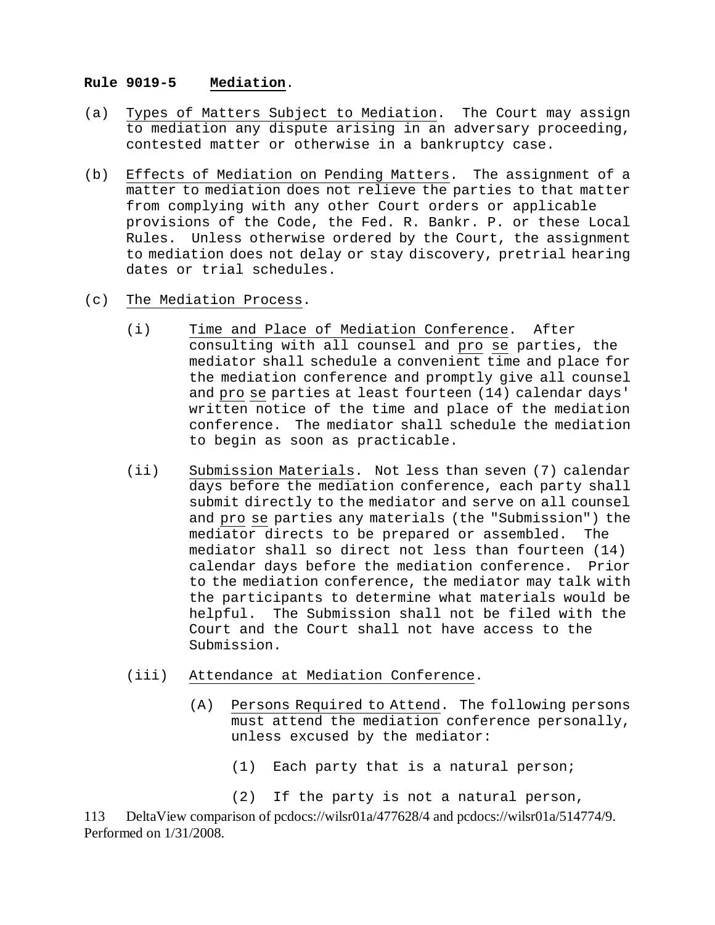#### **Rule 9019-5 Mediation**.

- (a) Types of Matters Subject to Mediation. The Court may assign to mediation any dispute arising in an adversary proceeding, contested matter or otherwise in a bankruptcy case.
- (b) Effects of Mediation on Pending Matters. The assignment of a matter to mediation does not relieve the parties to that matter from complying with any other Court orders or applicable provisions of the Code, the Fed. R. Bankr. P. or these Local Rules. Unless otherwise ordered by the Court, the assignment to mediation does not delay or stay discovery, pretrial hearing dates or trial schedules.
- (c) The Mediation Process.
	- (i) Time and Place of Mediation Conference. After consulting with all counsel and pro se parties, the mediator shall schedule a convenient time and place for the mediation conference and promptly give all counsel and pro se parties at least fourteen (14) calendar days' written notice of the time and place of the mediation conference. The mediator shall schedule the mediation to begin as soon as practicable.
	- (ii) Submission Materials. Not less than seven (7) calendar days before the mediation conference, each party shall submit directly to the mediator and serve on all counsel and pro se parties any materials (the "Submission") the mediator directs to be prepared or assembled. The mediator shall so direct not less than fourteen (14) calendar days before the mediation conference. Prior to the mediation conference, the mediator may talk with the participants to determine what materials would be helpful. The Submission shall not be filed with the Court and the Court shall not have access to the Submission.
	- (iii) Attendance at Mediation Conference.
		- (A) Persons Required to Attend. The following persons must attend the mediation conference personally, unless excused by the mediator:
			- (1) Each party that is a natural person;
			- (2) If the party is not a natural person,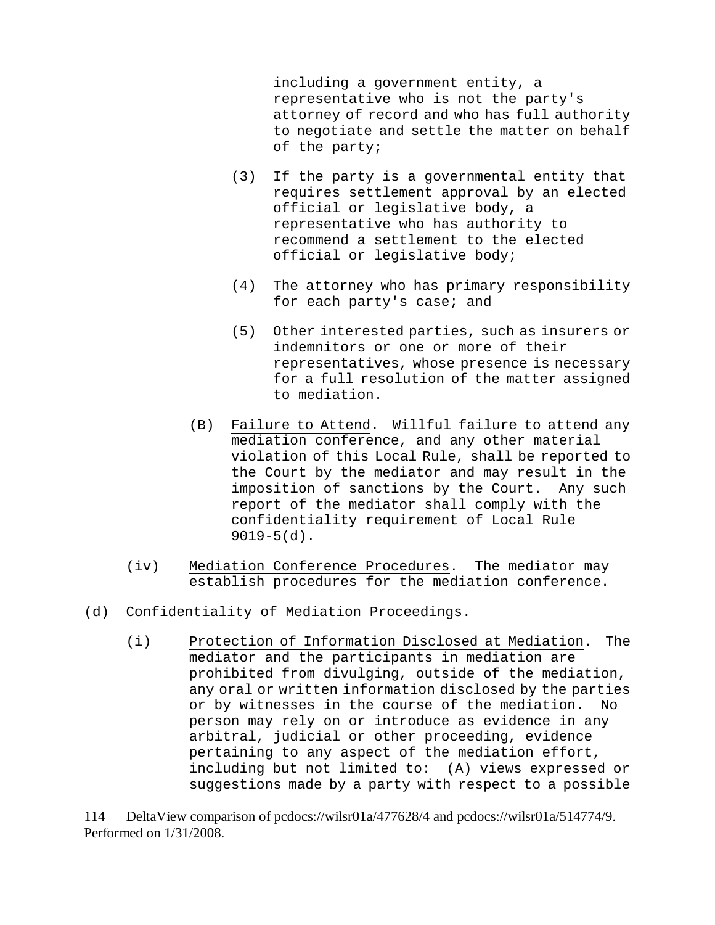including a government entity, a representative who is not the party's attorney of record and who has full authority to negotiate and settle the matter on behalf of the party;

- (3) If the party is a governmental entity that requires settlement approval by an elected official or legislative body, a representative who has authority to recommend a settlement to the elected official or legislative body;
- (4) The attorney who has primary responsibility for each party's case; and
- (5) Other interested parties, such as insurers or indemnitors or one or more of their representatives, whose presence is necessary for a full resolution of the matter assigned to mediation.
- (B) Failure to Attend. Willful failure to attend any mediation conference, and any other material violation of this Local Rule, shall be reported to the Court by the mediator and may result in the imposition of sanctions by the Court. Any such report of the mediator shall comply with the confidentiality requirement of Local Rule  $9019-5(d)$ .
- (iv) Mediation Conference Procedures. The mediator may establish procedures for the mediation conference.
- (d) Confidentiality of Mediation Proceedings.
	- (i) Protection of Information Disclosed at Mediation. The mediator and the participants in mediation are prohibited from divulging, outside of the mediation, any oral or written information disclosed by the parties or by witnesses in the course of the mediation. No person may rely on or introduce as evidence in any arbitral, judicial or other proceeding, evidence pertaining to any aspect of the mediation effort, including but not limited to: (A) views expressed or suggestions made by a party with respect to a possible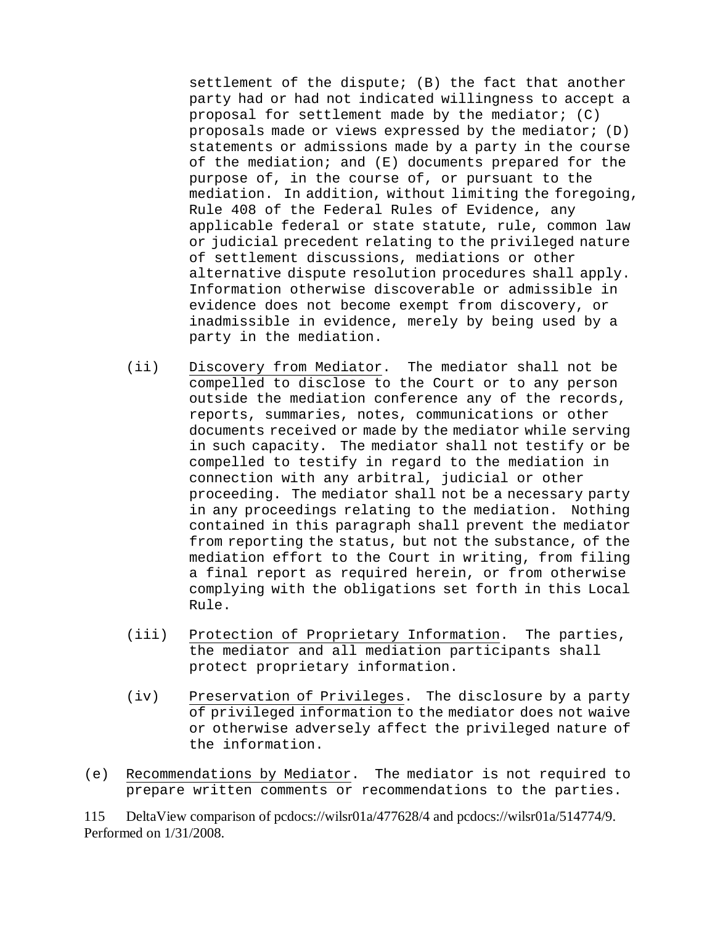settlement of the dispute; (B) the fact that another party had or had not indicated willingness to accept a proposal for settlement made by the mediator; (C) proposals made or views expressed by the mediator; (D) statements or admissions made by a party in the course of the mediation; and (E) documents prepared for the purpose of, in the course of, or pursuant to the mediation. In addition, without limiting the foregoing, Rule 408 of the Federal Rules of Evidence, any applicable federal or state statute, rule, common law or judicial precedent relating to the privileged nature of settlement discussions, mediations or other alternative dispute resolution procedures shall apply. Information otherwise discoverable or admissible in evidence does not become exempt from discovery, or inadmissible in evidence, merely by being used by a party in the mediation.

- (ii) Discovery from Mediator. The mediator shall not be compelled to disclose to the Court or to any person outside the mediation conference any of the records, reports, summaries, notes, communications or other documents received or made by the mediator while serving in such capacity. The mediator shall not testify or be compelled to testify in regard to the mediation in connection with any arbitral, judicial or other proceeding. The mediator shall not be a necessary party in any proceedings relating to the mediation. Nothing contained in this paragraph shall prevent the mediator from reporting the status, but not the substance, of the mediation effort to the Court in writing, from filing a final report as required herein, or from otherwise complying with the obligations set forth in this Local Rule.
- (iii) Protection of Proprietary Information. The parties, the mediator and all mediation participants shall protect proprietary information.
- (iv) Preservation of Privileges. The disclosure by a party of privileged information to the mediator does not waive or otherwise adversely affect the privileged nature of the information.
- (e) Recommendations by Mediator. The mediator is not required to prepare written comments or recommendations to the parties.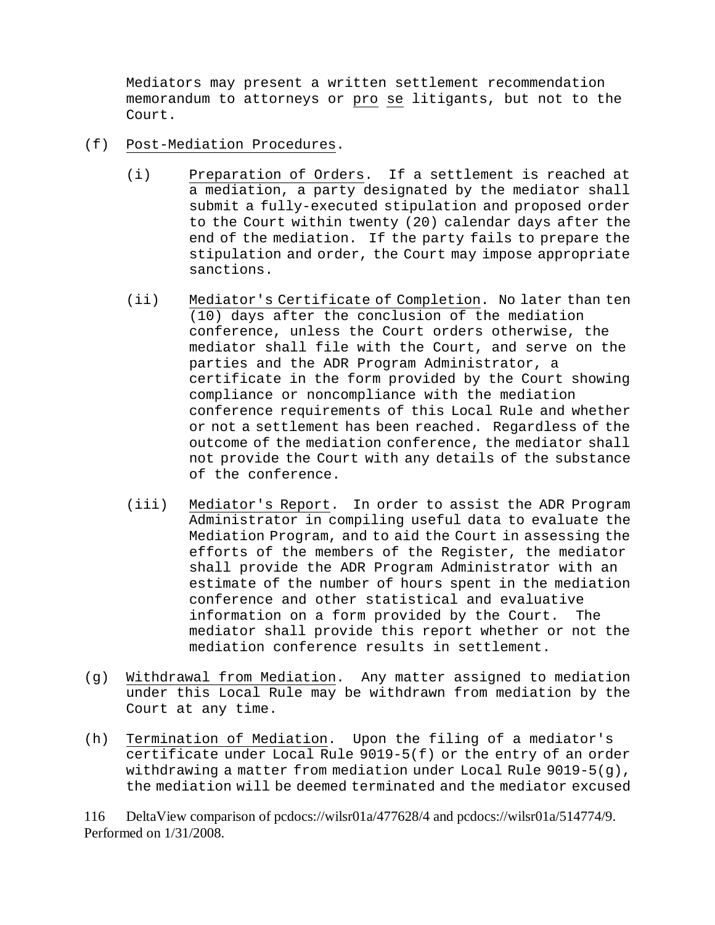Mediators may present a written settlement recommendation memorandum to attorneys or pro se litigants, but not to the Court.

- (f) Post-Mediation Procedures.
	- (i) Preparation of Orders. If a settlement is reached at a mediation, a party designated by the mediator shall submit a fully-executed stipulation and proposed order to the Court within twenty (20) calendar days after the end of the mediation. If the party fails to prepare the stipulation and order, the Court may impose appropriate sanctions.
	- (ii) Mediator's Certificate of Completion. No later than ten (10) days after the conclusion of the mediation conference, unless the Court orders otherwise, the mediator shall file with the Court, and serve on the parties and the ADR Program Administrator, a certificate in the form provided by the Court showing compliance or noncompliance with the mediation conference requirements of this Local Rule and whether or not a settlement has been reached. Regardless of the outcome of the mediation conference, the mediator shall not provide the Court with any details of the substance of the conference.
	- (iii) Mediator's Report. In order to assist the ADR Program Administrator in compiling useful data to evaluate the Mediation Program, and to aid the Court in assessing the efforts of the members of the Register, the mediator shall provide the ADR Program Administrator with an estimate of the number of hours spent in the mediation conference and other statistical and evaluative information on a form provided by the Court. The mediator shall provide this report whether or not the mediation conference results in settlement.
- (g) Withdrawal from Mediation. Any matter assigned to mediation under this Local Rule may be withdrawn from mediation by the Court at any time.
- (h) Termination of Mediation. Upon the filing of a mediator's certificate under Local Rule 9019-5(f) or the entry of an order withdrawing a matter from mediation under Local Rule 9019-5(g), the mediation will be deemed terminated and the mediator excused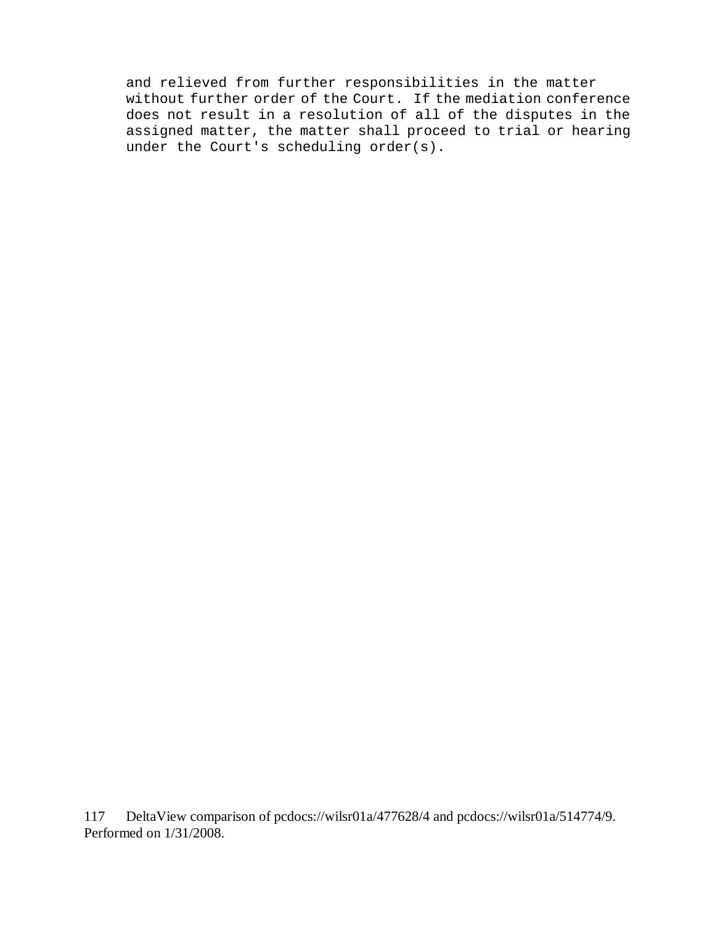and relieved from further responsibilities in the matter without further order of the Court. If the mediation conference does not result in a resolution of all of the disputes in the assigned matter, the matter shall proceed to trial or hearing under the Court's scheduling order(s).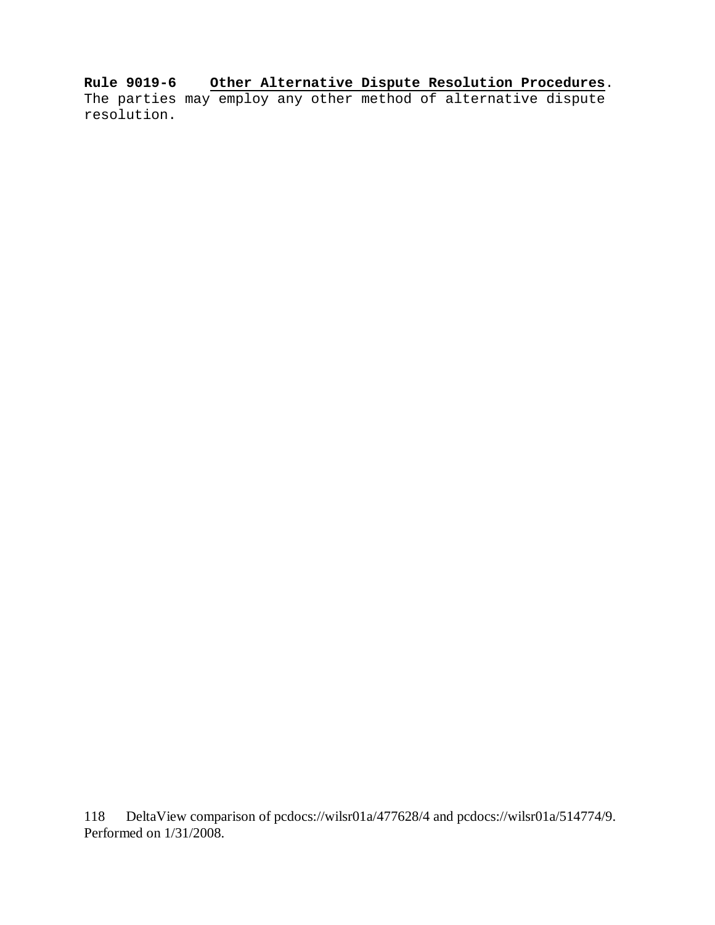**Rule 9019-6 Other Alternative Dispute Resolution Procedures**. The parties may employ any other method of alternative dispute resolution.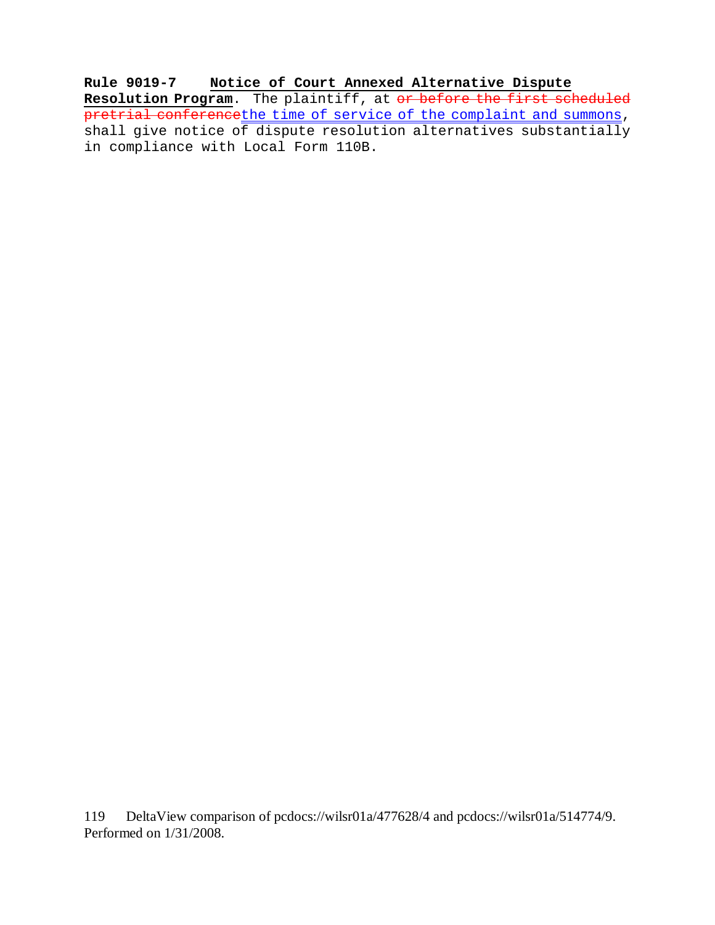**Rule 9019-7 Notice of Court Annexed Alternative Dispute Resolution Program**. The plaintiff, at or before the first scheduled pretrial conferencethe time of service of the complaint and summons, shall give notice of dispute resolution alternatives substantially in compliance with Local Form 110B.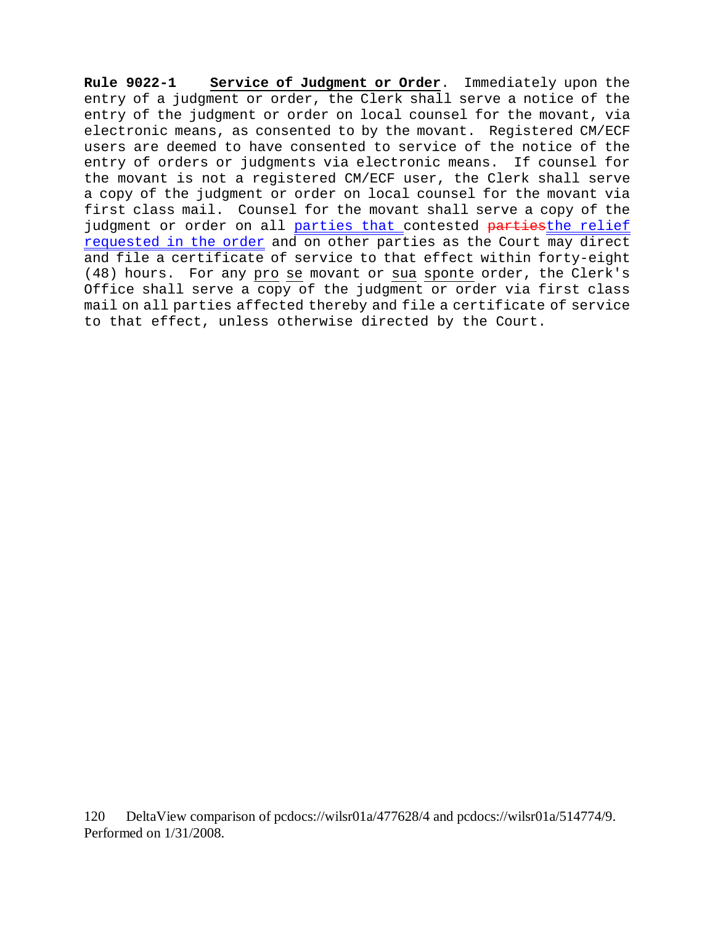**Rule 9022-1 Service of Judgment or Order**. Immediately upon the entry of a judgment or order, the Clerk shall serve a notice of the entry of the judgment or order on local counsel for the movant, via electronic means, as consented to by the movant. Registered CM/ECF users are deemed to have consented to service of the notice of the entry of orders or judgments via electronic means. If counsel for the movant is not a registered CM/ECF user, the Clerk shall serve a copy of the judgment or order on local counsel for the movant via first class mail. Counsel for the movant shall serve a copy of the judgment or order on all parties that contested partiesthe relief requested in the order and on other parties as the Court may direct and file a certificate of service to that effect within forty-eight (48) hours. For any pro se movant or sua sponte order, the Clerk's Office shall serve a copy of the judgment or order via first class mail on all parties affected thereby and file a certificate of service to that effect, unless otherwise directed by the Court.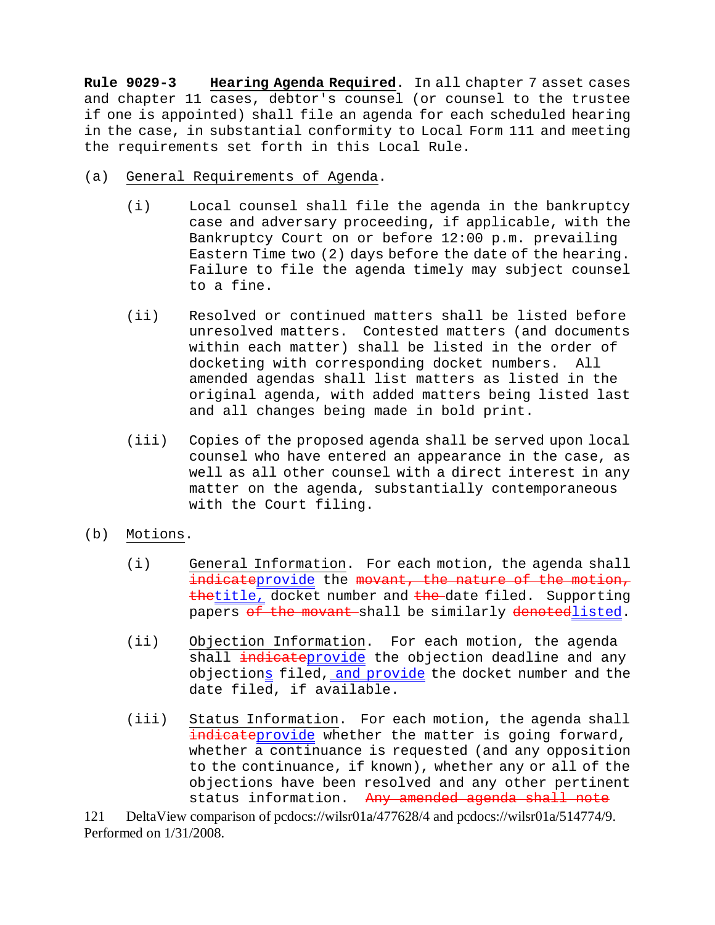**Rule 9029-3 Hearing Agenda Required**. In all chapter 7 asset cases and chapter 11 cases, debtor's counsel (or counsel to the trustee if one is appointed) shall file an agenda for each scheduled hearing in the case, in substantial conformity to Local Form 111 and meeting the requirements set forth in this Local Rule.

- (a) General Requirements of Agenda.
	- (i) Local counsel shall file the agenda in the bankruptcy case and adversary proceeding, if applicable, with the Bankruptcy Court on or before 12:00 p.m. prevailing Eastern Time two (2) days before the date of the hearing. Failure to file the agenda timely may subject counsel to a fine.
	- (ii) Resolved or continued matters shall be listed before unresolved matters. Contested matters (and documents within each matter) shall be listed in the order of docketing with corresponding docket numbers. All amended agendas shall list matters as listed in the original agenda, with added matters being listed last and all changes being made in bold print.
	- (iii) Copies of the proposed agenda shall be served upon local counsel who have entered an appearance in the case, as well as all other counsel with a direct interest in any matter on the agenda, substantially contemporaneous with the Court filing.
- (b) Motions.
	- (i) General Information. For each motion, the agenda shall indicateprovide the movant, the nature of the motion, thetitle, docket number and the date filed. Supporting papers of the movant shall be similarly denotedlisted.
	- (ii) Objection Information. For each motion, the agenda shall indicateprovide the objection deadline and any objections filed, and provide the docket number and the date filed, if available.
	- (iii) Status Information. For each motion, the agenda shall indicateprovide whether the matter is going forward, whether a continuance is requested (and any opposition to the continuance, if known), whether any or all of the objections have been resolved and any other pertinent status information. Any amended agenda shall note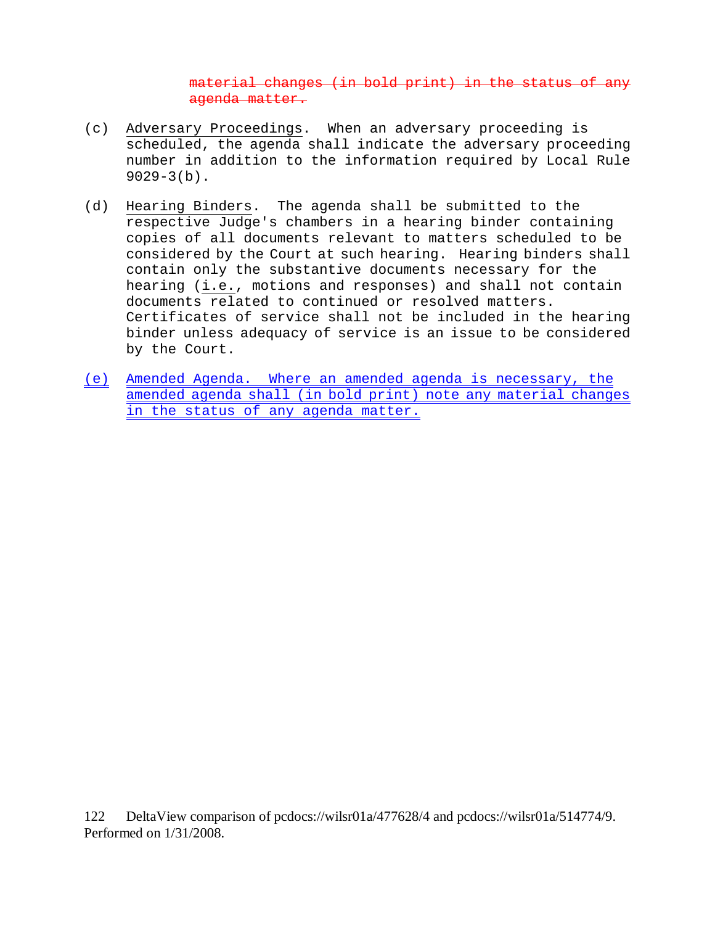material changes (in bold print) in the status of any agenda matter.

- (c) Adversary Proceedings. When an adversary proceeding is scheduled, the agenda shall indicate the adversary proceeding number in addition to the information required by Local Rule  $9029-3(b)$ .
- (d) Hearing Binders. The agenda shall be submitted to the respective Judge's chambers in a hearing binder containing copies of all documents relevant to matters scheduled to be considered by the Court at such hearing. Hearing binders shall contain only the substantive documents necessary for the hearing (i.e., motions and responses) and shall not contain documents related to continued or resolved matters. Certificates of service shall not be included in the hearing binder unless adequacy of service is an issue to be considered by the Court.
- (e) Amended Agenda. Where an amended agenda is necessary, the amended agenda shall (in bold print) note any material changes in the status of any agenda matter.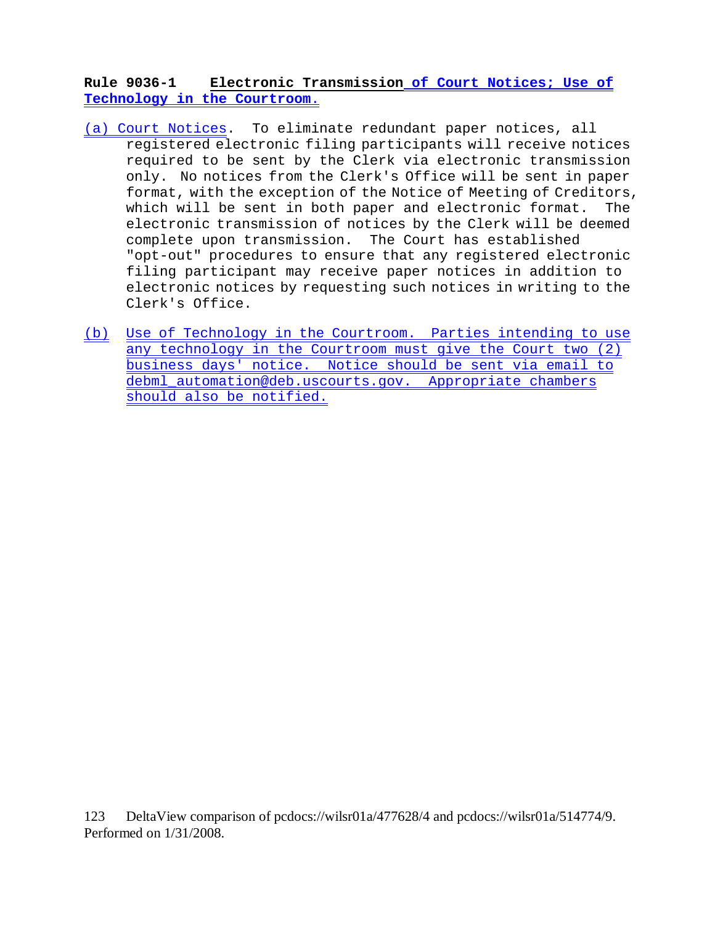**Rule 9036-1 Electronic Transmission of Court Notices; Use of Technology in the Courtroom**.

- (a) Court Notices. To eliminate redundant paper notices, all registered electronic filing participants will receive notices required to be sent by the Clerk via electronic transmission only. No notices from the Clerk's Office will be sent in paper format, with the exception of the Notice of Meeting of Creditors, which will be sent in both paper and electronic format. The electronic transmission of notices by the Clerk will be deemed complete upon transmission. The Court has established "opt-out" procedures to ensure that any registered electronic filing participant may receive paper notices in addition to electronic notices by requesting such notices in writing to the Clerk's Office.
- (b) Use of Technology in the Courtroom. Parties intending to use any technology in the Courtroom must give the Court two (2) business days' notice. Notice should be sent via email to debml\_automation@deb.uscourts.gov. Appropriate chambers should also be notified.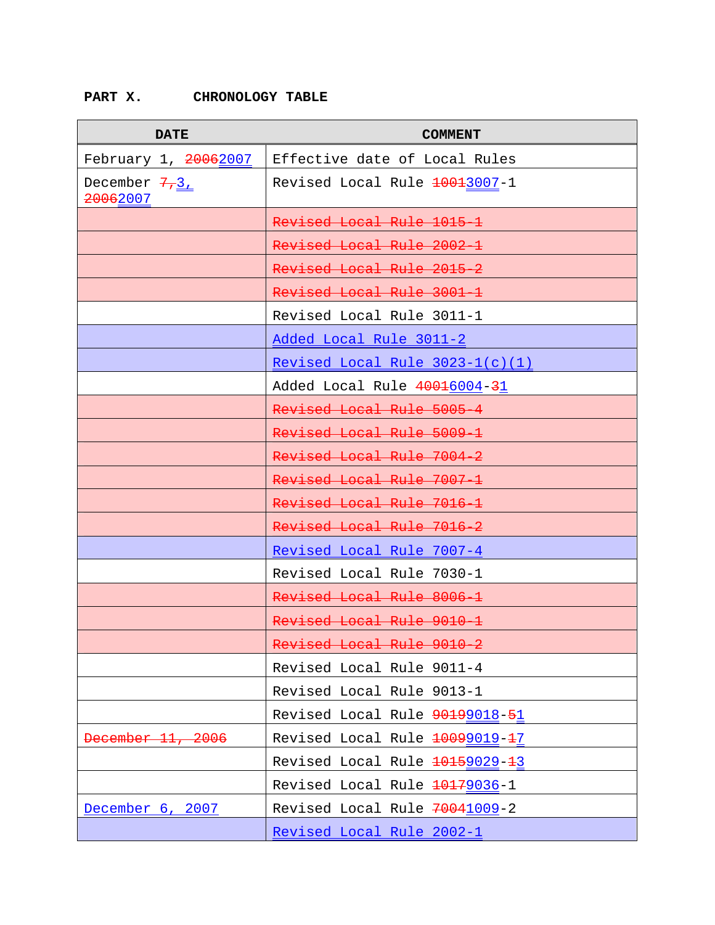# **PART X. CHRONOLOGY TABLE**

| <b>DATE</b>               | <b>COMMENT</b>                    |
|---------------------------|-----------------------------------|
| February 1, 20062007      | Effective date of Local Rules     |
| December 7,3,<br>20062007 | Revised Local Rule 10013007-1     |
|                           | Revised Local Rule 1015 1         |
|                           | Revised Local Rule 2002-1         |
|                           | Revised Local Rule 2015 2         |
|                           | Revised Local Rule 3001 1         |
|                           | Revised Local Rule 3011-1         |
|                           | Added Local Rule 3011-2           |
|                           | Revised Local Rule $3023-1(c)(1)$ |
|                           | Added Local Rule 40016004-31      |
|                           | Revised Local Rule 5005-4         |
|                           | Revised Local Rule 5009 1         |
|                           | Revised Local Rule 7004 2         |
|                           | Revised Local Rule 7007 1         |
|                           | Revised Local Rule 7016 1         |
|                           | Revised Local Rule 7016-2         |
|                           | Revised Local Rule 7007-4         |
|                           | Revised Local Rule 7030-1         |
|                           | Revised Local Rule 8006 1         |
|                           | Revised Local Rule 9010 1         |
|                           | Revised Local Rule 9010 2         |
|                           | Revised Local Rule 9011-4         |
|                           | Revised Local Rule 9013-1         |
|                           | Revised Local Rule 90199018-51    |
| December 11, 2006         | Revised Local Rule 20099019-27    |
|                           | Revised Local Rule 10159029-13    |
|                           | Revised Local Rule 10179036-1     |
| December 6, 2007          | Revised Local Rule 70041009-2     |
|                           | <u>Revised Local Rule 2002-1</u>  |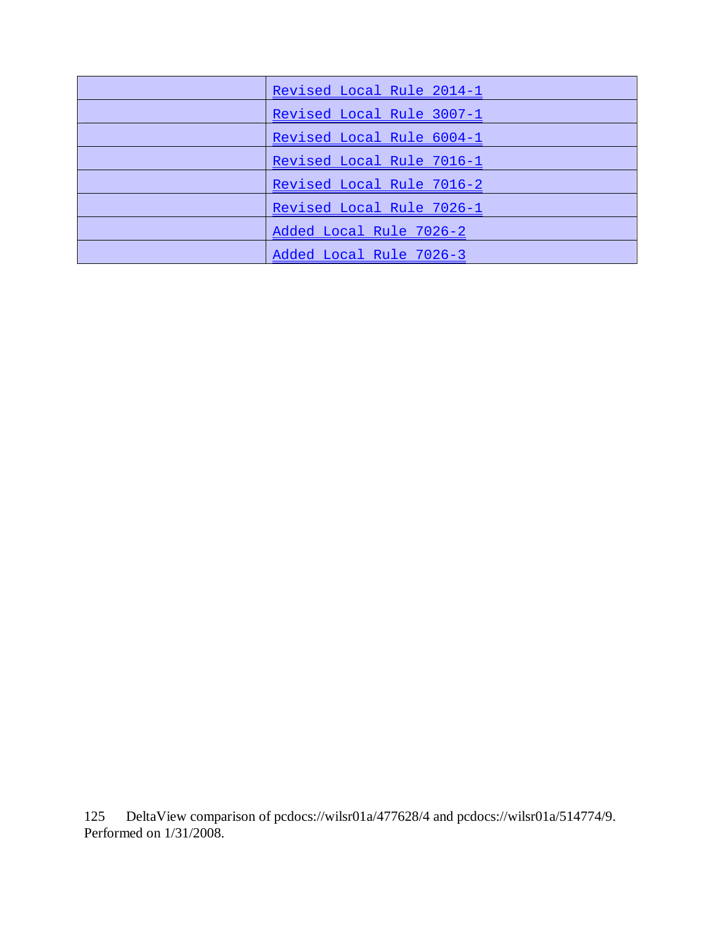| Revised Local Rule 2014-1 |
|---------------------------|
| Revised Local Rule 3007-1 |
| Revised Local Rule 6004-1 |
| Revised Local Rule 7016-1 |
| Revised Local Rule 7016-2 |
| Revised Local Rule 7026-1 |
| Added Local Rule 7026-2   |
| Added Local Rule 7026-3   |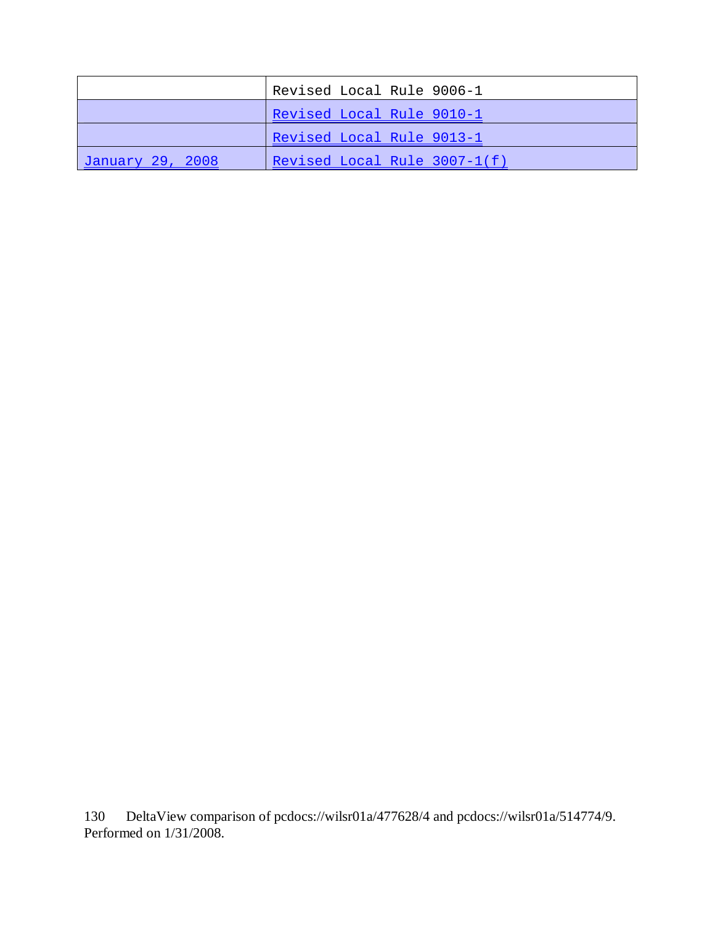|                  | Revised Local Rule 9006-1    |
|------------------|------------------------------|
|                  | Revised Local Rule 9010-1    |
|                  | Revised Local Rule 9013-1    |
| January 29, 2008 | Revised Local Rule 3007-1(f) |